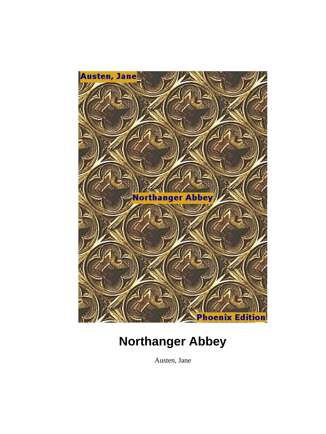

Austen, Jane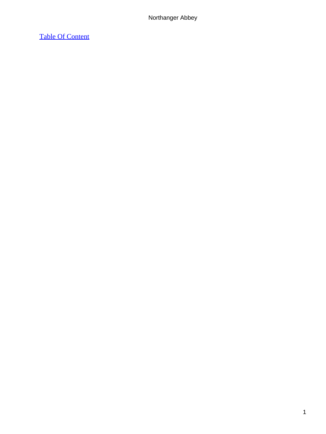# [Table Of Content](#page-165-0)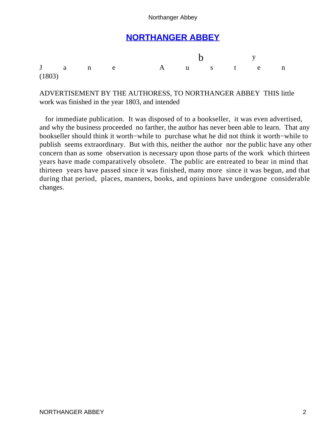# **[NORTHANGER ABBEY](#page-165-0)**

|        |  |             | $\mathbf b$ $\mathbf y$ |  |  |  |  |
|--------|--|-------------|-------------------------|--|--|--|--|
|        |  | Jane Austen |                         |  |  |  |  |
| (1803) |  |             |                         |  |  |  |  |

ADVERTISEMENT BY THE AUTHORESS, TO NORTHANGER ABBEY THIS little work was finished in the year 1803, and intended

 for immediate publication. It was disposed of to a bookseller, it was even advertised, and why the business proceeded no farther, the author has never been able to learn. That any bookseller should think it worth−while to purchase what he did not think it worth−while to publish seems extraordinary. But with this, neither the author nor the public have any other concern than as some observation is necessary upon those parts of the work which thirteen years have made comparatively obsolete. The public are entreated to bear in mind that thirteen years have passed since it was finished, many more since it was begun, and that during that period, places, manners, books, and opinions have undergone considerable changes.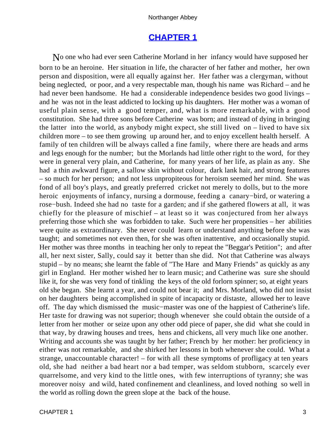# **[CHAPTER 1](#page-165-0)**

No one who had ever seen Catherine Morland in her infancy would have supposed her born to be an heroine. Her situation in life, the character of her father and mother, her own person and disposition, were all equally against her. Her father was a clergyman, without being neglected, or poor, and a very respectable man, though his name was Richard – and he had never been handsome. He had a considerable independence besides two good livings – and he was not in the least addicted to locking up his daughters. Her mother was a woman of useful plain sense, with a good temper, and, what is more remarkable, with a good constitution. She had three sons before Catherine was born; and instead of dying in bringing the latter into the world, as anybody might expect, she still lived on – lived to have six children more – to see them growing up around her, and to enjoy excellent health herself. A family of ten children will be always called a fine family, where there are heads and arms and legs enough for the number; but the Morlands had little other right to the word, for they were in general very plain, and Catherine, for many years of her life, as plain as any. She had a thin awkward figure, a sallow skin without colour, dark lank hair, and strong features – so much for her person; and not less unpropiteous for heroism seemed her mind. She was fond of all boy's plays, and greatly preferred cricket not merely to dolls, but to the more heroic enjoyments of infancy, nursing a dormouse, feeding a canary−bird, or watering a rose−bush. Indeed she had no taste for a garden; and if she gathered flowers at all, it was chiefly for the pleasure of mischief – at least so it was conjectured from her always preferring those which she was forbidden to take. Such were her propensities – her abilities were quite as extraordinary. She never could learn or understand anything before she was taught; and sometimes not even then, for she was often inattentive, and occasionally stupid. Her mother was three months in teaching her only to repeat the "Beggar's Petition"; and after all, her next sister, Sally, could say it better than she did. Not that Catherine was always stupid – by no means; she learnt the fable of "The Hare and Many Friends" as quickly as any girl in England. Her mother wished her to learn music; and Catherine was sure she should like it, for she was very fond of tinkling the keys of the old forlorn spinner; so, at eight years old she began. She learnt a year, and could not bear it; and Mrs. Morland, who did not insist on her daughters being accomplished in spite of incapacity or distaste, allowed her to leave off. The day which dismissed the music−master was one of the happiest of Catherine's life. Her taste for drawing was not superior; though whenever she could obtain the outside of a letter from her mother or seize upon any other odd piece of paper, she did what she could in that way, by drawing houses and trees, hens and chickens, all very much like one another. Writing and accounts she was taught by her father; French by her mother: her proficiency in either was not remarkable, and she shirked her lessons in both whenever she could. What a strange, unaccountable character! – for with all these symptoms of profligacy at ten years old, she had neither a bad heart nor a bad temper, was seldom stubborn, scarcely ever quarrelsome, and very kind to the little ones, with few interruptions of tyranny; she was moreover noisy and wild, hated confinement and cleanliness, and loved nothing so well in the world as rolling down the green slope at the back of the house.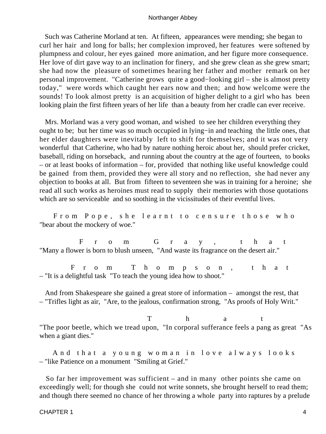Such was Catherine Morland at ten. At fifteen, appearances were mending; she began to curl her hair and long for balls; her complexion improved, her features were softened by plumpness and colour, her eyes gained more animation, and her figure more consequence. Her love of dirt gave way to an inclination for finery, and she grew clean as she grew smart; she had now the pleasure of sometimes hearing her father and mother remark on her personal improvement. "Catherine grows quite a good−looking girl – she is almost pretty today," were words which caught her ears now and then; and how welcome were the sounds! To look almost pretty is an acquisition of higher delight to a girl who has been looking plain the first fifteen years of her life than a beauty from her cradle can ever receive.

 Mrs. Morland was a very good woman, and wished to see her children everything they ought to be; but her time was so much occupied in lying−in and teaching the little ones, that her elder daughters were inevitably left to shift for themselves; and it was not very wonderful that Catherine, who had by nature nothing heroic about her, should prefer cricket, baseball, riding on horseback, and running about the country at the age of fourteen, to books – or at least books of information – for, provided that nothing like useful knowledge could be gained from them, provided they were all story and no reflection, she had never any objection to books at all. But from fifteen to seventeen she was in training for a heroine; she read all such works as heroines must read to supply their memories with those quotations which are so serviceable and so soothing in the vicissitudes of their eventful lives.

 From Pope, she learnt to censure those who "bear about the mockery of woe."

 From Gray, that "Many a flower is born to blush unseen, "And waste its fragrance on the desert air."

 From Thompson, that – "It is a delightful task "To teach the young idea how to shoot."

 And from Shakespeare she gained a great store of information – amongst the rest, that – "Trifles light as air, "Are, to the jealous, confirmation strong, "As proofs of Holy Writ."

T h a t "The poor beetle, which we tread upon, "In corporal sufferance feels a pang as great "As when a giant dies."

 And that a young woman in love always looks – "like Patience on a monument "Smiling at Grief."

 So far her improvement was sufficient – and in many other points she came on exceedingly well; for though she could not write sonnets, she brought herself to read them; and though there seemed no chance of her throwing a whole party into raptures by a prelude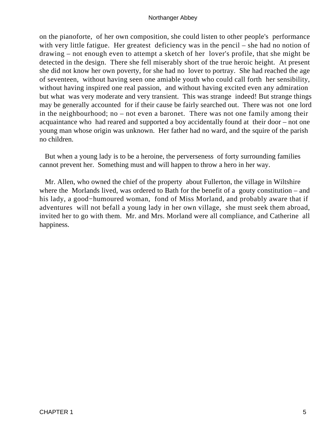on the pianoforte, of her own composition, she could listen to other people's performance with very little fatigue. Her greatest deficiency was in the pencil – she had no notion of drawing – not enough even to attempt a sketch of her lover's profile, that she might be detected in the design. There she fell miserably short of the true heroic height. At present she did not know her own poverty, for she had no lover to portray. She had reached the age of seventeen, without having seen one amiable youth who could call forth her sensibility, without having inspired one real passion, and without having excited even any admiration but what was very moderate and very transient. This was strange indeed! But strange things may be generally accounted for if their cause be fairly searched out. There was not one lord in the neighbourhood; no – not even a baronet. There was not one family among their acquaintance who had reared and supported a boy accidentally found at their door – not one young man whose origin was unknown. Her father had no ward, and the squire of the parish no children.

 But when a young lady is to be a heroine, the perverseness of forty surrounding families cannot prevent her. Something must and will happen to throw a hero in her way.

 Mr. Allen, who owned the chief of the property about Fullerton, the village in Wiltshire where the Morlands lived, was ordered to Bath for the benefit of a gouty constitution – and his lady, a good−humoured woman, fond of Miss Morland, and probably aware that if adventures will not befall a young lady in her own village, she must seek them abroad, invited her to go with them. Mr. and Mrs. Morland were all compliance, and Catherine all happiness.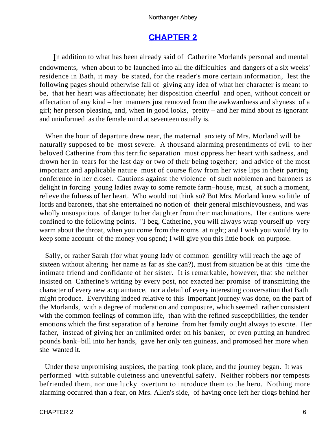# **[CHAPTER 2](#page-165-0)**

In addition to what has been already said of Catherine Morlands personal and mental endowments, when about to be launched into all the difficulties and dangers of a six weeks' residence in Bath, it may be stated, for the reader's more certain information, lest the following pages should otherwise fail of giving any idea of what her character is meant to be, that her heart was affectionate; her disposition cheerful and open, without conceit or affectation of any kind – her manners just removed from the awkwardness and shyness of a girl; her person pleasing, and, when in good looks, pretty – and her mind about as ignorant and uninformed as the female mind at seventeen usually is.

 When the hour of departure drew near, the maternal anxiety of Mrs. Morland will be naturally supposed to be most severe. A thousand alarming presentiments of evil to her beloved Catherine from this terrific separation must oppress her heart with sadness, and drown her in tears for the last day or two of their being together; and advice of the most important and applicable nature must of course flow from her wise lips in their parting conference in her closet. Cautions against the violence of such noblemen and baronets as delight in forcing young ladies away to some remote farm−house, must, at such a moment, relieve the fulness of her heart. Who would not think so? But Mrs. Morland knew so little of lords and baronets, that she entertained no notion of their general mischievousness, and was wholly unsuspicious of danger to her daughter from their machinations. Her cautions were confined to the following points. "I beg, Catherine, you will always wrap yourself up very warm about the throat, when you come from the rooms at night; and I wish you would try to keep some account of the money you spend; I will give you this little book on purpose.

 Sally, or rather Sarah (for what young lady of common gentility will reach the age of sixteen without altering her name as far as she can?), must from situation be at this time the intimate friend and confidante of her sister. It is remarkable, however, that she neither insisted on Catherine's writing by every post, nor exacted her promise of transmitting the character of every new acquaintance, nor a detail of every interesting conversation that Bath might produce. Everything indeed relative to this important journey was done, on the part of the Morlands, with a degree of moderation and composure, which seemed rather consistent with the common feelings of common life, than with the refined susceptibilities, the tender emotions which the first separation of a heroine from her family ought always to excite. Her father, instead of giving her an unlimited order on his banker, or even putting an hundred pounds bank−bill into her hands, gave her only ten guineas, and promosed her more when she wanted it.

 Under these unpromising auspices, the parting took place, and the journey began. It was performed with suitable quietness and uneventful safety. Neither robbers nor tempests befriended them, nor one lucky overturn to introduce them to the hero. Nothing more alarming occurred than a fear, on Mrs. Allen's side, of having once left her clogs behind her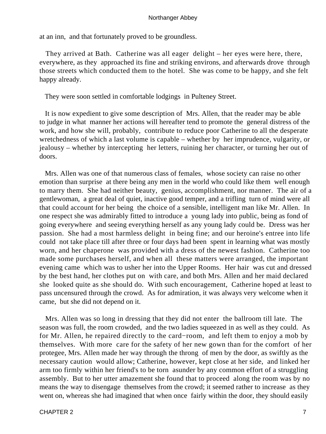at an inn, and that fortunately proved to be groundless.

 They arrived at Bath. Catherine was all eager delight – her eyes were here, there, everywhere, as they approached its fine and striking environs, and afterwards drove through those streets which conducted them to the hotel. She was come to be happy, and she felt happy already.

They were soon settled in comfortable lodgings in Pulteney Street.

 It is now expedient to give some description of Mrs. Allen, that the reader may be able to judge in what manner her actions will hereafter tend to promote the general distress of the work, and how she will, probably, contribute to reduce poor Catherine to all the desperate wretchedness of which a last volume is capable – whether by her imprudence, vulgarity, or jealousy – whether by intercepting her letters, ruining her character, or turning her out of doors.

 Mrs. Allen was one of that numerous class of females, whose society can raise no other emotion than surprise at there being any men in the world who could like them well enough to marry them. She had neither beauty, genius, accomplishment, nor manner. The air of a gentlewoman, a great deal of quiet, inactive good temper, and a trifling turn of mind were all that could account for her being the choice of a sensible, intelligent man like Mr. Allen. In one respect she was admirably fitted to introduce a young lady into public, being as fond of going everywhere and seeing everything herself as any young lady could be. Dress was her passion. She had a most harmless delight in being fine; and our heroine's entree into life could not take place till after three or four days had been spent in learning what was mostly worn, and her chaperone was provided with a dress of the newest fashion. Catherine too made some purchases herself, and when all these matters were arranged, the important evening came which was to usher her into the Upper Rooms. Her hair was cut and dressed by the best hand, her clothes put on with care, and both Mrs. Allen and her maid declared she looked quite as she should do. With such encouragement, Catherine hoped at least to pass uncensured through the crowd. As for admiration, it was always very welcome when it came, but she did not depend on it.

 Mrs. Allen was so long in dressing that they did not enter the ballroom till late. The season was full, the room crowded, and the two ladies squeezed in as well as they could. As for Mr. Allen, he repaired directly to the card−room, and left them to enjoy a mob by themselves. With more care for the safety of her new gown than for the comfort of her protegee, Mrs. Allen made her way through the throng of men by the door, as swiftly as the necessary caution would allow; Catherine, however, kept close at her side, and linked her arm too firmly within her friend's to be torn asunder by any common effort of a struggling assembly. But to her utter amazement she found that to proceed along the room was by no means the way to disengage themselves from the crowd; it seemed rather to increase as they went on, whereas she had imagined that when once fairly within the door, they should easily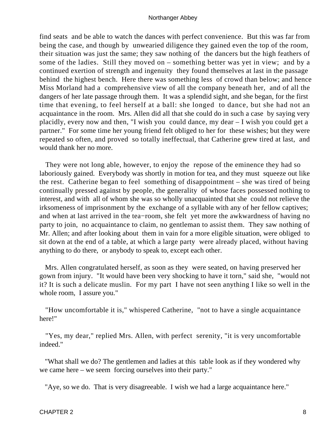find seats and be able to watch the dances with perfect convenience. But this was far from being the case, and though by unwearied diligence they gained even the top of the room, their situation was just the same; they saw nothing of the dancers but the high feathers of some of the ladies. Still they moved on – something better was yet in view; and by a continued exertion of strength and ingenuity they found themselves at last in the passage behind the highest bench. Here there was something less of crowd than below; and hence Miss Morland had a comprehensive view of all the company beneath her, and of all the dangers of her late passage through them. It was a splendid sight, and she began, for the first time that evening, to feel herself at a ball: she longed to dance, but she had not an acquaintance in the room. Mrs. Allen did all that she could do in such a case by saying very placidly, every now and then, "I wish you could dance, my dear – I wish you could get a partner." For some time her young friend felt obliged to her for these wishes; but they were repeated so often, and proved so totally ineffectual, that Catherine grew tired at last, and would thank her no more.

 They were not long able, however, to enjoy the repose of the eminence they had so laboriously gained. Everybody was shortly in motion for tea, and they must squeeze out like the rest. Catherine began to feel something of disappointment – she was tired of being continually pressed against by people, the generality of whose faces possessed nothing to interest, and with all of whom she was so wholly unacquainted that she could not relieve the irksomeness of imprisonment by the exchange of a syllable with any of her fellow captives; and when at last arrived in the tea−room, she felt yet more the awkwardness of having no party to join, no acquaintance to claim, no gentleman to assist them. They saw nothing of Mr. Allen; and after looking about them in vain for a more eligible situation, were obliged to sit down at the end of a table, at which a large party were already placed, without having anything to do there, or anybody to speak to, except each other.

 Mrs. Allen congratulated herself, as soon as they were seated, on having preserved her gown from injury. "It would have been very shocking to have it torn," said she, "would not it? It is such a delicate muslin. For my part I have not seen anything I like so well in the whole room, I assure you."

 "How uncomfortable it is," whispered Catherine, "not to have a single acquaintance here!"

 "Yes, my dear," replied Mrs. Allen, with perfect serenity, "it is very uncomfortable indeed."

 "What shall we do? The gentlemen and ladies at this table look as if they wondered why we came here – we seem forcing ourselves into their party."

"Aye, so we do. That is very disagreeable. I wish we had a large acquaintance here."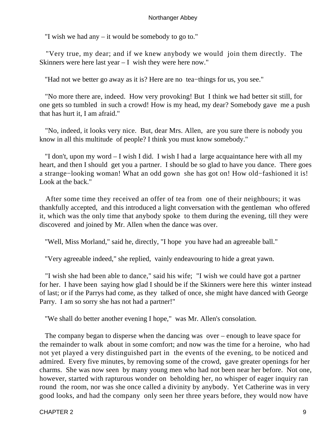"I wish we had any – it would be somebody to go to."

 "Very true, my dear; and if we knew anybody we would join them directly. The Skinners were here last year – I wish they were here now."

"Had not we better go away as it is? Here are no tea−things for us, you see."

 "No more there are, indeed. How very provoking! But I think we had better sit still, for one gets so tumbled in such a crowd! How is my head, my dear? Somebody gave me a push that has hurt it, I am afraid."

 "No, indeed, it looks very nice. But, dear Mrs. Allen, are you sure there is nobody you know in all this multitude of people? I think you must know somebody."

 "I don't, upon my word – I wish I did. I wish I had a large acquaintance here with all my heart, and then I should get you a partner. I should be so glad to have you dance. There goes a strange−looking woman! What an odd gown she has got on! How old−fashioned it is! Look at the back."

 After some time they received an offer of tea from one of their neighbours; it was thankfully accepted, and this introduced a light conversation with the gentleman who offered it, which was the only time that anybody spoke to them during the evening, till they were discovered and joined by Mr. Allen when the dance was over.

"Well, Miss Morland," said he, directly, "I hope you have had an agreeable ball."

"Very agreeable indeed," she replied, vainly endeavouring to hide a great yawn.

 "I wish she had been able to dance," said his wife; "I wish we could have got a partner for her. I have been saying how glad I should be if the Skinners were here this winter instead of last; or if the Parrys had come, as they talked of once, she might have danced with George Parry. I am so sorry she has not had a partner!"

"We shall do better another evening I hope," was Mr. Allen's consolation.

 The company began to disperse when the dancing was over – enough to leave space for the remainder to walk about in some comfort; and now was the time for a heroine, who had not yet played a very distinguished part in the events of the evening, to be noticed and admired. Every five minutes, by removing some of the crowd, gave greater openings for her charms. She was now seen by many young men who had not been near her before. Not one, however, started with rapturous wonder on beholding her, no whisper of eager inquiry ran round the room, nor was she once called a divinity by anybody. Yet Catherine was in very good looks, and had the company only seen her three years before, they would now have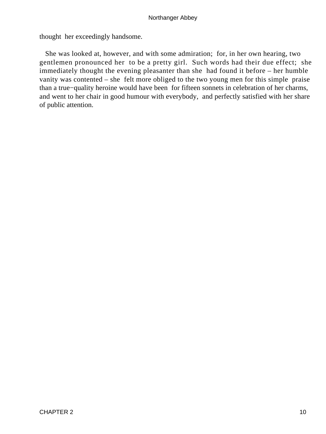thought her exceedingly handsome.

 She was looked at, however, and with some admiration; for, in her own hearing, two gentlemen pronounced her to be a pretty girl. Such words had their due effect; she immediately thought the evening pleasanter than she had found it before – her humble vanity was contented – she felt more obliged to the two young men for this simple praise than a true−quality heroine would have been for fifteen sonnets in celebration of her charms, and went to her chair in good humour with everybody, and perfectly satisfied with her share of public attention.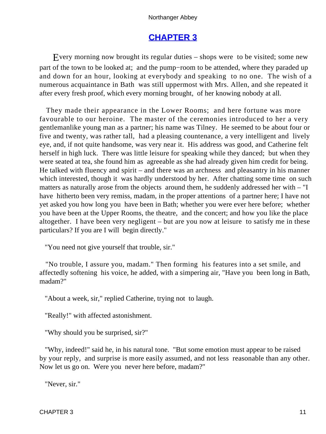# **[CHAPTER 3](#page-165-0)**

Every morning now brought its regular duties – shops were to be visited; some new part of the town to be looked at; and the pump−room to be attended, where they paraded up and down for an hour, looking at everybody and speaking to no one. The wish of a numerous acquaintance in Bath was still uppermost with Mrs. Allen, and she repeated it after every fresh proof, which every morning brought, of her knowing nobody at all.

 They made their appearance in the Lower Rooms; and here fortune was more favourable to our heroine. The master of the ceremonies introduced to her a very gentlemanlike young man as a partner; his name was Tilney. He seemed to be about four or five and twenty, was rather tall, had a pleasing countenance, a very intelligent and lively eye, and, if not quite handsome, was very near it. His address was good, and Catherine felt herself in high luck. There was little leisure for speaking while they danced; but when they were seated at tea, she found him as agreeable as she had already given him credit for being. He talked with fluency and spirit – and there was an archness and pleasantry in his manner which interested, though it was hardly understood by her. After chatting some time on such matters as naturally arose from the objects around them, he suddenly addressed her with – "I have hitherto been very remiss, madam, in the proper attentions of a partner here; I have not yet asked you how long you have been in Bath; whether you were ever here before; whether you have been at the Upper Rooms, the theatre, and the concert; and how you like the place altogether. I have been very negligent – but are you now at leisure to satisfy me in these particulars? If you are I will begin directly."

"You need not give yourself that trouble, sir."

 "No trouble, I assure you, madam." Then forming his features into a set smile, and affectedly softening his voice, he added, with a simpering air, "Have you been long in Bath, madam?"

"About a week, sir," replied Catherine, trying not to laugh.

"Really!" with affected astonishment.

"Why should you be surprised, sir?"

 "Why, indeed!" said he, in his natural tone. "But some emotion must appear to be raised by your reply, and surprise is more easily assumed, and not less reasonable than any other. Now let us go on. Were you never here before, madam?"

"Never, sir."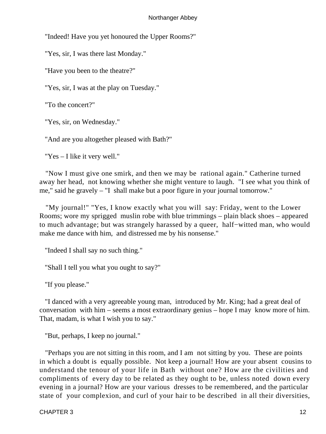"Indeed! Have you yet honoured the Upper Rooms?"

"Yes, sir, I was there last Monday."

"Have you been to the theatre?"

"Yes, sir, I was at the play on Tuesday."

"To the concert?"

"Yes, sir, on Wednesday."

"And are you altogether pleased with Bath?"

"Yes – I like it very well."

 "Now I must give one smirk, and then we may be rational again." Catherine turned away her head, not knowing whether she might venture to laugh. "I see what you think of me," said he gravely – "I shall make but a poor figure in your journal tomorrow."

 "My journal!" "Yes, I know exactly what you will say: Friday, went to the Lower Rooms; wore my sprigged muslin robe with blue trimmings – plain black shoes – appeared to much advantage; but was strangely harassed by a queer, half−witted man, who would make me dance with him, and distressed me by his nonsense."

"Indeed I shall say no such thing."

"Shall I tell you what you ought to say?"

"If you please."

 "I danced with a very agreeable young man, introduced by Mr. King; had a great deal of conversation with him – seems a most extraordinary genius – hope I may know more of him. That, madam, is what I wish you to say."

"But, perhaps, I keep no journal."

 "Perhaps you are not sitting in this room, and I am not sitting by you. These are points in which a doubt is equally possible. Not keep a journal! How are your absent cousins to understand the tenour of your life in Bath without one? How are the civilities and compliments of every day to be related as they ought to be, unless noted down every evening in a journal? How are your various dresses to be remembered, and the particular state of your complexion, and curl of your hair to be described in all their diversities,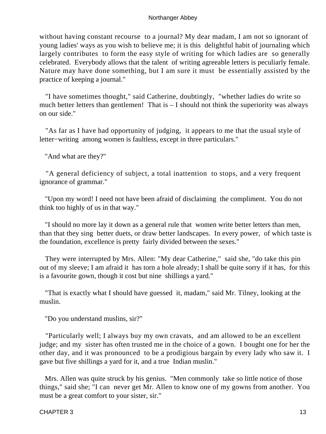without having constant recourse to a journal? My dear madam, I am not so ignorant of young ladies' ways as you wish to believe me; it is this delightful habit of journaling which largely contributes to form the easy style of writing for which ladies are so generally celebrated. Everybody allows that the talent of writing agreeable letters is peculiarly female. Nature may have done something, but I am sure it must be essentially assisted by the practice of keeping a journal."

 "I have sometimes thought," said Catherine, doubtingly, "whether ladies do write so much better letters than gentlemen! That is  $-$  I should not think the superiority was always on our side."

 "As far as I have had opportunity of judging, it appears to me that the usual style of letter−writing among women is faultless, except in three particulars."

"And what are they?"

 "A general deficiency of subject, a total inattention to stops, and a very frequent ignorance of grammar."

 "Upon my word! I need not have been afraid of disclaiming the compliment. You do not think too highly of us in that way."

 "I should no more lay it down as a general rule that women write better letters than men, than that they sing better duets, or draw better landscapes. In every power, of which taste is the foundation, excellence is pretty fairly divided between the sexes."

 They were interrupted by Mrs. Allen: "My dear Catherine," said she, "do take this pin out of my sleeve; I am afraid it has torn a hole already; I shall be quite sorry if it has, for this is a favourite gown, though it cost but nine shillings a yard."

 "That is exactly what I should have guessed it, madam," said Mr. Tilney, looking at the muslin.

"Do you understand muslins, sir?"

 "Particularly well; I always buy my own cravats, and am allowed to be an excellent judge; and my sister has often trusted me in the choice of a gown. I bought one for her the other day, and it was pronounced to be a prodigious bargain by every lady who saw it. I gave but five shillings a yard for it, and a true Indian muslin."

 Mrs. Allen was quite struck by his genius. "Men commonly take so little notice of those things," said she; "I can never get Mr. Allen to know one of my gowns from another. You must be a great comfort to your sister, sir."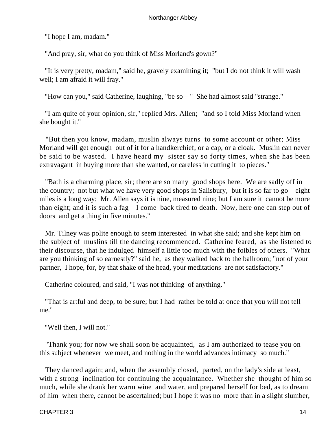"I hope I am, madam."

"And pray, sir, what do you think of Miss Morland's gown?"

 "It is very pretty, madam," said he, gravely examining it; "but I do not think it will wash well; I am afraid it will fray."

"How can you," said Catherine, laughing, "be so – " She had almost said "strange."

 "I am quite of your opinion, sir," replied Mrs. Allen; "and so I told Miss Morland when she bought it."

 "But then you know, madam, muslin always turns to some account or other; Miss Morland will get enough out of it for a handkerchief, or a cap, or a cloak. Muslin can never be said to be wasted. I have heard my sister say so forty times, when she has been extravagant in buying more than she wanted, or careless in cutting it to pieces."

 "Bath is a charming place, sir; there are so many good shops here. We are sadly off in the country; not but what we have very good shops in Salisbury, but it is so far to  $g_0$  – eight miles is a long way; Mr. Allen says it is nine, measured nine; but I am sure it cannot be more than eight; and it is such a fag – I come back tired to death. Now, here one can step out of doors and get a thing in five minutes."

 Mr. Tilney was polite enough to seem interested in what she said; and she kept him on the subject of muslins till the dancing recommenced. Catherine feared, as she listened to their discourse, that he indulged himself a little too much with the foibles of others. "What are you thinking of so earnestly?" said he, as they walked back to the ballroom; "not of your partner, I hope, for, by that shake of the head, your meditations are not satisfactory."

Catherine coloured, and said, "I was not thinking of anything."

 "That is artful and deep, to be sure; but I had rather be told at once that you will not tell me."

"Well then, I will not."

 "Thank you; for now we shall soon be acquainted, as I am authorized to tease you on this subject whenever we meet, and nothing in the world advances intimacy so much."

 They danced again; and, when the assembly closed, parted, on the lady's side at least, with a strong inclination for continuing the acquaintance. Whether she thought of him so much, while she drank her warm wine and water, and prepared herself for bed, as to dream of him when there, cannot be ascertained; but I hope it was no more than in a slight slumber,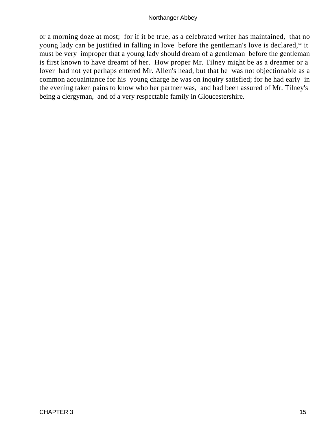or a morning doze at most; for if it be true, as a celebrated writer has maintained, that no young lady can be justified in falling in love before the gentleman's love is declared,\* it must be very improper that a young lady should dream of a gentleman before the gentleman is first known to have dreamt of her. How proper Mr. Tilney might be as a dreamer or a lover had not yet perhaps entered Mr. Allen's head, but that he was not objectionable as a common acquaintance for his young charge he was on inquiry satisfied; for he had early in the evening taken pains to know who her partner was, and had been assured of Mr. Tilney's being a clergyman, and of a very respectable family in Gloucestershire.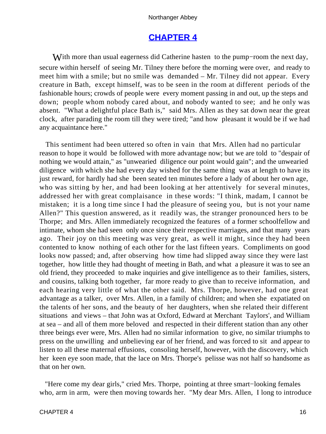# **[CHAPTER 4](#page-165-0)**

With more than usual eagerness did Catherine hasten to the pump–room the next day, secure within herself of seeing Mr. Tilney there before the morning were over, and ready to meet him with a smile; but no smile was demanded – Mr. Tilney did not appear. Every creature in Bath, except himself, was to be seen in the room at different periods of the fashionable hours; crowds of people were every moment passing in and out, up the steps and down; people whom nobody cared about, and nobody wanted to see; and he only was absent. "What a delightful place Bath is," said Mrs. Allen as they sat down near the great clock, after parading the room till they were tired; "and how pleasant it would be if we had any acquaintance here."

 This sentiment had been uttered so often in vain that Mrs. Allen had no particular reason to hope it would be followed with more advantage now; but we are told to "despair of nothing we would attain," as "unwearied diligence our point would gain"; and the unwearied diligence with which she had every day wished for the same thing was at length to have its just reward, for hardly had she been seated ten minutes before a lady of about her own age, who was sitting by her, and had been looking at her attentively for several minutes, addressed her with great complaisance in these words: "I think, madam, I cannot be mistaken; it is a long time since I had the pleasure of seeing you, but is not your name Allen?" This question answered, as it readily was, the stranger pronounced hers to be Thorpe; and Mrs. Allen immediately recognized the features of a former schoolfellow and intimate, whom she had seen only once since their respective marriages, and that many years ago. Their joy on this meeting was very great, as well it might, since they had been contented to know nothing of each other for the last fifteen years. Compliments on good looks now passed; and, after observing how time had slipped away since they were last together, how little they had thought of meeting in Bath, and what a pleasure it was to see an old friend, they proceeded to make inquiries and give intelligence as to their families, sisters, and cousins, talking both together, far more ready to give than to receive information, and each hearing very little of what the other said. Mrs. Thorpe, however, had one great advantage as a talker, over Mrs. Allen, in a family of children; and when she expatiated on the talents of her sons, and the beauty of her daughters, when she related their different situations and views – that John was at Oxford, Edward at Merchant Taylors', and William at sea – and all of them more beloved and respected in their different station than any other three beings ever were, Mrs. Allen had no similar information to give, no similar triumphs to press on the unwilling and unbelieving ear of her friend, and was forced to sit and appear to listen to all these maternal effusions, consoling herself, however, with the discovery, which her keen eye soon made, that the lace on Mrs. Thorpe's pelisse was not half so handsome as that on her own.

 "Here come my dear girls," cried Mrs. Thorpe, pointing at three smart−looking females who, arm in arm, were then moving towards her. "My dear Mrs. Allen, I long to introduce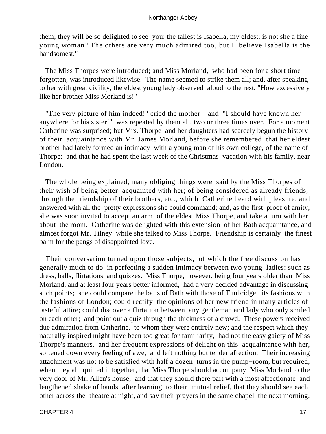them; they will be so delighted to see you: the tallest is Isabella, my eldest; is not she a fine young woman? The others are very much admired too, but I believe Isabella is the handsomest."

 The Miss Thorpes were introduced; and Miss Morland, who had been for a short time forgotten, was introduced likewise. The name seemed to strike them all; and, after speaking to her with great civility, the eldest young lady observed aloud to the rest, "How excessively like her brother Miss Morland is!"

 "The very picture of him indeed!" cried the mother – and "I should have known her anywhere for his sister!" was repeated by them all, two or three times over. For a moment Catherine was surprised; but Mrs. Thorpe and her daughters had scarcely begun the history of their acquaintance with Mr. James Morland, before she remembered that her eldest brother had lately formed an intimacy with a young man of his own college, of the name of Thorpe; and that he had spent the last week of the Christmas vacation with his family, near London.

 The whole being explained, many obliging things were said by the Miss Thorpes of their wish of being better acquainted with her; of being considered as already friends, through the friendship of their brothers, etc., which Catherine heard with pleasure, and answered with all the pretty expressions she could command; and, as the first proof of amity, she was soon invited to accept an arm of the eldest Miss Thorpe, and take a turn with her about the room. Catherine was delighted with this extension of her Bath acquaintance, and almost forgot Mr. Tilney while she talked to Miss Thorpe. Friendship is certainly the finest balm for the pangs of disappointed love.

 Their conversation turned upon those subjects, of which the free discussion has generally much to do in perfecting a sudden intimacy between two young ladies: such as dress, balls, flirtations, and quizzes. Miss Thorpe, however, being four years older than Miss Morland, and at least four years better informed, had a very decided advantage in discussing such points; she could compare the balls of Bath with those of Tunbridge, its fashions with the fashions of London; could rectify the opinions of her new friend in many articles of tasteful attire; could discover a flirtation between any gentleman and lady who only smiled on each other; and point out a quiz through the thickness of a crowd. These powers received due admiration from Catherine, to whom they were entirely new; and the respect which they naturally inspired might have been too great for familiarity, had not the easy gaiety of Miss Thorpe's manners, and her frequent expressions of delight on this acquaintance with her, softened down every feeling of awe, and left nothing but tender affection. Their increasing attachment was not to be satisfied with half a dozen turns in the pump−room, but required, when they all quitted it together, that Miss Thorpe should accompany Miss Morland to the very door of Mr. Allen's house; and that they should there part with a most affectionate and lengthened shake of hands, after learning, to their mutual relief, that they should see each other across the theatre at night, and say their prayers in the same chapel the next morning.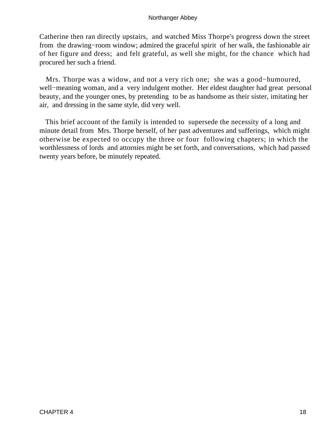Catherine then ran directly upstairs, and watched Miss Thorpe's progress down the street from the drawing−room window; admired the graceful spirit of her walk, the fashionable air of her figure and dress; and felt grateful, as well she might, for the chance which had procured her such a friend.

 Mrs. Thorpe was a widow, and not a very rich one; she was a good−humoured, well−meaning woman, and a very indulgent mother. Her eldest daughter had great personal beauty, and the younger ones, by pretending to be as handsome as their sister, imitating her air, and dressing in the same style, did very well.

 This brief account of the family is intended to supersede the necessity of a long and minute detail from Mrs. Thorpe herself, of her past adventures and sufferings, which might otherwise be expected to occupy the three or four following chapters; in which the worthlessness of lords and attornies might be set forth, and conversations, which had passed twenty years before, be minutely repeated.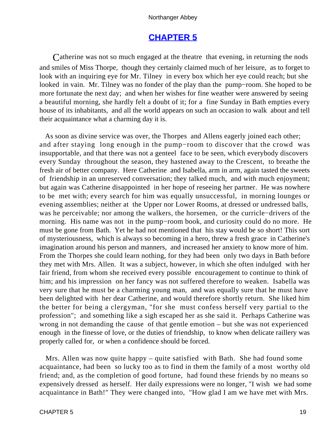# **[CHAPTER 5](#page-165-0)**

Catherine was not so much engaged at the theatre that evening, in returning the nods and smiles of Miss Thorpe, though they certainly claimed much of her leisure, as to forget to look with an inquiring eye for Mr. Tilney in every box which her eye could reach; but she looked in vain. Mr. Tilney was no fonder of the play than the pump−room. She hoped to be more fortunate the next day; and when her wishes for fine weather were answered by seeing a beautiful morning, she hardly felt a doubt of it; for a fine Sunday in Bath empties every house of its inhabitants, and all the world appears on such an occasion to walk about and tell their acquaintance what a charming day it is.

 As soon as divine service was over, the Thorpes and Allens eagerly joined each other; and after staying long enough in the pump−room to discover that the crowd was insupportable, and that there was not a genteel face to be seen, which everybody discovers every Sunday throughout the season, they hastened away to the Crescent, to breathe the fresh air of better company. Here Catherine and Isabella, arm in arm, again tasted the sweets of friendship in an unreserved conversation; they talked much, and with much enjoyment; but again was Catherine disappointed in her hope of reseeing her partner. He was nowhere to be met with; every search for him was equally unsuccessful, in morning lounges or evening assemblies; neither at the Upper nor Lower Rooms, at dressed or undressed balls, was he perceivable; nor among the walkers, the horsemen, or the curricle−drivers of the morning. His name was not in the pump−room book, and curiosity could do no more. He must be gone from Bath. Yet he had not mentioned that his stay would be so short! This sort of mysteriousness, which is always so becoming in a hero, threw a fresh grace in Catherine's imagination around his person and manners, and increased her anxiety to know more of him. From the Thorpes she could learn nothing, for they had been only two days in Bath before they met with Mrs. Allen. It was a subject, however, in which she often indulged with her fair friend, from whom she received every possible encouragement to continue to think of him; and his impression on her fancy was not suffered therefore to weaken. Isabella was very sure that he must be a charming young man, and was equally sure that he must have been delighted with her dear Catherine, and would therefore shortly return. She liked him the better for being a clergyman, "for she must confess herself very partial to the profession"; and something like a sigh escaped her as she said it. Perhaps Catherine was wrong in not demanding the cause of that gentle emotion – but she was not experienced enough in the finesse of love, or the duties of friendship, to know when delicate raillery was properly called for, or when a confidence should be forced.

 Mrs. Allen was now quite happy – quite satisfied with Bath. She had found some acquaintance, had been so lucky too as to find in them the family of a most worthy old friend; and, as the completion of good fortune, had found these friends by no means so expensively dressed as herself. Her daily expressions were no longer, "I wish we had some acquaintance in Bath!" They were changed into, "How glad I am we have met with Mrs.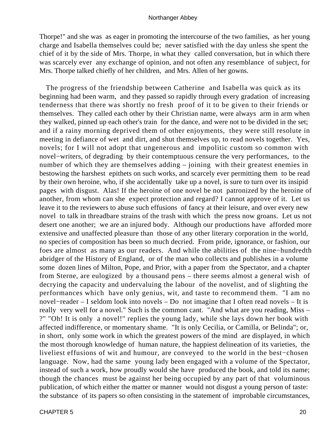Thorpe!" and she was as eager in promoting the intercourse of the two families, as her young charge and Isabella themselves could be; never satisfied with the day unless she spent the chief of it by the side of Mrs. Thorpe, in what they called conversation, but in which there was scarcely ever any exchange of opinion, and not often any resemblance of subject, for Mrs. Thorpe talked chiefly of her children, and Mrs. Allen of her gowns.

 The progress of the friendship between Catherine and Isabella was quick as its beginning had been warm, and they passed so rapidly through every gradation of increasing tenderness that there was shortly no fresh proof of it to be given to their friends or themselves. They called each other by their Christian name, were always arm in arm when they walked, pinned up each other's train for the dance, and were not to be divided in the set; and if a rainy morning deprived them of other enjoyments, they were still resolute in meeting in defiance of wet and dirt, and shut themselves up, to read novels together. Yes, novels; for I will not adopt that ungenerous and impolitic custom so common with novel−writers, of degrading by their contemptuous censure the very performances, to the number of which they are themselves adding – joining with their greatest enemies in bestowing the harshest epithets on such works, and scarcely ever permitting them to be read by their own heroine, who, if she accidentally take up a novel, is sure to turn over its insipid pages with disgust. Alas! If the heroine of one novel be not patronized by the heroine of another, from whom can she expect protection and regard? I cannot approve of it. Let us leave it to the reviewers to abuse such effusions of fancy at their leisure, and over every new novel to talk in threadbare strains of the trash with which the press now groans. Let us not desert one another; we are an injured body. Although our productions have afforded more extensive and unaffected pleasure than those of any other literary corporation in the world, no species of composition has been so much decried. From pride, ignorance, or fashion, our foes are almost as many as our readers. And while the abilities of the nine−hundredth abridger of the History of England, or of the man who collects and publishes in a volume some dozen lines of Milton, Pope, and Prior, with a paper from the Spectator, and a chapter from Sterne, are eulogized by a thousand pens – there seems almost a general wish of decrying the capacity and undervaluing the labour of the novelist, and of slighting the performances which have only genius, wit, and taste to recommend them. "I am no novel−reader – I seldom look into novels – Do not imagine that I often read novels – It is really very well for a novel." Such is the common cant. "And what are you reading, Miss – ?" "Oh! It is only a novel!" replies the young lady, while she lays down her book with affected indifference, or momentary shame. "It is only Cecilia, or Camilla, or Belinda"; or, in short, only some work in which the greatest powers of the mind are displayed, in which the most thorough knowledge of human nature, the happiest delineation of its varieties, the liveliest effusions of wit and humour, are conveyed to the world in the best−chosen language. Now, had the same young lady been engaged with a volume of the Spectator, instead of such a work, how proudly would she have produced the book, and told its name; though the chances must be against her being occupied by any part of that voluminous publication, of which either the matter or manner would not disgust a young person of taste: the substance of its papers so often consisting in the statement of improbable circumstances,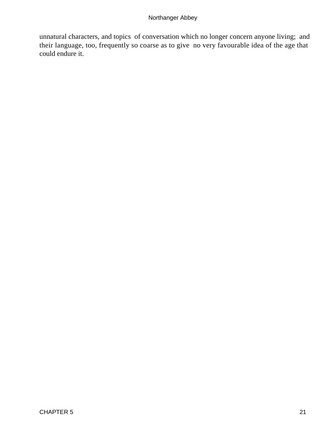unnatural characters, and topics of conversation which no longer concern anyone living; and their language, too, frequently so coarse as to give no very favourable idea of the age that could endure it.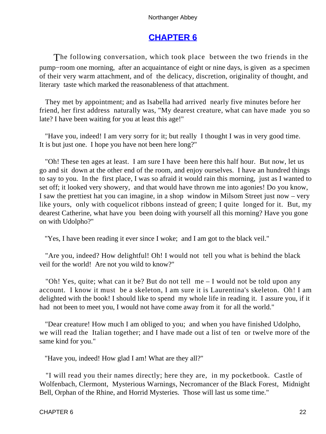# **[CHAPTER 6](#page-165-0)**

The following conversation, which took place between the two friends in the pump−room one morning, after an acquaintance of eight or nine days, is given as a specimen of their very warm attachment, and of the delicacy, discretion, originality of thought, and literary taste which marked the reasonableness of that attachment.

 They met by appointment; and as Isabella had arrived nearly five minutes before her friend, her first address naturally was, "My dearest creature, what can have made you so late? I have been waiting for you at least this age!"

 "Have you, indeed! I am very sorry for it; but really I thought I was in very good time. It is but just one. I hope you have not been here long?"

 "Oh! These ten ages at least. I am sure I have been here this half hour. But now, let us go and sit down at the other end of the room, and enjoy ourselves. I have an hundred things to say to you. In the first place, I was so afraid it would rain this morning, just as I wanted to set off; it looked very showery, and that would have thrown me into agonies! Do you know, I saw the prettiest hat you can imagine, in a shop window in Milsom Street just now – very like yours, only with coquelicot ribbons instead of green; I quite longed for it. But, my dearest Catherine, what have you been doing with yourself all this morning? Have you gone on with Udolpho?"

"Yes, I have been reading it ever since I woke; and I am got to the black veil."

 "Are you, indeed? How delightful! Oh! I would not tell you what is behind the black veil for the world! Are not you wild to know?"

 "Oh! Yes, quite; what can it be? But do not tell me – I would not be told upon any account. I know it must be a skeleton, I am sure it is Laurentina's skeleton. Oh! I am delighted with the book! I should like to spend my whole life in reading it. I assure you, if it had not been to meet you, I would not have come away from it for all the world."

 "Dear creature! How much I am obliged to you; and when you have finished Udolpho, we will read the Italian together; and I have made out a list of ten or twelve more of the same kind for you."

"Have you, indeed! How glad I am! What are they all?"

 "I will read you their names directly; here they are, in my pocketbook. Castle of Wolfenbach, Clermont, Mysterious Warnings, Necromancer of the Black Forest, Midnight Bell, Orphan of the Rhine, and Horrid Mysteries. Those will last us some time."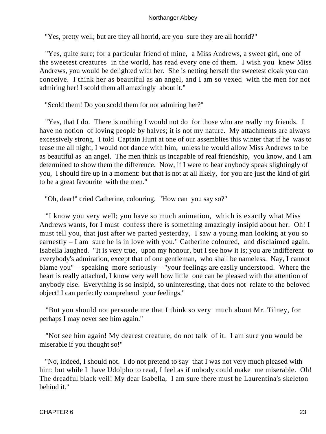"Yes, pretty well; but are they all horrid, are you sure they are all horrid?"

 "Yes, quite sure; for a particular friend of mine, a Miss Andrews, a sweet girl, one of the sweetest creatures in the world, has read every one of them. I wish you knew Miss Andrews, you would be delighted with her. She is netting herself the sweetest cloak you can conceive. I think her as beautiful as an angel, and I am so vexed with the men for not admiring her! I scold them all amazingly about it."

"Scold them! Do you scold them for not admiring her?"

 "Yes, that I do. There is nothing I would not do for those who are really my friends. I have no notion of loving people by halves; it is not my nature. My attachments are always excessively strong. I told Captain Hunt at one of our assemblies this winter that if he was to tease me all night, I would not dance with him, unless he would allow Miss Andrews to be as beautiful as an angel. The men think us incapable of real friendship, you know, and I am determined to show them the difference. Now, if I were to hear anybody speak slightingly of you, I should fire up in a moment: but that is not at all likely, for you are just the kind of girl to be a great favourite with the men."

"Oh, dear!" cried Catherine, colouring. "How can you say so?"

 "I know you very well; you have so much animation, which is exactly what Miss Andrews wants, for I must confess there is something amazingly insipid about her. Oh! I must tell you, that just after we parted yesterday, I saw a young man looking at you so earnestly – I am sure he is in love with you." Catherine coloured, and disclaimed again. Isabella laughed. "It is very true, upon my honour, but I see how it is; you are indifferent to everybody's admiration, except that of one gentleman, who shall be nameless. Nay, I cannot blame you" – speaking more seriously – "your feelings are easily understood. Where the heart is really attached, I know very well how little one can be pleased with the attention of anybody else. Everything is so insipid, so uninteresting, that does not relate to the beloved object! I can perfectly comprehend your feelings."

 "But you should not persuade me that I think so very much about Mr. Tilney, for perhaps I may never see him again."

 "Not see him again! My dearest creature, do not talk of it. I am sure you would be miserable if you thought so!"

 "No, indeed, I should not. I do not pretend to say that I was not very much pleased with him; but while I have Udolpho to read, I feel as if nobody could make me miserable. Oh! The dreadful black veil! My dear Isabella, I am sure there must be Laurentina's skeleton behind it."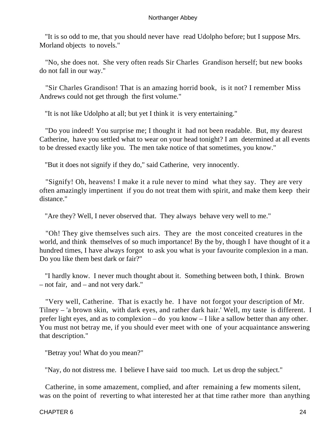"It is so odd to me, that you should never have read Udolpho before; but I suppose Mrs. Morland objects to novels."

 "No, she does not. She very often reads Sir Charles Grandison herself; but new books do not fall in our way."

 "Sir Charles Grandison! That is an amazing horrid book, is it not? I remember Miss Andrews could not get through the first volume."

"It is not like Udolpho at all; but yet I think it is very entertaining."

 "Do you indeed! You surprise me; I thought it had not been readable. But, my dearest Catherine, have you settled what to wear on your head tonight? I am determined at all events to be dressed exactly like you. The men take notice of that sometimes, you know."

"But it does not signify if they do," said Catherine, very innocently.

 "Signify! Oh, heavens! I make it a rule never to mind what they say. They are very often amazingly impertinent if you do not treat them with spirit, and make them keep their distance."

"Are they? Well, I never observed that. They always behave very well to me."

 "Oh! They give themselves such airs. They are the most conceited creatures in the world, and think themselves of so much importance! By the by, though I have thought of it a hundred times, I have always forgot to ask you what is your favourite complexion in a man. Do you like them best dark or fair?"

 "I hardly know. I never much thought about it. Something between both, I think. Brown – not fair, and – and not very dark."

 "Very well, Catherine. That is exactly he. I have not forgot your description of Mr. Tilney – 'a brown skin, with dark eyes, and rather dark hair.' Well, my taste is different. I prefer light eyes, and as to complexion – do you know – I like a sallow better than any other. You must not betray me, if you should ever meet with one of your acquaintance answering that description."

"Betray you! What do you mean?"

"Nay, do not distress me. I believe I have said too much. Let us drop the subject."

 Catherine, in some amazement, complied, and after remaining a few moments silent, was on the point of reverting to what interested her at that time rather more than anything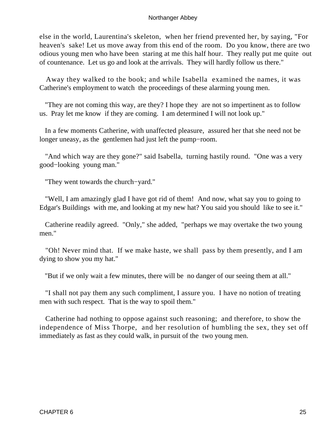else in the world, Laurentina's skeleton, when her friend prevented her, by saying, "For heaven's sake! Let us move away from this end of the room. Do you know, there are two odious young men who have been staring at me this half hour. They really put me quite out of countenance. Let us go and look at the arrivals. They will hardly follow us there."

 Away they walked to the book; and while Isabella examined the names, it was Catherine's employment to watch the proceedings of these alarming young men.

 "They are not coming this way, are they? I hope they are not so impertinent as to follow us. Pray let me know if they are coming. I am determined I will not look up."

 In a few moments Catherine, with unaffected pleasure, assured her that she need not be longer uneasy, as the gentlemen had just left the pump−room.

 "And which way are they gone?" said Isabella, turning hastily round. "One was a very good−looking young man."

"They went towards the church−yard."

 "Well, I am amazingly glad I have got rid of them! And now, what say you to going to Edgar's Buildings with me, and looking at my new hat? You said you should like to see it."

 Catherine readily agreed. "Only," she added, "perhaps we may overtake the two young men."

 "Oh! Never mind that. If we make haste, we shall pass by them presently, and I am dying to show you my hat."

"But if we only wait a few minutes, there will be no danger of our seeing them at all."

 "I shall not pay them any such compliment, I assure you. I have no notion of treating men with such respect. That is the way to spoil them."

 Catherine had nothing to oppose against such reasoning; and therefore, to show the independence of Miss Thorpe, and her resolution of humbling the sex, they set off immediately as fast as they could walk, in pursuit of the two young men.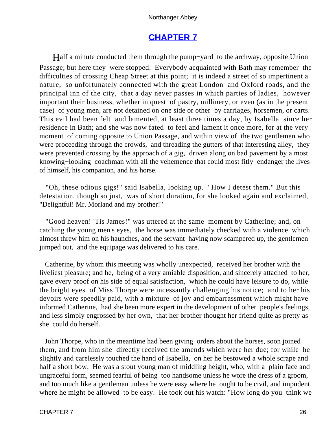# **[CHAPTER 7](#page-165-0)**

Half a minute conducted them through the pump−yard to the archway, opposite Union Passage; but here they were stopped. Everybody acquainted with Bath may remember the difficulties of crossing Cheap Street at this point; it is indeed a street of so impertinent a nature, so unfortunately connected with the great London and Oxford roads, and the principal inn of the city, that a day never passes in which parties of ladies, however important their business, whether in quest of pastry, millinery, or even (as in the present case) of young men, are not detained on one side or other by carriages, horsemen, or carts. This evil had been felt and lamented, at least three times a day, by Isabella since her residence in Bath; and she was now fated to feel and lament it once more, for at the very moment of coming opposite to Union Passage, and within view of the two gentlemen who were proceeding through the crowds, and threading the gutters of that interesting alley, they were prevented crossing by the approach of a gig, driven along on bad pavement by a most knowing−looking coachman with all the vehemence that could most fitly endanger the lives of himself, his companion, and his horse.

 "Oh, these odious gigs!" said Isabella, looking up. "How I detest them." But this detestation, though so just, was of short duration, for she looked again and exclaimed, "Delightful! Mr. Morland and my brother!"

 "Good heaven! 'Tis James!" was uttered at the same moment by Catherine; and, on catching the young men's eyes, the horse was immediately checked with a violence which almost threw him on his haunches, and the servant having now scampered up, the gentlemen jumped out, and the equipage was delivered to his care.

 Catherine, by whom this meeting was wholly unexpected, received her brother with the liveliest pleasure; and he, being of a very amiable disposition, and sincerely attached to her, gave every proof on his side of equal satisfaction, which he could have leisure to do, while the bright eyes of Miss Thorpe were incessantly challenging his notice; and to her his devoirs were speedily paid, with a mixture of joy and embarrassment which might have informed Catherine, had she been more expert in the development of other people's feelings, and less simply engrossed by her own, that her brother thought her friend quite as pretty as she could do herself.

 John Thorpe, who in the meantime had been giving orders about the horses, soon joined them, and from him she directly received the amends which were her due; for while he slightly and carelessly touched the hand of Isabella, on her he bestowed a whole scrape and half a short bow. He was a stout young man of middling height, who, with a plain face and ungraceful form, seemed fearful of being too handsome unless he wore the dress of a groom, and too much like a gentleman unless he were easy where he ought to be civil, and impudent where he might be allowed to be easy. He took out his watch: "How long do you think we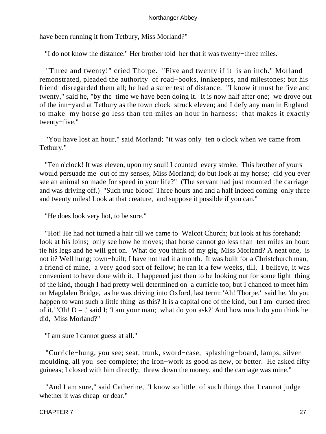have been running it from Tetbury, Miss Morland?"

"I do not know the distance." Her brother told her that it was twenty−three miles.

 "Three and twenty!" cried Thorpe. "Five and twenty if it is an inch." Morland remonstrated, pleaded the authority of road−books, innkeepers, and milestones; but his friend disregarded them all; he had a surer test of distance. "I know it must be five and twenty," said he, "by the time we have been doing it. It is now half after one; we drove out of the inn−yard at Tetbury as the town clock struck eleven; and I defy any man in England to make my horse go less than ten miles an hour in harness; that makes it exactly twenty−five."

 "You have lost an hour," said Morland; "it was only ten o'clock when we came from Tetbury."

 "Ten o'clock! It was eleven, upon my soul! I counted every stroke. This brother of yours would persuade me out of my senses, Miss Morland; do but look at my horse; did you ever see an animal so made for speed in your life?" (The servant had just mounted the carriage and was driving off.) "Such true blood! Three hours and and a half indeed coming only three and twenty miles! Look at that creature, and suppose it possible if you can."

"He does look very hot, to be sure."

 "Hot! He had not turned a hair till we came to Walcot Church; but look at his forehand; look at his loins; only see how he moves; that horse cannot go less than ten miles an hour: tie his legs and he will get on. What do you think of my gig, Miss Morland? A neat one, is not it? Well hung; town−built; I have not had it a month. It was built for a Christchurch man, a friend of mine, a very good sort of fellow; he ran it a few weeks, till, I believe, it was convenient to have done with it. I happened just then to be looking out for some light thing of the kind, though I had pretty well determined on a curricle too; but I chanced to meet him on Magdalen Bridge, as he was driving into Oxford, last term: 'Ah! Thorpe,' said he, 'do you happen to want such a little thing as this? It is a capital one of the kind, but I am cursed tired of it.' 'Oh! D – ,' said I; 'I am your man; what do you ask?' And how much do you think he did, Miss Morland?"

"I am sure I cannot guess at all."

 "Curricle−hung, you see; seat, trunk, sword−case, splashing−board, lamps, silver moulding, all you see complete; the iron−work as good as new, or better. He asked fifty guineas; I closed with him directly, threw down the money, and the carriage was mine."

 "And I am sure," said Catherine, "I know so little of such things that I cannot judge whether it was cheap or dear."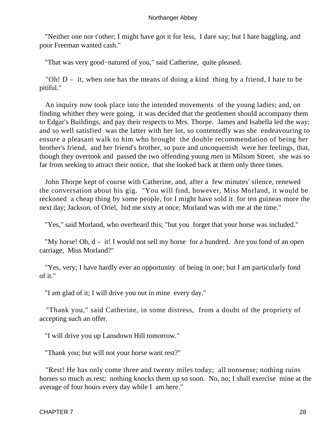"Neither one nor t'other; I might have got it for less, I dare say; but I hate haggling, and poor Freeman wanted cash."

"That was very good−natured of you," said Catherine, quite pleased.

"Oh!  $D - it$ , when one has the means of doing a kind thing by a friend, I hate to be pitiful."

 An inquiry now took place into the intended movements of the young ladies; and, on finding whither they were going, it was decided that the gentlemen should accompany them to Edgar's Buildings, and pay their respects to Mrs. Thorpe. James and Isabella led the way; and so well satisfied was the latter with her lot, so contentedly was she endeavouring to ensure a pleasant walk to him who brought the double recommendation of being her brother's friend, and her friend's brother, so pure and uncoquettish were her feelings, that, though they overtook and passed the two offending young men in Milsom Street, she was so far from seeking to attract their notice, that she looked back at them only three times.

 John Thorpe kept of course with Catherine, and, after a few minutes' silence, renewed the conversation about his gig. "You will find, however, Miss Morland, it would be reckoned a cheap thing by some people, for I might have sold it for ten guineas more the next day; Jackson, of Oriel, bid me sixty at once; Morland was with me at the time."

"Yes," said Morland, who overheard this; "but you forget that your horse was included."

"My horse! Oh,  $d - it!$  I would not sell my horse for a hundred. Are you fond of an open carriage, Miss Morland?"

 "Yes, very; I have hardly ever an opportunity of being in one; but I am particularly fond of it."

"I am glad of it; I will drive you out in mine every day."

 "Thank you," said Catherine, in some distress, from a doubt of the propriety of accepting such an offer.

"I will drive you up Lansdown Hill tomorrow."

"Thank you; but will not your horse want rest?"

 "Rest! He has only come three and twenty miles today; all nonsense; nothing ruins horses so much as rest; nothing knocks them up so soon. No, no; I shall exercise mine at the average of four hours every day while I am here."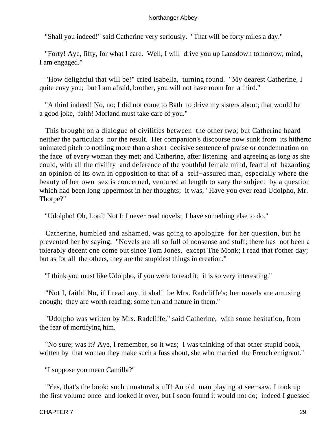"Shall you indeed!" said Catherine very seriously. "That will be forty miles a day."

 "Forty! Aye, fifty, for what I care. Well, I will drive you up Lansdown tomorrow; mind, I am engaged."

 "How delightful that will be!" cried Isabella, turning round. "My dearest Catherine, I quite envy you; but I am afraid, brother, you will not have room for a third."

 "A third indeed! No, no; I did not come to Bath to drive my sisters about; that would be a good joke, faith! Morland must take care of you."

 This brought on a dialogue of civilities between the other two; but Catherine heard neither the particulars nor the result. Her companion's discourse now sunk from its hitherto animated pitch to nothing more than a short decisive sentence of praise or condemnation on the face of every woman they met; and Catherine, after listening and agreeing as long as she could, with all the civility and deference of the youthful female mind, fearful of hazarding an opinion of its own in opposition to that of a self−assured man, especially where the beauty of her own sex is concerned, ventured at length to vary the subject by a question which had been long uppermost in her thoughts; it was, "Have you ever read Udolpho, Mr. Thorpe?"

"Udolpho! Oh, Lord! Not I; I never read novels; I have something else to do."

 Catherine, humbled and ashamed, was going to apologize for her question, but he prevented her by saying, "Novels are all so full of nonsense and stuff; there has not been a tolerably decent one come out since Tom Jones, except The Monk; I read that t'other day; but as for all the others, they are the stupidest things in creation."

"I think you must like Udolpho, if you were to read it; it is so very interesting."

 "Not I, faith! No, if I read any, it shall be Mrs. Radcliffe's; her novels are amusing enough; they are worth reading; some fun and nature in them."

 "Udolpho was written by Mrs. Radcliffe," said Catherine, with some hesitation, from the fear of mortifying him.

 "No sure; was it? Aye, I remember, so it was; I was thinking of that other stupid book, written by that woman they make such a fuss about, she who married the French emigrant."

"I suppose you mean Camilla?"

 "Yes, that's the book; such unnatural stuff! An old man playing at see−saw, I took up the first volume once and looked it over, but I soon found it would not do; indeed I guessed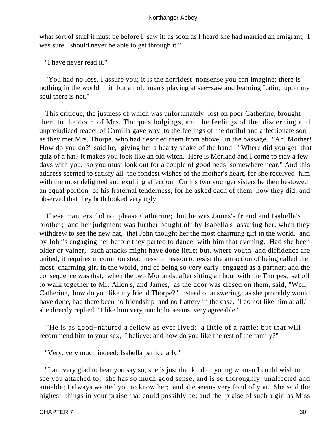what sort of stuff it must be before I saw it: as soon as I heard she had married an emigrant, I was sure I should never be able to get through it."

"I have never read it."

 "You had no loss, I assure you; it is the horridest nonsense you can imagine; there is nothing in the world in it but an old man's playing at see−saw and learning Latin; upon my soul there is not."

 This critique, the justness of which was unfortunately lost on poor Catherine, brought them to the door of Mrs. Thorpe's lodgings, and the feelings of the discerning and unprejudiced reader of Camilla gave way to the feelings of the dutiful and affectionate son, as they met Mrs. Thorpe, who had descried them from above, in the passage. "Ah, Mother! How do you do?" said he, giving her a hearty shake of the hand. "Where did you get that quiz of a hat? It makes you look like an old witch. Here is Morland and I come to stay a few days with you, so you must look out for a couple of good beds somewhere near." And this address seemed to satisfy all the fondest wishes of the mother's heart, for she received him with the most delighted and exulting affection. On his two younger sisters he then bestowed an equal portion of his fraternal tenderness, for he asked each of them how they did, and observed that they both looked very ugly.

 These manners did not please Catherine; but he was James's friend and Isabella's brother; and her judgment was further bought off by Isabella's assuring her, when they withdrew to see the new hat, that John thought her the most charming girl in the world, and by John's engaging her before they parted to dance with him that evening. Had she been older or vainer, such attacks might have done little; but, where youth and diffidence are united, it requires uncommon steadiness of reason to resist the attraction of being called the most charming girl in the world, and of being so very early engaged as a partner; and the consequence was that, when the two Morlands, after sitting an hour with the Thorpes, set off to walk together to Mr. Allen's, and James, as the door was closed on them, said, "Well, Catherine, how do you like my friend Thorpe?" instead of answering, as she probably would have done, had there been no friendship and no flattery in the case, "I do not like him at all," she directly replied, "I like him very much; he seems very agreeable."

 "He is as good−natured a fellow as ever lived; a little of a rattle; but that will recommend him to your sex, I believe: and how do you like the rest of the family?"

"Very, very much indeed: Isabella particularly."

 "I am very glad to hear you say so; she is just the kind of young woman I could wish to see you attached to; she has so much good sense, and is so thoroughly unaffected and amiable; I always wanted you to know her; and she seems very fond of you. She said the highest things in your praise that could possibly be; and the praise of such a girl as Miss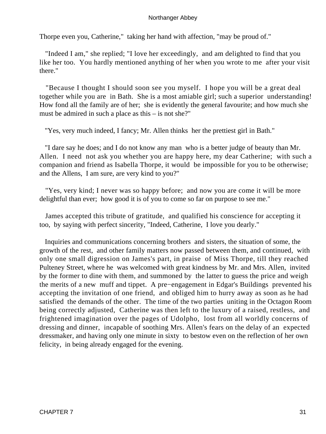Thorpe even you, Catherine," taking her hand with affection, "may be proud of."

 "Indeed I am," she replied; "I love her exceedingly, and am delighted to find that you like her too. You hardly mentioned anything of her when you wrote to me after your visit there."

 "Because I thought I should soon see you myself. I hope you will be a great deal together while you are in Bath. She is a most amiable girl; such a superior understanding! How fond all the family are of her; she is evidently the general favourite; and how much she must be admired in such a place as this – is not she?"

"Yes, very much indeed, I fancy; Mr. Allen thinks her the prettiest girl in Bath."

 "I dare say he does; and I do not know any man who is a better judge of beauty than Mr. Allen. I need not ask you whether you are happy here, my dear Catherine; with such a companion and friend as Isabella Thorpe, it would be impossible for you to be otherwise; and the Allens, I am sure, are very kind to you?"

 "Yes, very kind; I never was so happy before; and now you are come it will be more delightful than ever; how good it is of you to come so far on purpose to see me."

 James accepted this tribute of gratitude, and qualified his conscience for accepting it too, by saying with perfect sincerity, "Indeed, Catherine, I love you dearly."

 Inquiries and communications concerning brothers and sisters, the situation of some, the growth of the rest, and other family matters now passed between them, and continued, with only one small digression on James's part, in praise of Miss Thorpe, till they reached Pulteney Street, where he was welcomed with great kindness by Mr. and Mrs. Allen, invited by the former to dine with them, and summoned by the latter to guess the price and weigh the merits of a new muff and tippet. A pre−engagement in Edgar's Buildings prevented his accepting the invitation of one friend, and obliged him to hurry away as soon as he had satisfied the demands of the other. The time of the two parties uniting in the Octagon Room being correctly adjusted, Catherine was then left to the luxury of a raised, restless, and frightened imagination over the pages of Udolpho, lost from all worldly concerns of dressing and dinner, incapable of soothing Mrs. Allen's fears on the delay of an expected dressmaker, and having only one minute in sixty to bestow even on the reflection of her own felicity, in being already engaged for the evening.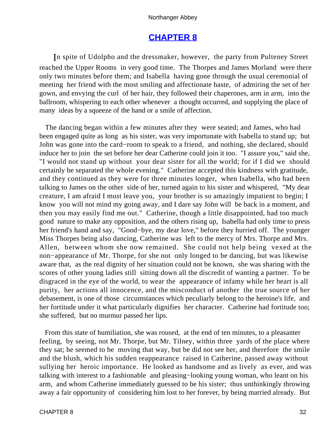# **[CHAPTER 8](#page-165-0)**

In spite of Udolpho and the dressmaker, however, the party from Pulteney Street reached the Upper Rooms in very good time. The Thorpes and James Morland were there only two minutes before them; and Isabella having gone through the usual ceremonial of meeting her friend with the most smiling and affectionate haste, of admiring the set of her gown, and envying the curl of her hair, they followed their chaperones, arm in arm, into the ballroom, whispering to each other whenever a thought occurred, and supplying the place of many ideas by a squeeze of the hand or a smile of affection.

 The dancing began within a few minutes after they were seated; and James, who had been engaged quite as long as his sister, was very importunate with Isabella to stand up; but John was gone into the card−room to speak to a friend, and nothing, she declared, should induce her to join the set before her dear Catherine could join it too. "I assure you," said she, "I would not stand up without your dear sister for all the world; for if I did we should certainly be separated the whole evening." Catherine accepted this kindness with gratitude, and they continued as they were for three minutes longer, when Isabella, who had been talking to James on the other side of her, turned again to his sister and whispered, "My dear creature, I am afraid I must leave you, your brother is so amazingly impatient to begin; I know you will not mind my going away, and I dare say John will be back in a moment, and then you may easily find me out." Catherine, though a little disappointed, had too much good nature to make any opposition, and the others rising up, Isabella had only time to press her friend's hand and say, "Good−bye, my dear love," before they hurried off. The younger Miss Thorpes being also dancing, Catherine was left to the mercy of Mrs. Thorpe and Mrs. Allen, between whom she now remained. She could not help being vexed at the non−appearance of Mr. Thorpe, for she not only longed to be dancing, but was likewise aware that, as the real dignity of her situation could not be known, she was sharing with the scores of other young ladies still sitting down all the discredit of wanting a partner. To be disgraced in the eye of the world, to wear the appearance of infamy while her heart is all purity, her actions all innocence, and the misconduct of another the true source of her debasement, is one of those circumstances which peculiarly belong to the heroine's life, and her fortitude under it what particularly dignifies her character. Catherine had fortitude too; she suffered, but no murmur passed her lips.

 From this state of humiliation, she was roused, at the end of ten minutes, to a pleasanter feeling, by seeing, not Mr. Thorpe, but Mr. Tilney, within three yards of the place where they sat; he seemed to be moving that way, but be did not see her, and therefore the smile and the blush, which his sudden reappearance raised in Catherine, passed away without sullying her heroic importance. He looked as handsome and as lively as ever, and was talking with interest to a fashionable and pleasing−looking young woman, who leant on his arm, and whom Catherine immediately guessed to be his sister; thus unthinkingly throwing away a fair opportunity of considering him lost to her forever, by being married already. But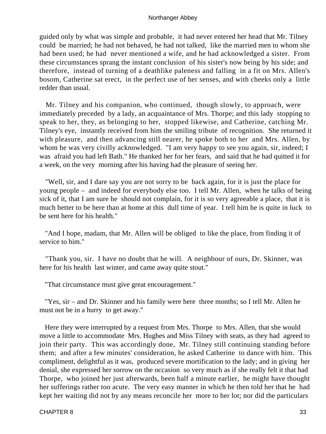guided only by what was simple and probable, it had never entered her head that Mr. Tilney could be married; he had not behaved, he had not talked, like the married men to whom she had been used; he had never mentioned a wife, and he had acknowledged a sister. From these circumstances sprang the instant conclusion of his sister's now being by his side; and therefore, instead of turning of a deathlike paleness and falling in a fit on Mrs. Allen's bosom, Catherine sat erect, in the perfect use of her senses, and with cheeks only a little redder than usual.

 Mr. Tilney and his companion, who continued, though slowly, to approach, were immediately preceded by a lady, an acquaintance of Mrs. Thorpe; and this lady stopping to speak to her, they, as belonging to her, stopped likewise, and Catherine, catching Mr. Tilney's eye, instantly received from him the smiling tribute of recognition. She returned it with pleasure, and then advancing still nearer, he spoke both to her and Mrs. Allen, by whom he was very civilly acknowledged. "I am very happy to see you again, sir, indeed; I was afraid you had left Bath." He thanked her for her fears, and said that he had quitted it for a week, on the very morning after his having had the pleasure of seeing her.

 "Well, sir, and I dare say you are not sorry to be back again, for it is just the place for young people – and indeed for everybody else too. I tell Mr. Allen, when he talks of being sick of it, that I am sure he should not complain, for it is so very agreeable a place, that it is much better to be here than at home at this dull time of year. I tell him he is quite in luck to be sent here for his health."

 "And I hope, madam, that Mr. Allen will be obliged to like the place, from finding it of service to him."

 "Thank you, sir. I have no doubt that he will. A neighbour of ours, Dr. Skinner, was here for his health last winter, and came away quite stout."

"That circumstance must give great encouragement."

 "Yes, sir – and Dr. Skinner and his family were here three months; so I tell Mr. Allen he must not be in a hurry to get away."

 Here they were interrupted by a request from Mrs. Thorpe to Mrs. Allen, that she would move a little to accommodate Mrs. Hughes and Miss Tilney with seats, as they had agreed to join their party. This was accordingly done, Mr. Tilney still continuing standing before them; and after a few minutes' consideration, he asked Catherine to dance with him. This compliment, delightful as it was, produced severe mortification to the lady; and in giving her denial, she expressed her sorrow on the occasion so very much as if she really felt it that had Thorpe, who joined her just afterwards, been half a minute earlier, he might have thought her sufferings rather too acute. The very easy manner in which he then told her that he had kept her waiting did not by any means reconcile her more to her lot; nor did the particulars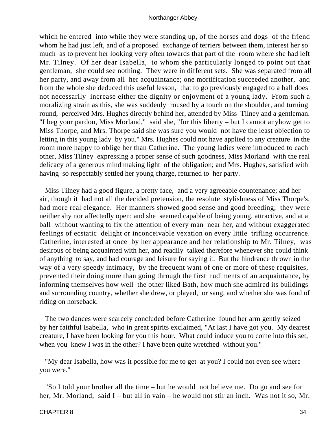which he entered into while they were standing up, of the horses and dogs of the friend whom he had just left, and of a proposed exchange of terriers between them, interest her so much as to prevent her looking very often towards that part of the room where she had left Mr. Tilney. Of her dear Isabella, to whom she particularly longed to point out that gentleman, she could see nothing. They were in different sets. She was separated from all her party, and away from all her acquaintance; one mortification succeeded another, and from the whole she deduced this useful lesson, that to go previously engaged to a ball does not necessarily increase either the dignity or enjoyment of a young lady. From such a moralizing strain as this, she was suddenly roused by a touch on the shoulder, and turning round, perceived Mrs. Hughes directly behind her, attended by Miss Tilney and a gentleman. "I beg your pardon, Miss Morland," said she, "for this liberty – but I cannot anyhow get to Miss Thorpe, and Mrs. Thorpe said she was sure you would not have the least objection to letting in this young lady by you." Mrs. Hughes could not have applied to any creature in the room more happy to oblige her than Catherine. The young ladies were introduced to each other, Miss Tilney expressing a proper sense of such goodness, Miss Morland with the real delicacy of a generous mind making light of the obligation; and Mrs. Hughes, satisfied with having so respectably settled her young charge, returned to her party.

 Miss Tilney had a good figure, a pretty face, and a very agreeable countenance; and her air, though it had not all the decided pretension, the resolute stylishness of Miss Thorpe's, had more real elegance. Her manners showed good sense and good breeding; they were neither shy nor affectedly open; and she seemed capable of being young, attractive, and at a ball without wanting to fix the attention of every man near her, and without exaggerated feelings of ecstatic delight or inconceivable vexation on every little trifling occurrence. Catherine, interested at once by her appearance and her relationship to Mr. Tilney, was desirous of being acquainted with her, and readily talked therefore whenever she could think of anything to say, and had courage and leisure for saying it. But the hindrance thrown in the way of a very speedy intimacy, by the frequent want of one or more of these requisites, prevented their doing more than going through the first rudiments of an acquaintance, by informing themselves how well the other liked Bath, how much she admired its buildings and surrounding country, whether she drew, or played, or sang, and whether she was fond of riding on horseback.

 The two dances were scarcely concluded before Catherine found her arm gently seized by her faithful Isabella, who in great spirits exclaimed, "At last I have got you. My dearest creature, I have been looking for you this hour. What could induce you to come into this set, when you knew I was in the other? I have been quite wretched without you."

 "My dear Isabella, how was it possible for me to get at you? I could not even see where you were."

 "So I told your brother all the time – but he would not believe me. Do go and see for her, Mr. Morland, said I – but all in vain – he would not stir an inch. Was not it so, Mr.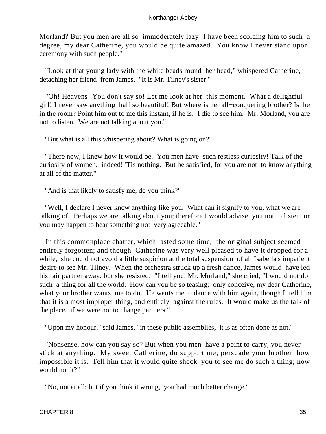Morland? But you men are all so immoderately lazy! I have been scolding him to such a degree, my dear Catherine, you would be quite amazed. You know I never stand upon ceremony with such people."

 "Look at that young lady with the white beads round her head," whispered Catherine, detaching her friend from James. "It is Mr. Tilney's sister."

 "Oh! Heavens! You don't say so! Let me look at her this moment. What a delightful girl! I never saw anything half so beautiful! But where is her all−conquering brother? Is he in the room? Point him out to me this instant, if he is. I die to see him. Mr. Morland, you are not to listen. We are not talking about you."

"But what is all this whispering about? What is going on?"

 "There now, I knew how it would be. You men have such restless curiosity! Talk of the curiosity of women, indeed! 'Tis nothing. But be satisfied, for you are not to know anything at all of the matter."

"And is that likely to satisfy me, do you think?"

 "Well, I declare I never knew anything like you. What can it signify to you, what we are talking of. Perhaps we are talking about you; therefore I would advise you not to listen, or you may happen to hear something not very agreeable."

 In this commonplace chatter, which lasted some time, the original subject seemed entirely forgotten; and though Catherine was very well pleased to have it dropped for a while, she could not avoid a little suspicion at the total suspension of all Isabella's impatient desire to see Mr. Tilney. When the orchestra struck up a fresh dance, James would have led his fair partner away, but she resisted. "I tell you, Mr. Morland," she cried, "I would not do such a thing for all the world. How can you be so teasing; only conceive, my dear Catherine, what your brother wants me to do. He wants me to dance with him again, though I tell him that it is a most improper thing, and entirely against the rules. It would make us the talk of the place, if we were not to change partners."

"Upon my honour," said James, "in these public assemblies, it is as often done as not."

 "Nonsense, how can you say so? But when you men have a point to carry, you never stick at anything. My sweet Catherine, do support me; persuade your brother how impossible it is. Tell him that it would quite shock you to see me do such a thing; now would not it?"

"No, not at all; but if you think it wrong, you had much better change."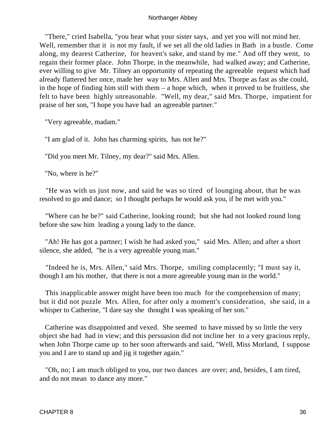"There," cried Isabella, "you hear what your sister says, and yet you will not mind her. Well, remember that it is not my fault, if we set all the old ladies in Bath in a bustle. Come along, my dearest Catherine, for heaven's sake, and stand by me." And off they went, to regain their former place. John Thorpe, in the meanwhile, had walked away; and Catherine, ever willing to give Mr. Tilney an opportunity of repeating the agreeable request which had already flattered her once, made her way to Mrs. Allen and Mrs. Thorpe as fast as she could, in the hope of finding him still with them – a hope which, when it proved to be fruitless, she felt to have been highly unreasonable. "Well, my dear," said Mrs. Thorpe, impatient for praise of her son, "I hope you have had an agreeable partner."

"Very agreeable, madam."

"I am glad of it. John has charming spirits, has not he?"

"Did you meet Mr. Tilney, my dear?" said Mrs. Allen.

"No, where is he?"

 "He was with us just now, and said he was so tired of lounging about, that he was resolved to go and dance; so I thought perhaps he would ask you, if he met with you."

 "Where can he be?" said Catherine, looking round; but she had not looked round long before she saw him leading a young lady to the dance.

 "Ah! He has got a partner; I wish he had asked you," said Mrs. Allen; and after a short silence, she added, "he is a very agreeable young man."

 "Indeed he is, Mrs. Allen," said Mrs. Thorpe, smiling complacently; "I must say it, though I am his mother, that there is not a more agreeable young man in the world."

 This inapplicable answer might have been too much for the comprehension of many; but it did not puzzle Mrs. Allen, for after only a moment's consideration, she said, in a whisper to Catherine, "I dare say she thought I was speaking of her son."

 Catherine was disappointed and vexed. She seemed to have missed by so little the very object she had had in view; and this persuasion did not incline her to a very gracious reply, when John Thorpe came up to her soon afterwards and said, "Well, Miss Morland, I suppose you and I are to stand up and jig it together again."

 "Oh, no; I am much obliged to you, our two dances are over; and, besides, I am tired, and do not mean to dance any more."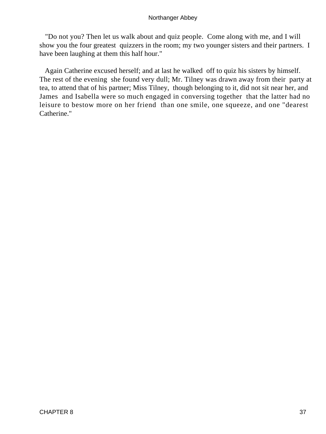"Do not you? Then let us walk about and quiz people. Come along with me, and I will show you the four greatest quizzers in the room; my two younger sisters and their partners. I have been laughing at them this half hour."

 Again Catherine excused herself; and at last he walked off to quiz his sisters by himself. The rest of the evening she found very dull; Mr. Tilney was drawn away from their party at tea, to attend that of his partner; Miss Tilney, though belonging to it, did not sit near her, and James and Isabella were so much engaged in conversing together that the latter had no leisure to bestow more on her friend than one smile, one squeeze, and one "dearest Catherine."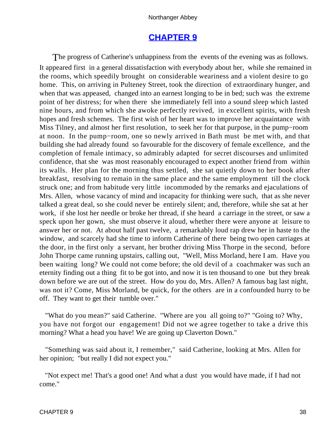# **[CHAPTER 9](#page-165-0)**

The progress of Catherine's unhappiness from the events of the evening was as follows. It appeared first in a general dissatisfaction with everybody about her, while she remained in the rooms, which speedily brought on considerable weariness and a violent desire to go home. This, on arriving in Pulteney Street, took the direction of extraordinary hunger, and when that was appeased, changed into an earnest longing to be in bed; such was the extreme point of her distress; for when there she immediately fell into a sound sleep which lasted nine hours, and from which she awoke perfectly revived, in excellent spirits, with fresh hopes and fresh schemes. The first wish of her heart was to improve her acquaintance with Miss Tilney, and almost her first resolution, to seek her for that purpose, in the pump−room at noon. In the pump−room, one so newly arrived in Bath must be met with, and that building she had already found so favourable for the discovery of female excellence, and the completion of female intimacy, so admirably adapted for secret discourses and unlimited confidence, that she was most reasonably encouraged to expect another friend from within its walls. Her plan for the morning thus settled, she sat quietly down to her book after breakfast, resolving to remain in the same place and the same employment till the clock struck one; and from habitude very little incommoded by the remarks and ejaculations of Mrs. Allen, whose vacancy of mind and incapacity for thinking were such, that as she never talked a great deal, so she could never be entirely silent; and, therefore, while she sat at her work, if she lost her needle or broke her thread, if she heard a carriage in the street, or saw a speck upon her gown, she must observe it aloud, whether there were anyone at leisure to answer her or not. At about half past twelve, a remarkably loud rap drew her in haste to the window, and scarcely had she time to inform Catherine of there being two open carriages at the door, in the first only a servant, her brother driving Miss Thorpe in the second, before John Thorpe came running upstairs, calling out, "Well, Miss Morland, here I am. Have you been waiting long? We could not come before; the old devil of a coachmaker was such an eternity finding out a thing fit to be got into, and now it is ten thousand to one but they break down before we are out of the street. How do you do, Mrs. Allen? A famous bag last night, was not it? Come, Miss Morland, be quick, for the others are in a confounded hurry to be off. They want to get their tumble over."

 "What do you mean?" said Catherine. "Where are you all going to?" "Going to? Why, you have not forgot our engagement! Did not we agree together to take a drive this morning? What a head you have! We are going up Claverton Down."

 "Something was said about it, I remember," said Catherine, looking at Mrs. Allen for her opinion; "but really I did not expect you."

 "Not expect me! That's a good one! And what a dust you would have made, if I had not come."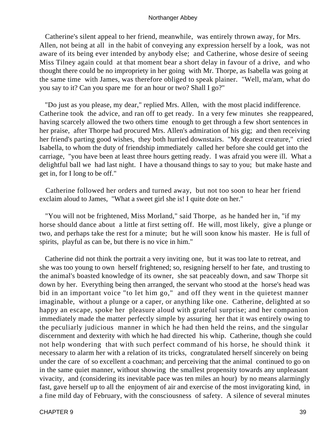Catherine's silent appeal to her friend, meanwhile, was entirely thrown away, for Mrs. Allen, not being at all in the habit of conveying any expression herself by a look, was not aware of its being ever intended by anybody else; and Catherine, whose desire of seeing Miss Tilney again could at that moment bear a short delay in favour of a drive, and who thought there could be no impropriety in her going with Mr. Thorpe, as Isabella was going at the same time with James, was therefore obliged to speak plainer. "Well, ma'am, what do you say to it? Can you spare me for an hour or two? Shall I go?"

 "Do just as you please, my dear," replied Mrs. Allen, with the most placid indifference. Catherine took the advice, and ran off to get ready. In a very few minutes she reappeared, having scarcely allowed the two others time enough to get through a few short sentences in her praise, after Thorpe had procured Mrs. Allen's admiration of his gig; and then receiving her friend's parting good wishes, they both hurried downstairs. "My dearest creature," cried Isabella, to whom the duty of friendship immediately called her before she could get into the carriage, "you have been at least three hours getting ready. I was afraid you were ill. What a delightful ball we had last night. I have a thousand things to say to you; but make haste and get in, for I long to be off."

 Catherine followed her orders and turned away, but not too soon to hear her friend exclaim aloud to James, "What a sweet girl she is! I quite dote on her."

 "You will not be frightened, Miss Morland," said Thorpe, as he handed her in, "if my horse should dance about a little at first setting off. He will, most likely, give a plunge or two, and perhaps take the rest for a minute; but he will soon know his master. He is full of spirits, playful as can be, but there is no vice in him."

 Catherine did not think the portrait a very inviting one, but it was too late to retreat, and she was too young to own herself frightened; so, resigning herself to her fate, and trusting to the animal's boasted knowledge of its owner, she sat peaceably down, and saw Thorpe sit down by her. Everything being then arranged, the servant who stood at the horse's head was bid in an important voice "to let him go," and off they went in the quietest manner imaginable, without a plunge or a caper, or anything like one. Catherine, delighted at so happy an escape, spoke her pleasure aloud with grateful surprise; and her companion immediately made the matter perfectly simple by assuring her that it was entirely owing to the peculiarly judicious manner in which he had then held the reins, and the singular discernment and dexterity with which he had directed his whip. Catherine, though she could not help wondering that with such perfect command of his horse, he should think it necessary to alarm her with a relation of its tricks, congratulated herself sincerely on being under the care of so excellent a coachman; and perceiving that the animal continued to go on in the same quiet manner, without showing the smallest propensity towards any unpleasant vivacity, and (considering its inevitable pace was ten miles an hour) by no means alarmingly fast, gave herself up to all the enjoyment of air and exercise of the most invigorating kind, in a fine mild day of February, with the consciousness of safety. A silence of several minutes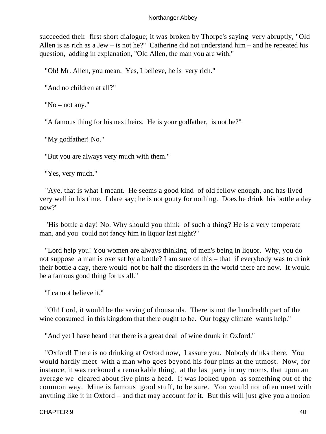succeeded their first short dialogue; it was broken by Thorpe's saying very abruptly, "Old Allen is as rich as a Jew – is not he?" Catherine did not understand him – and he repeated his question, adding in explanation, "Old Allen, the man you are with."

"Oh! Mr. Allen, you mean. Yes, I believe, he is very rich."

"And no children at all?"

"No – not any."

"A famous thing for his next heirs. He is your godfather, is not he?"

"My godfather! No."

"But you are always very much with them."

"Yes, very much."

 "Aye, that is what I meant. He seems a good kind of old fellow enough, and has lived very well in his time, I dare say; he is not gouty for nothing. Does he drink his bottle a day now?"

 "His bottle a day! No. Why should you think of such a thing? He is a very temperate man, and you could not fancy him in liquor last night?"

 "Lord help you! You women are always thinking of men's being in liquor. Why, you do not suppose a man is overset by a bottle? I am sure of this – that if everybody was to drink their bottle a day, there would not be half the disorders in the world there are now. It would be a famous good thing for us all."

"I cannot believe it."

 "Oh! Lord, it would be the saving of thousands. There is not the hundredth part of the wine consumed in this kingdom that there ought to be. Our foggy climate wants help."

"And yet I have heard that there is a great deal of wine drunk in Oxford."

 "Oxford! There is no drinking at Oxford now, I assure you. Nobody drinks there. You would hardly meet with a man who goes beyond his four pints at the utmost. Now, for instance, it was reckoned a remarkable thing, at the last party in my rooms, that upon an average we cleared about five pints a head. It was looked upon as something out of the common way. Mine is famous good stuff, to be sure. You would not often meet with anything like it in Oxford – and that may account for it. But this will just give you a notion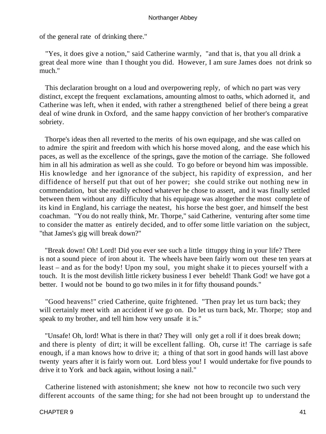of the general rate of drinking there."

 "Yes, it does give a notion," said Catherine warmly, "and that is, that you all drink a great deal more wine than I thought you did. However, I am sure James does not drink so much."

 This declaration brought on a loud and overpowering reply, of which no part was very distinct, except the frequent exclamations, amounting almost to oaths, which adorned it, and Catherine was left, when it ended, with rather a strengthened belief of there being a great deal of wine drunk in Oxford, and the same happy conviction of her brother's comparative sobriety.

 Thorpe's ideas then all reverted to the merits of his own equipage, and she was called on to admire the spirit and freedom with which his horse moved along, and the ease which his paces, as well as the excellence of the springs, gave the motion of the carriage. She followed him in all his admiration as well as she could. To go before or beyond him was impossible. His knowledge and her ignorance of the subject, his rapidity of expression, and her diffidence of herself put that out of her power; she could strike out nothing new in commendation, but she readily echoed whatever he chose to assert, and it was finally settled between them without any difficulty that his equipage was altogether the most complete of its kind in England, his carriage the neatest, his horse the best goer, and himself the best coachman. "You do not really think, Mr. Thorpe," said Catherine, venturing after some time to consider the matter as entirely decided, and to offer some little variation on the subject, "that James's gig will break down?"

 "Break down! Oh! Lord! Did you ever see such a little tittuppy thing in your life? There is not a sound piece of iron about it. The wheels have been fairly worn out these ten years at least – and as for the body! Upon my soul, you might shake it to pieces yourself with a touch. It is the most devilish little rickety business I ever beheld! Thank God! we have got a better. I would not be bound to go two miles in it for fifty thousand pounds."

 "Good heavens!" cried Catherine, quite frightened. "Then pray let us turn back; they will certainly meet with an accident if we go on. Do let us turn back, Mr. Thorpe; stop and speak to my brother, and tell him how very unsafe it is."

 "Unsafe! Oh, lord! What is there in that? They will only get a roll if it does break down; and there is plenty of dirt; it will be excellent falling. Oh, curse it! The carriage is safe enough, if a man knows how to drive it; a thing of that sort in good hands will last above twenty years after it is fairly worn out. Lord bless you! I would undertake for five pounds to drive it to York and back again, without losing a nail."

 Catherine listened with astonishment; she knew not how to reconcile two such very different accounts of the same thing; for she had not been brought up to understand the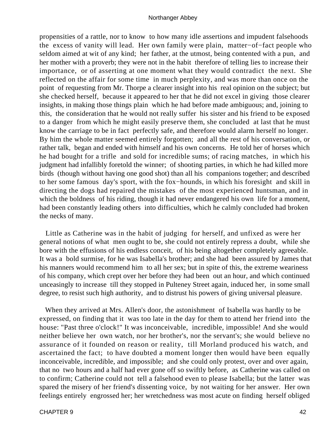propensities of a rattle, nor to know to how many idle assertions and impudent falsehoods the excess of vanity will lead. Her own family were plain, matter−of−fact people who seldom aimed at wit of any kind; her father, at the utmost, being contented with a pun, and her mother with a proverb; they were not in the habit therefore of telling lies to increase their importance, or of asserting at one moment what they would contradict the next. She reflected on the affair for some time in much perplexity, and was more than once on the point of requesting from Mr. Thorpe a clearer insight into his real opinion on the subject; but she checked herself, because it appeared to her that he did not excel in giving those clearer insights, in making those things plain which he had before made ambiguous; and, joining to this, the consideration that he would not really suffer his sister and his friend to be exposed to a danger from which he might easily preserve them, she concluded at last that he must know the carriage to be in fact perfectly safe, and therefore would alarm herself no longer. By him the whole matter seemed entirely forgotten; and all the rest of his conversation, or rather talk, began and ended with himself and his own concerns. He told her of horses which he had bought for a trifle and sold for incredible sums; of racing matches, in which his judgment had infallibly foretold the winner; of shooting parties, in which he had killed more birds (though without having one good shot) than all his companions together; and described to her some famous day's sport, with the fox−hounds, in which his foresight and skill in directing the dogs had repaired the mistakes of the most experienced huntsman, and in which the boldness of his riding, though it had never endangered his own life for a moment, had been constantly leading others into difficulties, which he calmly concluded had broken the necks of many.

 Little as Catherine was in the habit of judging for herself, and unfixed as were her general notions of what men ought to be, she could not entirely repress a doubt, while she bore with the effusions of his endless conceit, of his being altogether completely agreeable. It was a bold surmise, for he was Isabella's brother; and she had been assured by James that his manners would recommend him to all her sex; but in spite of this, the extreme weariness of his company, which crept over her before they had been out an hour, and which continued unceasingly to increase till they stopped in Pulteney Street again, induced her, in some small degree, to resist such high authority, and to distrust his powers of giving universal pleasure.

 When they arrived at Mrs. Allen's door, the astonishment of Isabella was hardly to be expressed, on finding that it was too late in the day for them to attend her friend into the house: "Past three o'clock!" It was inconceivable, incredible, impossible! And she would neither believe her own watch, nor her brother's, nor the servant's; she would believe no assurance of it founded on reason or reality, till Morland produced his watch, and ascertained the fact; to have doubted a moment longer then would have been equally inconceivable, incredible, and impossible; and she could only protest, over and over again, that no two hours and a half had ever gone off so swiftly before, as Catherine was called on to confirm; Catherine could not tell a falsehood even to please Isabella; but the latter was spared the misery of her friend's dissenting voice, by not waiting for her answer. Her own feelings entirely engrossed her; her wretchedness was most acute on finding herself obliged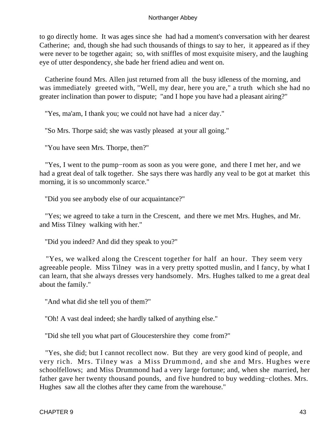to go directly home. It was ages since she had had a moment's conversation with her dearest Catherine; and, though she had such thousands of things to say to her, it appeared as if they were never to be together again; so, with sniffles of most exquisite misery, and the laughing eye of utter despondency, she bade her friend adieu and went on.

 Catherine found Mrs. Allen just returned from all the busy idleness of the morning, and was immediately greeted with, "Well, my dear, here you are," a truth which she had no greater inclination than power to dispute; "and I hope you have had a pleasant airing?"

"Yes, ma'am, I thank you; we could not have had a nicer day."

"So Mrs. Thorpe said; she was vastly pleased at your all going."

"You have seen Mrs. Thorpe, then?"

 "Yes, I went to the pump−room as soon as you were gone, and there I met her, and we had a great deal of talk together. She says there was hardly any veal to be got at market this morning, it is so uncommonly scarce."

"Did you see anybody else of our acquaintance?"

 "Yes; we agreed to take a turn in the Crescent, and there we met Mrs. Hughes, and Mr. and Miss Tilney walking with her."

"Did you indeed? And did they speak to you?"

 "Yes, we walked along the Crescent together for half an hour. They seem very agreeable people. Miss Tilney was in a very pretty spotted muslin, and I fancy, by what I can learn, that she always dresses very handsomely. Mrs. Hughes talked to me a great deal about the family."

"And what did she tell you of them?"

"Oh! A vast deal indeed; she hardly talked of anything else."

"Did she tell you what part of Gloucestershire they come from?"

 "Yes, she did; but I cannot recollect now. But they are very good kind of people, and very rich. Mrs. Tilney was a Miss Drummond, and she and Mrs. Hughes were schoolfellows; and Miss Drummond had a very large fortune; and, when she married, her father gave her twenty thousand pounds, and five hundred to buy wedding−clothes. Mrs. Hughes saw all the clothes after they came from the warehouse."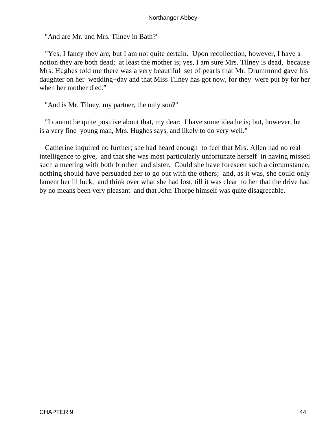"And are Mr. and Mrs. Tilney in Bath?"

 "Yes, I fancy they are, but I am not quite certain. Upon recollection, however, I have a notion they are both dead; at least the mother is; yes, I am sure Mrs. Tilney is dead, because Mrs. Hughes told me there was a very beautiful set of pearls that Mr. Drummond gave his daughter on her wedding−day and that Miss Tilney has got now, for they were put by for her when her mother died."

"And is Mr. Tilney, my partner, the only son?"

 "I cannot be quite positive about that, my dear; I have some idea he is; but, however, he is a very fine young man, Mrs. Hughes says, and likely to do very well."

 Catherine inquired no further; she had heard enough to feel that Mrs. Allen had no real intelligence to give, and that she was most particularly unfortunate herself in having missed such a meeting with both brother and sister. Could she have foreseen such a circumstance, nothing should have persuaded her to go out with the others; and, as it was, she could only lament her ill luck, and think over what she had lost, till it was clear to her that the drive had by no means been very pleasant and that John Thorpe himself was quite disagreeable.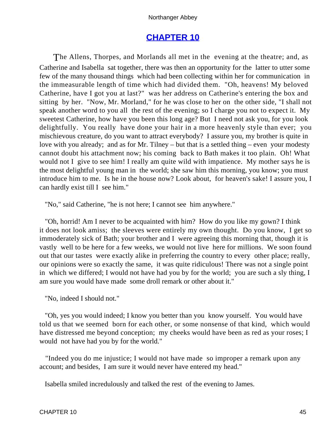# **[CHAPTER 10](#page-165-0)**

The Allens, Thorpes, and Morlands all met in the evening at the theatre; and, as Catherine and Isabella sat together, there was then an opportunity for the latter to utter some few of the many thousand things which had been collecting within her for communication in the immeasurable length of time which had divided them. "Oh, heavens! My beloved Catherine, have I got you at last?" was her address on Catherine's entering the box and sitting by her. "Now, Mr. Morland," for he was close to her on the other side, "I shall not speak another word to you all the rest of the evening; so I charge you not to expect it. My sweetest Catherine, how have you been this long age? But I need not ask you, for you look delightfully. You really have done your hair in a more heavenly style than ever; you mischievous creature, do you want to attract everybody? I assure you, my brother is quite in love with you already; and as for Mr. Tilney – but that is a settled thing – even your modesty cannot doubt his attachment now; his coming back to Bath makes it too plain. Oh! What would not I give to see him! I really am quite wild with impatience. My mother says he is the most delightful young man in the world; she saw him this morning, you know; you must introduce him to me. Is he in the house now? Look about, for heaven's sake! I assure you, I can hardly exist till I see him."

"No," said Catherine, "he is not here; I cannot see him anywhere."

 "Oh, horrid! Am I never to be acquainted with him? How do you like my gown? I think it does not look amiss; the sleeves were entirely my own thought. Do you know, I get so immoderately sick of Bath; your brother and I were agreeing this morning that, though it is vastly well to be here for a few weeks, we would not live here for millions. We soon found out that our tastes were exactly alike in preferring the country to every other place; really, our opinions were so exactly the same, it was quite ridiculous! There was not a single point in which we differed; I would not have had you by for the world; you are such a sly thing, I am sure you would have made some droll remark or other about it."

"No, indeed I should not."

 "Oh, yes you would indeed; I know you better than you know yourself. You would have told us that we seemed born for each other, or some nonsense of that kind, which would have distressed me beyond conception; my cheeks would have been as red as your roses; I would not have had you by for the world."

 "Indeed you do me injustice; I would not have made so improper a remark upon any account; and besides, I am sure it would never have entered my head."

Isabella smiled incredulously and talked the rest of the evening to James.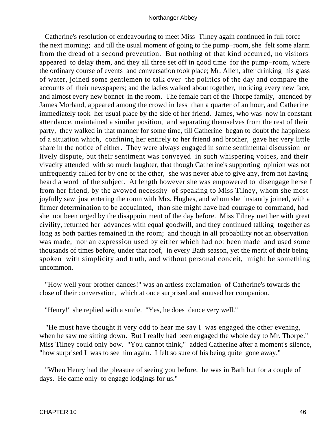Catherine's resolution of endeavouring to meet Miss Tilney again continued in full force the next morning; and till the usual moment of going to the pump−room, she felt some alarm from the dread of a second prevention. But nothing of that kind occurred, no visitors appeared to delay them, and they all three set off in good time for the pump−room, where the ordinary course of events and conversation took place; Mr. Allen, after drinking his glass of water, joined some gentlemen to talk over the politics of the day and compare the accounts of their newspapers; and the ladies walked about together, noticing every new face, and almost every new bonnet in the room. The female part of the Thorpe family, attended by James Morland, appeared among the crowd in less than a quarter of an hour, and Catherine immediately took her usual place by the side of her friend. James, who was now in constant attendance, maintained a similar position, and separating themselves from the rest of their party, they walked in that manner for some time, till Catherine began to doubt the happiness of a situation which, confining her entirely to her friend and brother, gave her very little share in the notice of either. They were always engaged in some sentimental discussion or lively dispute, but their sentiment was conveyed in such whispering voices, and their vivacity attended with so much laughter, that though Catherine's supporting opinion was not unfrequently called for by one or the other, she was never able to give any, from not having heard a word of the subject. At length however she was empowered to disengage herself from her friend, by the avowed necessity of speaking to Miss Tilney, whom she most joyfully saw just entering the room with Mrs. Hughes, and whom she instantly joined, with a firmer determination to be acquainted, than she might have had courage to command, had she not been urged by the disappointment of the day before. Miss Tilney met her with great civility, returned her advances with equal goodwill, and they continued talking together as long as both parties remained in the room; and though in all probability not an observation was made, nor an expression used by either which had not been made and used some thousands of times before, under that roof, in every Bath season, yet the merit of their being spoken with simplicity and truth, and without personal conceit, might be something uncommon.

 "How well your brother dances!" was an artless exclamation of Catherine's towards the close of their conversation, which at once surprised and amused her companion.

"Henry!" she replied with a smile. "Yes, he does dance very well."

 "He must have thought it very odd to hear me say I was engaged the other evening, when he saw me sitting down. But I really had been engaged the whole day to Mr. Thorpe." Miss Tilney could only bow. "You cannot think," added Catherine after a moment's silence, "how surprised I was to see him again. I felt so sure of his being quite gone away."

 "When Henry had the pleasure of seeing you before, he was in Bath but for a couple of days. He came only to engage lodgings for us."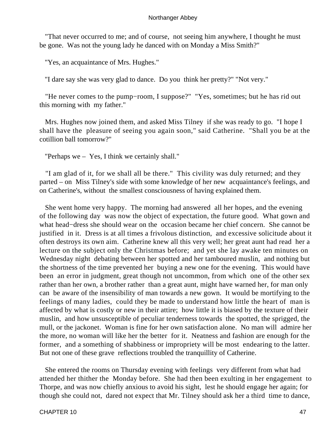"That never occurred to me; and of course, not seeing him anywhere, I thought he must be gone. Was not the young lady he danced with on Monday a Miss Smith?"

"Yes, an acquaintance of Mrs. Hughes."

"I dare say she was very glad to dance. Do you think her pretty?" "Not very."

 "He never comes to the pump−room, I suppose?" "Yes, sometimes; but he has rid out this morning with my father."

 Mrs. Hughes now joined them, and asked Miss Tilney if she was ready to go. "I hope I shall have the pleasure of seeing you again soon," said Catherine. "Shall you be at the cotillion ball tomorrow?"

"Perhaps we – Yes, I think we certainly shall."

 "I am glad of it, for we shall all be there." This civility was duly returned; and they parted – on Miss Tilney's side with some knowledge of her new acquaintance's feelings, and on Catherine's, without the smallest consciousness of having explained them.

 She went home very happy. The morning had answered all her hopes, and the evening of the following day was now the object of expectation, the future good. What gown and what head−dress she should wear on the occasion became her chief concern. She cannot be justified in it. Dress is at all times a frivolous distinction, and excessive solicitude about it often destroys its own aim. Catherine knew all this very well; her great aunt had read her a lecture on the subject only the Christmas before; and yet she lay awake ten minutes on Wednesday night debating between her spotted and her tamboured muslin, and nothing but the shortness of the time prevented her buying a new one for the evening. This would have been an error in judgment, great though not uncommon, from which one of the other sex rather than her own, a brother rather than a great aunt, might have warned her, for man only can be aware of the insensibility of man towards a new gown. It would be mortifying to the feelings of many ladies, could they be made to understand how little the heart of man is affected by what is costly or new in their attire; how little it is biased by the texture of their muslin, and how unsusceptible of peculiar tenderness towards the spotted, the sprigged, the mull, or the jackonet. Woman is fine for her own satisfaction alone. No man will admire her the more, no woman will like her the better for it. Neatness and fashion are enough for the former, and a something of shabbiness or impropriety will be most endearing to the latter. But not one of these grave reflections troubled the tranquillity of Catherine.

 She entered the rooms on Thursday evening with feelings very different from what had attended her thither the Monday before. She had then been exulting in her engagement to Thorpe, and was now chiefly anxious to avoid his sight, lest he should engage her again; for though she could not, dared not expect that Mr. Tilney should ask her a third time to dance,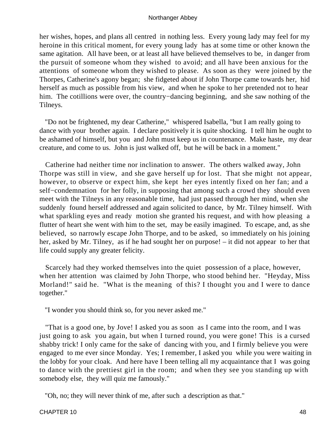her wishes, hopes, and plans all centred in nothing less. Every young lady may feel for my heroine in this critical moment, for every young lady has at some time or other known the same agitation. All have been, or at least all have believed themselves to be, in danger from the pursuit of someone whom they wished to avoid; and all have been anxious for the attentions of someone whom they wished to please. As soon as they were joined by the Thorpes, Catherine's agony began; she fidgeted about if John Thorpe came towards her, hid herself as much as possible from his view, and when he spoke to her pretended not to hear him. The cotillions were over, the country−dancing beginning, and she saw nothing of the Tilneys.

 "Do not be frightened, my dear Catherine," whispered Isabella, "but I am really going to dance with your brother again. I declare positively it is quite shocking. I tell him he ought to be ashamed of himself, but you and John must keep us in countenance. Make haste, my dear creature, and come to us. John is just walked off, but he will be back in a moment."

 Catherine had neither time nor inclination to answer. The others walked away, John Thorpe was still in view, and she gave herself up for lost. That she might not appear, however, to observe or expect him, she kept her eyes intently fixed on her fan; and a self–condemnation for her folly, in supposing that among such a crowd they should even meet with the Tilneys in any reasonable time, had just passed through her mind, when she suddenly found herself addressed and again solicited to dance, by Mr. Tilney himself. With what sparkling eyes and ready motion she granted his request, and with how pleasing a flutter of heart she went with him to the set, may be easily imagined. To escape, and, as she believed, so narrowly escape John Thorpe, and to be asked, so immediately on his joining her, asked by Mr. Tilney, as if he had sought her on purpose! – it did not appear to her that life could supply any greater felicity.

 Scarcely had they worked themselves into the quiet possession of a place, however, when her attention was claimed by John Thorpe, who stood behind her. "Heyday, Miss Morland!" said he. "What is the meaning of this? I thought you and I were to dance together."

"I wonder you should think so, for you never asked me."

 "That is a good one, by Jove! I asked you as soon as I came into the room, and I was just going to ask you again, but when I turned round, you were gone! This is a cursed shabby trick! I only came for the sake of dancing with you, and I firmly believe you were engaged to me ever since Monday. Yes; I remember, I asked you while you were waiting in the lobby for your cloak. And here have I been telling all my acquaintance that I was going to dance with the prettiest girl in the room; and when they see you standing up with somebody else, they will quiz me famously."

"Oh, no; they will never think of me, after such a description as that."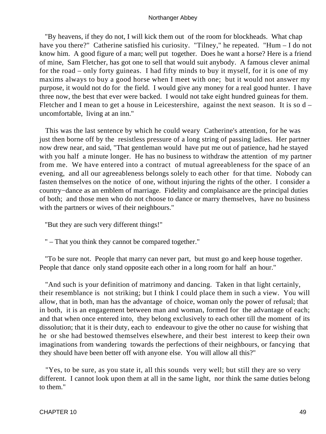"By heavens, if they do not, I will kick them out of the room for blockheads. What chap have you there?" Catherine satisfied his curiosity. "Tilney," he repeated. "Hum – I do not know him. A good figure of a man; well put together. Does he want a horse? Here is a friend of mine, Sam Fletcher, has got one to sell that would suit anybody. A famous clever animal for the road – only forty guineas. I had fifty minds to buy it myself, for it is one of my maxims always to buy a good horse when I meet with one; but it would not answer my purpose, it would not do for the field. I would give any money for a real good hunter. I have three now, the best that ever were backed. I would not take eight hundred guineas for them. Fletcher and I mean to get a house in Leicestershire, against the next season. It is so d – uncomfortable, living at an inn."

 This was the last sentence by which he could weary Catherine's attention, for he was just then borne off by the resistless pressure of a long string of passing ladies. Her partner now drew near, and said, "That gentleman would have put me out of patience, had he stayed with you half a minute longer. He has no business to withdraw the attention of my partner from me. We have entered into a contract of mutual agreeableness for the space of an evening, and all our agreeableness belongs solely to each other for that time. Nobody can fasten themselves on the notice of one, without injuring the rights of the other. I consider a country−dance as an emblem of marriage. Fidelity and complaisance are the principal duties of both; and those men who do not choose to dance or marry themselves, have no business with the partners or wives of their neighbours."

"But they are such very different things!"

" – That you think they cannot be compared together."

 "To be sure not. People that marry can never part, but must go and keep house together. People that dance only stand opposite each other in a long room for half an hour."

 "And such is your definition of matrimony and dancing. Taken in that light certainly, their resemblance is not striking; but I think I could place them in such a view. You will allow, that in both, man has the advantage of choice, woman only the power of refusal; that in both, it is an engagement between man and woman, formed for the advantage of each; and that when once entered into, they belong exclusively to each other till the moment of its dissolution; that it is their duty, each to endeavour to give the other no cause for wishing that he or she had bestowed themselves elsewhere, and their best interest to keep their own imaginations from wandering towards the perfections of their neighbours, or fancying that they should have been better off with anyone else. You will allow all this?"

 "Yes, to be sure, as you state it, all this sounds very well; but still they are so very different. I cannot look upon them at all in the same light, nor think the same duties belong to them."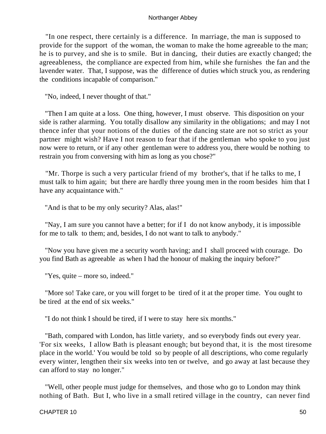"In one respect, there certainly is a difference. In marriage, the man is supposed to provide for the support of the woman, the woman to make the home agreeable to the man; he is to purvey, and she is to smile. But in dancing, their duties are exactly changed; the agreeableness, the compliance are expected from him, while she furnishes the fan and the lavender water. That, I suppose, was the difference of duties which struck you, as rendering the conditions incapable of comparison."

"No, indeed, I never thought of that."

 "Then I am quite at a loss. One thing, however, I must observe. This disposition on your side is rather alarming. You totally disallow any similarity in the obligations; and may I not thence infer that your notions of the duties of the dancing state are not so strict as your partner might wish? Have I not reason to fear that if the gentleman who spoke to you just now were to return, or if any other gentleman were to address you, there would be nothing to restrain you from conversing with him as long as you chose?"

 "Mr. Thorpe is such a very particular friend of my brother's, that if he talks to me, I must talk to him again; but there are hardly three young men in the room besides him that I have any acquaintance with."

"And is that to be my only security? Alas, alas!"

 "Nay, I am sure you cannot have a better; for if I do not know anybody, it is impossible for me to talk to them; and, besides, I do not want to talk to anybody."

 "Now you have given me a security worth having; and I shall proceed with courage. Do you find Bath as agreeable as when I had the honour of making the inquiry before?"

"Yes, quite – more so, indeed."

 "More so! Take care, or you will forget to be tired of it at the proper time. You ought to be tired at the end of six weeks."

"I do not think I should be tired, if I were to stay here six months."

 "Bath, compared with London, has little variety, and so everybody finds out every year. 'For six weeks, I allow Bath is pleasant enough; but beyond that, it is the most tiresome place in the world.' You would be told so by people of all descriptions, who come regularly every winter, lengthen their six weeks into ten or twelve, and go away at last because they can afford to stay no longer."

 "Well, other people must judge for themselves, and those who go to London may think nothing of Bath. But I, who live in a small retired village in the country, can never find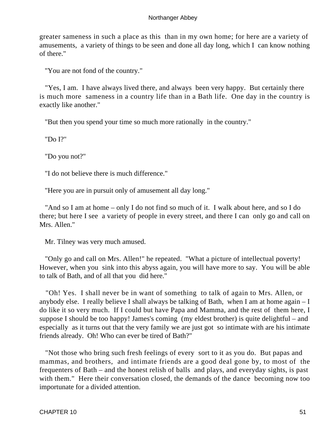greater sameness in such a place as this than in my own home; for here are a variety of amusements, a variety of things to be seen and done all day long, which I can know nothing of there."

"You are not fond of the country."

 "Yes, I am. I have always lived there, and always been very happy. But certainly there is much more sameness in a country life than in a Bath life. One day in the country is exactly like another."

"But then you spend your time so much more rationally in the country."

"Do I?"

"Do you not?"

"I do not believe there is much difference."

"Here you are in pursuit only of amusement all day long."

 "And so I am at home – only I do not find so much of it. I walk about here, and so I do there; but here I see a variety of people in every street, and there I can only go and call on Mrs. Allen."

Mr. Tilney was very much amused.

 "Only go and call on Mrs. Allen!" he repeated. "What a picture of intellectual poverty! However, when you sink into this abyss again, you will have more to say. You will be able to talk of Bath, and of all that you did here."

 "Oh! Yes. I shall never be in want of something to talk of again to Mrs. Allen, or anybody else. I really believe I shall always be talking of Bath, when I am at home again – I do like it so very much. If I could but have Papa and Mamma, and the rest of them here, I suppose I should be too happy! James's coming (my eldest brother) is quite delightful – and especially as it turns out that the very family we are just got so intimate with are his intimate friends already. Oh! Who can ever be tired of Bath?"

 "Not those who bring such fresh feelings of every sort to it as you do. But papas and mammas, and brothers, and intimate friends are a good deal gone by, to most of the frequenters of Bath – and the honest relish of balls and plays, and everyday sights, is past with them." Here their conversation closed, the demands of the dance becoming now too importunate for a divided attention.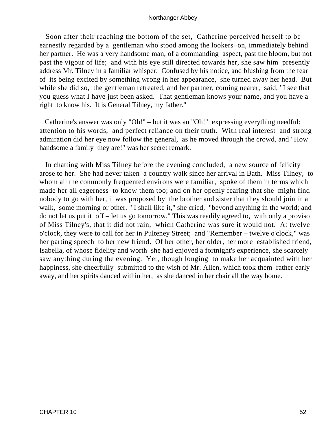Soon after their reaching the bottom of the set, Catherine perceived herself to be earnestly regarded by a gentleman who stood among the lookers−on, immediately behind her partner. He was a very handsome man, of a commanding aspect, past the bloom, but not past the vigour of life; and with his eye still directed towards her, she saw him presently address Mr. Tilney in a familiar whisper. Confused by his notice, and blushing from the fear of its being excited by something wrong in her appearance, she turned away her head. But while she did so, the gentleman retreated, and her partner, coming nearer, said, "I see that you guess what I have just been asked. That gentleman knows your name, and you have a right to know his. It is General Tilney, my father."

 Catherine's answer was only "Oh!" – but it was an "Oh!" expressing everything needful: attention to his words, and perfect reliance on their truth. With real interest and strong admiration did her eye now follow the general, as he moved through the crowd, and "How handsome a family they are!" was her secret remark.

 In chatting with Miss Tilney before the evening concluded, a new source of felicity arose to her. She had never taken a country walk since her arrival in Bath. Miss Tilney, to whom all the commonly frequented environs were familiar, spoke of them in terms which made her all eagerness to know them too; and on her openly fearing that she might find nobody to go with her, it was proposed by the brother and sister that they should join in a walk, some morning or other. "I shall like it," she cried, "beyond anything in the world; and do not let us put it off – let us go tomorrow." This was readily agreed to, with only a proviso of Miss Tilney's, that it did not rain, which Catherine was sure it would not. At twelve o'clock, they were to call for her in Pulteney Street; and "Remember – twelve o'clock," was her parting speech to her new friend. Of her other, her older, her more established friend, Isabella, of whose fidelity and worth she had enjoyed a fortnight's experience, she scarcely saw anything during the evening. Yet, though longing to make her acquainted with her happiness, she cheerfully submitted to the wish of Mr. Allen, which took them rather early away, and her spirits danced within her, as she danced in her chair all the way home.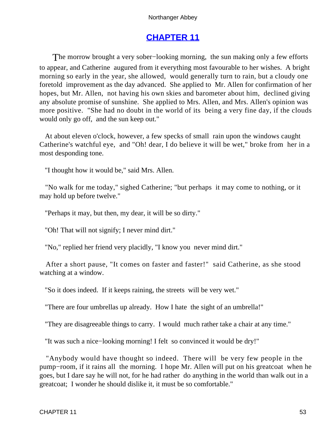# **[CHAPTER 11](#page-165-0)**

The morrow brought a very sober–looking morning, the sun making only a few efforts to appear, and Catherine augured from it everything most favourable to her wishes. A bright morning so early in the year, she allowed, would generally turn to rain, but a cloudy one foretold improvement as the day advanced. She applied to Mr. Allen for confirmation of her hopes, but Mr. Allen, not having his own skies and barometer about him, declined giving any absolute promise of sunshine. She applied to Mrs. Allen, and Mrs. Allen's opinion was more positive. "She had no doubt in the world of its being a very fine day, if the clouds would only go off, and the sun keep out."

 At about eleven o'clock, however, a few specks of small rain upon the windows caught Catherine's watchful eye, and "Oh! dear, I do believe it will be wet," broke from her in a most desponding tone.

"I thought how it would be," said Mrs. Allen.

 "No walk for me today," sighed Catherine; "but perhaps it may come to nothing, or it may hold up before twelve."

"Perhaps it may, but then, my dear, it will be so dirty."

"Oh! That will not signify; I never mind dirt."

"No," replied her friend very placidly, "I know you never mind dirt."

After a short pause, "It comes on faster and faster!" said Catherine, as she stood watching at a window.

"So it does indeed. If it keeps raining, the streets will be very wet."

"There are four umbrellas up already. How I hate the sight of an umbrella!"

"They are disagreeable things to carry. I would much rather take a chair at any time."

"It was such a nice−looking morning! I felt so convinced it would be dry!"

 "Anybody would have thought so indeed. There will be very few people in the pump−room, if it rains all the morning. I hope Mr. Allen will put on his greatcoat when he goes, but I dare say he will not, for he had rather do anything in the world than walk out in a greatcoat; I wonder he should dislike it, it must be so comfortable."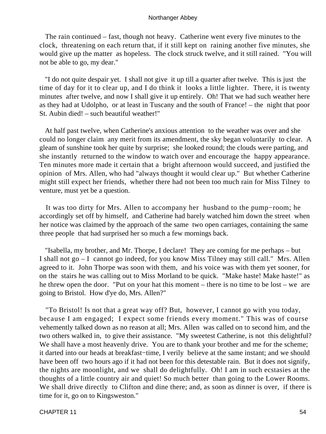The rain continued – fast, though not heavy. Catherine went every five minutes to the clock, threatening on each return that, if it still kept on raining another five minutes, she would give up the matter as hopeless. The clock struck twelve, and it still rained. "You will not be able to go, my dear."

 "I do not quite despair yet. I shall not give it up till a quarter after twelve. This is just the time of day for it to clear up, and I do think it looks a little lighter. There, it is twenty minutes after twelve, and now I shall give it up entirely. Oh! That we had such weather here as they had at Udolpho, or at least in Tuscany and the south of France! – the night that poor St. Aubin died! – such beautiful weather!"

 At half past twelve, when Catherine's anxious attention to the weather was over and she could no longer claim any merit from its amendment, the sky began voluntarily to clear. A gleam of sunshine took her quite by surprise; she looked round; the clouds were parting, and she instantly returned to the window to watch over and encourage the happy appearance. Ten minutes more made it certain that a bright afternoon would succeed, and justified the opinion of Mrs. Allen, who had "always thought it would clear up." But whether Catherine might still expect her friends, whether there had not been too much rain for Miss Tilney to venture, must yet be a question.

 It was too dirty for Mrs. Allen to accompany her husband to the pump−room; he accordingly set off by himself, and Catherine had barely watched him down the street when her notice was claimed by the approach of the same two open carriages, containing the same three people that had surprised her so much a few mornings back.

 "Isabella, my brother, and Mr. Thorpe, I declare! They are coming for me perhaps – but I shall not go – I cannot go indeed, for you know Miss Tilney may still call." Mrs. Allen agreed to it. John Thorpe was soon with them, and his voice was with them yet sooner, for on the stairs he was calling out to Miss Morland to be quick. "Make haste! Make haste!" as he threw open the door. "Put on your hat this moment – there is no time to be lost – we are going to Bristol. How d'ye do, Mrs. Allen?"

 "To Bristol! Is not that a great way off? But, however, I cannot go with you today, because I am engaged; I expect some friends every moment." This was of course vehemently talked down as no reason at all; Mrs. Allen was called on to second him, and the two others walked in, to give their assistance. "My sweetest Catherine, is not this delightful? We shall have a most heavenly drive. You are to thank your brother and me for the scheme; it darted into our heads at breakfast−time, I verily believe at the same instant; and we should have been off two hours ago if it had not been for this detestable rain. But it does not signify, the nights are moonlight, and we shall do delightfully. Oh! I am in such ecstasies at the thoughts of a little country air and quiet! So much better than going to the Lower Rooms. We shall drive directly to Clifton and dine there; and, as soon as dinner is over, if there is time for it, go on to Kingsweston."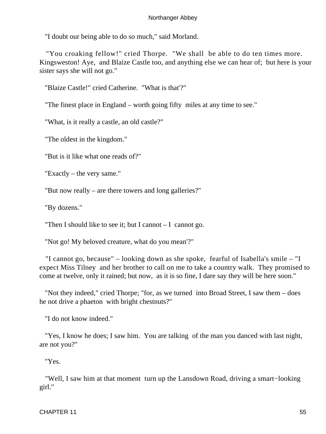"I doubt our being able to do so much," said Morland.

 "You croaking fellow!" cried Thorpe. "We shall be able to do ten times more. Kingsweston! Aye, and Blaize Castle too, and anything else we can hear of; but here is your sister says she will not go."

"Blaize Castle!" cried Catherine. "What is that'?"

"The finest place in England – worth going fifty miles at any time to see."

"What, is it really a castle, an old castle?"

"The oldest in the kingdom."

"But is it like what one reads of?"

"Exactly – the very same."

"But now really – are there towers and long galleries?"

"By dozens."

"Then I should like to see it; but I cannot  $-1$  cannot go.

"Not go! My beloved creature, what do you mean'?"

 "I cannot go, because" – looking down as she spoke, fearful of Isabella's smile – "I expect Miss Tilney and her brother to call on me to take a country walk. They promised to come at twelve, only it rained; but now, as it is so fine, I dare say they will be here soon."

 "Not they indeed," cried Thorpe; "for, as we turned into Broad Street, I saw them – does he not drive a phaeton with bright chestnuts?"

"I do not know indeed."

 "Yes, I know he does; I saw him. You are talking of the man you danced with last night, are not you?"

"Yes.

 "Well, I saw him at that moment turn up the Lansdown Road, driving a smart−looking girl."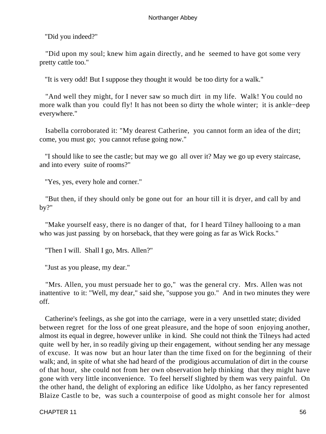"Did you indeed?"

 "Did upon my soul; knew him again directly, and he seemed to have got some very pretty cattle too."

"It is very odd! But I suppose they thought it would be too dirty for a walk."

 "And well they might, for I never saw so much dirt in my life. Walk! You could no more walk than you could fly! It has not been so dirty the whole winter; it is ankle−deep everywhere."

 Isabella corroborated it: "My dearest Catherine, you cannot form an idea of the dirt; come, you must go; you cannot refuse going now."

 "I should like to see the castle; but may we go all over it? May we go up every staircase, and into every suite of rooms?"

"Yes, yes, every hole and corner."

 "But then, if they should only be gone out for an hour till it is dryer, and call by and by?"

 "Make yourself easy, there is no danger of that, for I heard Tilney hallooing to a man who was just passing by on horseback, that they were going as far as Wick Rocks."

"Then I will. Shall I go, Mrs. Allen?"

"Just as you please, my dear."

 "Mrs. Allen, you must persuade her to go," was the general cry. Mrs. Allen was not inattentive to it: "Well, my dear," said she, "suppose you go." And in two minutes they were off.

 Catherine's feelings, as she got into the carriage, were in a very unsettled state; divided between regret for the loss of one great pleasure, and the hope of soon enjoying another, almost its equal in degree, however unlike in kind. She could not think the Tilneys had acted quite well by her, in so readily giving up their engagement, without sending her any message of excuse. It was now but an hour later than the time fixed on for the beginning of their walk; and, in spite of what she had heard of the prodigious accumulation of dirt in the course of that hour, she could not from her own observation help thinking that they might have gone with very little inconvenience. To feel herself slighted by them was very painful. On the other hand, the delight of exploring an edifice like Udolpho, as her fancy represented Blaize Castle to be, was such a counterpoise of good as might console her for almost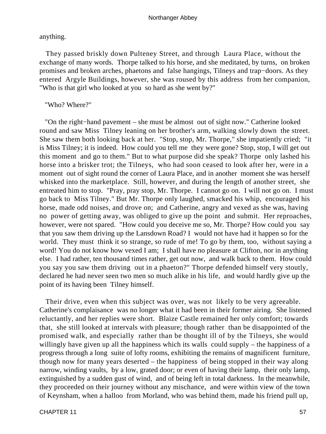anything.

 They passed briskly down Pulteney Street, and through Laura Place, without the exchange of many words. Thorpe talked to his horse, and she meditated, by turns, on broken promises and broken arches, phaetons and false hangings, Tilneys and trap−doors. As they entered Argyle Buildings, however, she was roused by this address from her companion, "Who is that girl who looked at you so hard as she went by?"

"Who? Where?"

 "On the right−hand pavement – she must be almost out of sight now." Catherine looked round and saw Miss Tilney leaning on her brother's arm, walking slowly down the street. She saw them both looking back at her. "Stop, stop, Mr. Thorpe," she impatiently cried; "it is Miss Tilney; it is indeed. How could you tell me they were gone? Stop, stop, I will get out this moment and go to them." But to what purpose did she speak? Thorpe only lashed his horse into a brisker trot; the Tilneys, who had soon ceased to look after her, were in a moment out of sight round the corner of Laura Place, and in another moment she was herself whisked into the marketplace. Still, however, and during the length of another street, she entreated him to stop. "Pray, pray stop, Mr. Thorpe. I cannot go on. I will not go on. I must go back to Miss Tilney." But Mr. Thorpe only laughed, smacked his whip, encouraged his horse, made odd noises, and drove on; and Catherine, angry and vexed as she was, having no power of getting away, was obliged to give up the point and submit. Her reproaches, however, were not spared. "How could you deceive me so, Mr. Thorpe? How could you say that you saw them driving up the Lansdown Road? I would not have had it happen so for the world. They must think it so strange, so rude of me! To go by them, too, without saying a word! You do not know how vexed I am; I shall have no pleasure at Clifton, nor in anything else. I had rather, ten thousand times rather, get out now, and walk back to them. How could you say you saw them driving out in a phaeton?" Thorpe defended himself very stoutly, declared he had never seen two men so much alike in his life, and would hardly give up the point of its having been Tilney himself.

Their drive, even when this subject was over, was not likely to be very agreeable. Catherine's complaisance was no longer what it had been in their former airing. She listened reluctantly, and her replies were short. Blaize Castle remained her only comfort; towards that, she still looked at intervals with pleasure; though rather than be disappointed of the promised walk, and especially rather than be thought ill of by the Tilneys, she would willingly have given up all the happiness which its walls could supply – the happiness of a progress through a long suite of lofty rooms, exhibiting the remains of magnificent furniture, though now for many years deserted – the happiness of being stopped in their way along narrow, winding vaults, by a low, grated door; or even of having their lamp, their only lamp, extinguished by a sudden gust of wind, and of being left in total darkness. In the meanwhile, they proceeded on their journey without any mischance, and were within view of the town of Keynsham, when a halloo from Morland, who was behind them, made his friend pull up,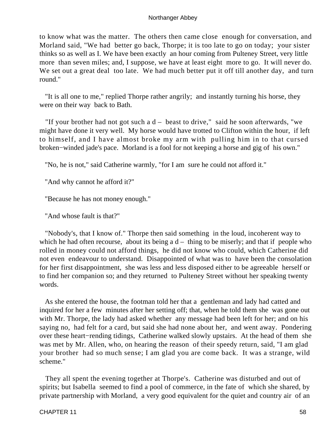to know what was the matter. The others then came close enough for conversation, and Morland said, "We had better go back, Thorpe; it is too late to go on today; your sister thinks so as well as I. We have been exactly an hour coming from Pulteney Street, very little more than seven miles; and, I suppose, we have at least eight more to go. It will never do. We set out a great deal too late. We had much better put it off till another day, and turn round."

 "It is all one to me," replied Thorpe rather angrily; and instantly turning his horse, they were on their way back to Bath.

 "If your brother had not got such a d – beast to drive," said he soon afterwards, "we might have done it very well. My horse would have trotted to Clifton within the hour, if left to himself, and I have almost broke my arm with pulling him in to that cursed broken−winded jade's pace. Morland is a fool for not keeping a horse and gig of his own."

"No, he is not," said Catherine warmly, "for I am sure he could not afford it."

"And why cannot he afford it?"

"Because he has not money enough."

"And whose fault is that?"

 "Nobody's, that I know of." Thorpe then said something in the loud, incoherent way to which he had often recourse, about its being  $a d - th$ ing to be miserly; and that if people who rolled in money could not afford things, he did not know who could, which Catherine did not even endeavour to understand. Disappointed of what was to have been the consolation for her first disappointment, she was less and less disposed either to be agreeable herself or to find her companion so; and they returned to Pulteney Street without her speaking twenty words.

 As she entered the house, the footman told her that a gentleman and lady had catted and inquired for her a few minutes after her setting off; that, when he told them she was gone out with Mr. Thorpe, the lady had asked whether any message had been left for her; and on his saying no, had felt for a card, but said she had none about her, and went away. Pondering over these heart−rending tidings, Catherine walked slowly upstairs. At the head of them she was met by Mr. Allen, who, on hearing the reason of their speedy return, said, "I am glad your brother had so much sense; I am glad you are come back. It was a strange, wild scheme."

 They all spent the evening together at Thorpe's. Catherine was disturbed and out of spirits; but Isabella seemed to find a pool of commerce, in the fate of which she shared, by private partnership with Morland, a very good equivalent for the quiet and country air of an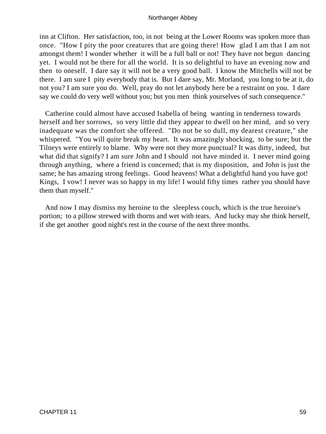inn at Clifton. Her satisfaction, too, in not being at the Lower Rooms was spoken more than once. "How I pity the poor creatures that are going there! How glad I am that I am not amongst them! I wonder whether it will be a full ball or not! They have not begun dancing yet. I would not be there for all the world. It is so delightful to have an evening now and then to oneself. I dare say it will not be a very good ball. I know the Mitchells will not be there. I am sure I pity everybody that is. But I dare say, Mr. Morland, you long to be at it, do not you? I am sure you do. Well, pray do not let anybody here be a restraint on you. I dare say we could do very well without you; but you men think yourselves of such consequence."

 Catherine could almost have accused Isabella of being wanting in tenderness towards herself and her sorrows, so very little did they appear to dwell on her mind, and so very inadequate was the comfort she offered. "Do not be so dull, my dearest creature," she whispered. "You will quite break my heart. It was amazingly shocking, to be sure; but the Tilneys were entirely to blame. Why were not they more punctual? It was dirty, indeed, but what did that signify? I am sure John and I should not have minded it. I never mind going through anything, where a friend is concerned; that is my disposition, and John is just the same; he has amazing strong feelings. Good heavens! What a delightful hand you have got! Kings, I vow! I never was so happy in my life! I would fifty times rather you should have them than myself."

 And now I may dismiss my heroine to the sleepless couch, which is the true heroine's portion; to a pillow strewed with thorns and wet with tears. And lucky may she think herself, if she get another good night's rest in the course of the next three months.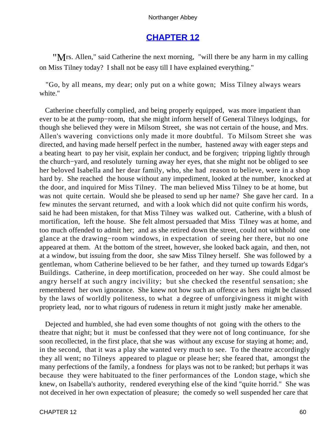# **[CHAPTER 12](#page-165-0)**

"Mrs. Allen," said Catherine the next morning, "will there be any harm in my calling on Miss Tilney today? I shall not be easy till I have explained everything."

 "Go, by all means, my dear; only put on a white gown; Miss Tilney always wears white."

 Catherine cheerfully complied, and being properly equipped, was more impatient than ever to be at the pump−room, that she might inform herself of General Tilneys lodgings, for though she believed they were in Milsom Street, she was not certain of the house, and Mrs. Allen's wavering convictions only made it more doubtful. To Milsom Street she was directed, and having made herself perfect in the number, hastened away with eager steps and a beating heart to pay her visit, explain her conduct, and be forgiven; tripping lightly through the church−yard, and resolutely turning away her eyes, that she might not be obliged to see her beloved Isabella and her dear family, who, she had reason to believe, were in a shop hard by. She reached the house without any impediment, looked at the number, knocked at the door, and inquired for Miss Tilney. The man believed Miss Tilney to be at home, but was not quite certain. Would she be pleased to send up her name? She gave her card. In a few minutes the servant returned, and with a look which did not quite confirm his words, said he had been mistaken, for that Miss Tilney was walked out. Catherine, with a blush of mortification, left the house. She felt almost persuaded that Miss Tilney was at home, and too much offended to admit her; and as she retired down the street, could not withhold one glance at the drawing−room windows, in expectation of seeing her there, but no one appeared at them. At the bottom of the street, however, she looked back again, and then, not at a window, but issuing from the door, she saw Miss Tilney herself. She was followed by a gentleman, whom Catherine believed to be her father, and they turned up towards Edgar's Buildings. Catherine, in deep mortification, proceeded on her way. She could almost be angry herself at such angry incivility; but she checked the resentful sensation; she remembered her own ignorance. She knew not how such an offence as hers might be classed by the laws of worldly politeness, to what a degree of unforgivingness it might with propriety lead, nor to what rigours of rudeness in return it might justly make her amenable.

 Dejected and humbled, she had even some thoughts of not going with the others to the theatre that night; but it must be confessed that they were not of long continuance, for she soon recollected, in the first place, that she was without any excuse for staying at home; and, in the second, that it was a play she wanted very much to see. To the theatre accordingly they all went; no Tilneys appeared to plague or please her; she feared that, amongst the many perfections of the family, a fondness for plays was not to be ranked; but perhaps it was because they were habituated to the finer performances of the London stage, which she knew, on Isabella's authority, rendered everything else of the kind "quite horrid." She was not deceived in her own expectation of pleasure; the comedy so well suspended her care that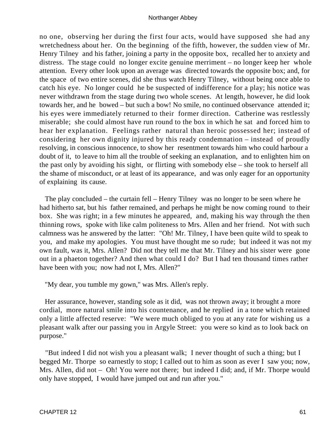no one, observing her during the first four acts, would have supposed she had any wretchedness about her. On the beginning of the fifth, however, the sudden view of Mr. Henry Tilney and his father, joining a party in the opposite box, recalled her to anxiety and distress. The stage could no longer excite genuine merriment – no longer keep her whole attention. Every other look upon an average was directed towards the opposite box; and, for the space of two entire scenes, did she thus watch Henry Tilney, without being once able to catch his eye. No longer could he be suspected of indifference for a play; his notice was never withdrawn from the stage during two whole scenes. At length, however, he did look towards her, and he bowed – but such a bow! No smile, no continued observance attended it; his eyes were immediately returned to their former direction. Catherine was restlessly miserable; she could almost have run round to the box in which he sat and forced him to hear her explanation. Feelings rather natural than heroic possessed her; instead of considering her own dignity injured by this ready condemnation – instead of proudly resolving, in conscious innocence, to show her resentment towards him who could harbour a doubt of it, to leave to him all the trouble of seeking an explanation, and to enlighten him on the past only by avoiding his sight, or flirting with somebody else – she took to herself all the shame of misconduct, or at least of its appearance, and was only eager for an opportunity of explaining its cause.

 The play concluded – the curtain fell – Henry Tilney was no longer to be seen where he had hitherto sat, but his father remained, and perhaps he might be now coming round to their box. She was right; in a few minutes he appeared, and, making his way through the then thinning rows, spoke with like calm politeness to Mrs. Allen and her friend. Not with such calmness was he answered by the latter: "Oh! Mr. Tilney, I have been quite wild to speak to you, and make my apologies. You must have thought me so rude; but indeed it was not my own fault, was it, Mrs. Allen? Did not they tell me that Mr. Tilney and his sister were gone out in a phaeton together? And then what could I do? But I had ten thousand times rather have been with you; now had not I, Mrs. Allen?"

"My dear, you tumble my gown," was Mrs. Allen's reply.

 Her assurance, however, standing sole as it did, was not thrown away; it brought a more cordial, more natural smile into his countenance, and he replied in a tone which retained only a little affected reserve: "We were much obliged to you at any rate for wishing us a pleasant walk after our passing you in Argyle Street: you were so kind as to look back on purpose."

 "But indeed I did not wish you a pleasant walk; I never thought of such a thing; but I begged Mr. Thorpe so earnestly to stop; I called out to him as soon as ever I saw you; now, Mrs. Allen, did not – Oh! You were not there; but indeed I did; and, if Mr. Thorpe would only have stopped, I would have jumped out and run after you."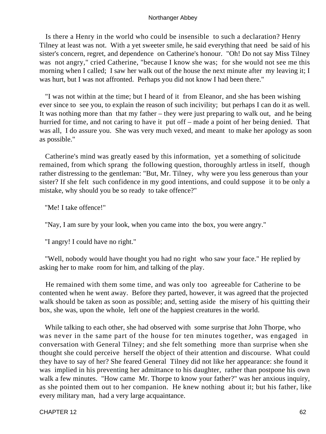Is there a Henry in the world who could be insensible to such a declaration? Henry Tilney at least was not. With a yet sweeter smile, he said everything that need be said of his sister's concern, regret, and dependence on Catherine's honour. "Oh! Do not say Miss Tilney was not angry," cried Catherine, "because I know she was; for she would not see me this morning when I called; I saw her walk out of the house the next minute after my leaving it; I was hurt, but I was not affronted. Perhaps you did not know I had been there."

 "I was not within at the time; but I heard of it from Eleanor, and she has been wishing ever since to see you, to explain the reason of such incivility; but perhaps I can do it as well. It was nothing more than that my father – they were just preparing to walk out, and he being hurried for time, and not caring to have it put off – made a point of her being denied. That was all, I do assure you. She was very much vexed, and meant to make her apology as soon as possible."

 Catherine's mind was greatly eased by this information, yet a something of solicitude remained, from which sprang the following question, thoroughly artless in itself, though rather distressing to the gentleman: "But, Mr. Tilney, why were you less generous than your sister? If she felt such confidence in my good intentions, and could suppose it to be only a mistake, why should you be so ready to take offence?"

"Me! I take offence!"

"Nay, I am sure by your look, when you came into the box, you were angry."

"I angry! I could have no right."

 "Well, nobody would have thought you had no right who saw your face." He replied by asking her to make room for him, and talking of the play.

 He remained with them some time, and was only too agreeable for Catherine to be contented when he went away. Before they parted, however, it was agreed that the projected walk should be taken as soon as possible; and, setting aside the misery of his quitting their box, she was, upon the whole, left one of the happiest creatures in the world.

 While talking to each other, she had observed with some surprise that John Thorpe, who was never in the same part of the house for ten minutes together, was engaged in conversation with General Tilney; and she felt something more than surprise when she thought she could perceive herself the object of their attention and discourse. What could they have to say of her? She feared General Tilney did not like her appearance: she found it was implied in his preventing her admittance to his daughter, rather than postpone his own walk a few minutes. "How came Mr. Thorpe to know your father?" was her anxious inquiry, as she pointed them out to her companion. He knew nothing about it; but his father, like every military man, had a very large acquaintance.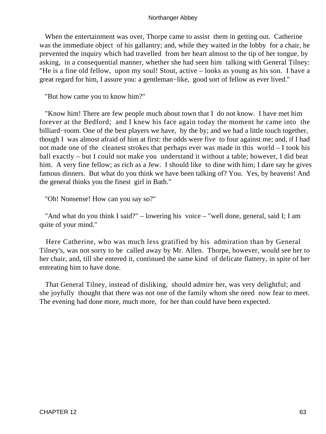When the entertainment was over, Thorpe came to assist them in getting out. Catherine was the immediate object of his gallantry; and, while they waited in the lobby for a chair, he prevented the inquiry which had travelled from her heart almost to the tip of her tongue, by asking, in a consequential manner, whether she had seen him talking with General Tilney: "He is a fine old fellow, upon my soul! Stout, active – looks as young as his son. I have a great regard for him, I assure you: a gentleman−like, good sort of fellow as ever lived."

"But how came you to know him?"

 "Know him! There are few people much about town that I do not know. I have met him forever at the Bedford; and I knew his face again today the moment he came into the billiard−room. One of the best players we have, by the by; and we had a little touch together, though I was almost afraid of him at first: the odds were five to four against me; and, if I had not made one of the cleanest strokes that perhaps ever was made in this world – I took his ball exactly – but I could not make you understand it without a table; however, I did beat him. A very fine fellow; as rich as a Jew. I should like to dine with him; I dare say he gives famous dinners. But what do you think we have been talking of? You. Yes, by heavens! And the general thinks you the finest girl in Bath."

"Oh! Nonsense! How can you say so?"

 "And what do you think I said?" – lowering his voice – "well done, general, said I; I am quite of your mind."

 Here Catherine, who was much less gratified by his admiration than by General Tilney's, was not sorry to be called away by Mr. Allen. Thorpe, however, would see her to her chair, and, till she entered it, continued the same kind of delicate flattery, in spite of her entreating him to have done.

 That General Tilney, instead of disliking, should admire her, was very delightful; and she joyfully thought that there was not one of the family whom she need now fear to meet. The evening had done more, much more, for her than could have been expected.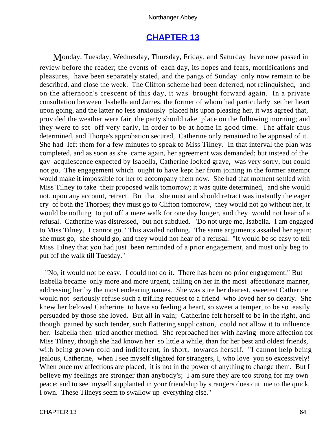# **[CHAPTER 13](#page-165-0)**

Monday, Tuesday, Wednesday, Thursday, Friday, and Saturday have now passed in review before the reader; the events of each day, its hopes and fears, mortifications and pleasures, have been separately stated, and the pangs of Sunday only now remain to be described, and close the week. The Clifton scheme had been deferred, not relinquished, and on the afternoon's crescent of this day, it was brought forward again. In a private consultation between Isabella and James, the former of whom had particularly set her heart upon going, and the latter no less anxiously placed his upon pleasing her, it was agreed that, provided the weather were fair, the party should take place on the following morning; and they were to set off very early, in order to be at home in good time. The affair thus determined, and Thorpe's approbation secured, Catherine only remained to be apprised of it. She had left them for a few minutes to speak to Miss Tilney. In that interval the plan was completed, and as soon as she came again, her agreement was demanded; but instead of the gay acquiescence expected by Isabella, Catherine looked grave, was very sorry, but could not go. The engagement which ought to have kept her from joining in the former attempt would make it impossible for her to accompany them now. She had that moment settled with Miss Tilney to take their proposed walk tomorrow; it was quite determined, and she would not, upon any account, retract. But that she must and should retract was instantly the eager cry of both the Thorpes; they must go to Clifton tomorrow, they would not go without her, it would be nothing to put off a mere walk for one day longer, and they would not hear of a refusal. Catherine was distressed, but not subdued. "Do not urge me, Isabella. I am engaged to Miss Tilney. I cannot go." This availed nothing. The same arguments assailed her again; she must go, she should go, and they would not hear of a refusal. "It would be so easy to tell Miss Tilney that you had just been reminded of a prior engagement, and must only beg to put off the walk till Tuesday."

 "No, it would not be easy. I could not do it. There has been no prior engagement." But Isabella became only more and more urgent, calling on her in the most affectionate manner, addressing her by the most endearing names. She was sure her dearest, sweetest Catherine would not seriously refuse such a trifling request to a friend who loved her so dearly. She knew her beloved Catherine to have so feeling a heart, so sweet a temper, to be so easily persuaded by those she loved. But all in vain; Catherine felt herself to be in the right, and though pained by such tender, such flattering supplication, could not allow it to influence her. Isabella then tried another method. She reproached her with having more affection for Miss Tilney, though she had known her so little a while, than for her best and oldest friends, with being grown cold and indifferent, in short, towards herself. "I cannot help being jealous, Catherine, when I see myself slighted for strangers, I, who love you so excessively! When once my affections are placed, it is not in the power of anything to change them. But I believe my feelings are stronger than anybody's; I am sure they are too strong for my own peace; and to see myself supplanted in your friendship by strangers does cut me to the quick, I own. These Tilneys seem to swallow up everything else."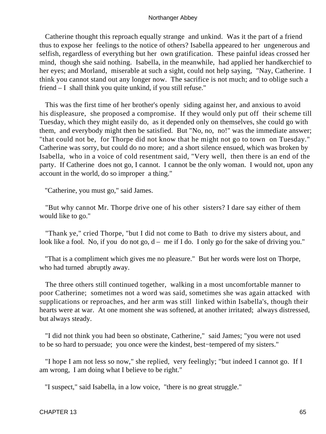Catherine thought this reproach equally strange and unkind. Was it the part of a friend thus to expose her feelings to the notice of others? Isabella appeared to her ungenerous and selfish, regardless of everything but her own gratification. These painful ideas crossed her mind, though she said nothing. Isabella, in the meanwhile, had applied her handkerchief to her eyes; and Morland, miserable at such a sight, could not help saying, "Nay, Catherine. I think you cannot stand out any longer now. The sacrifice is not much; and to oblige such a friend – I shall think you quite unkind, if you still refuse."

 This was the first time of her brother's openly siding against her, and anxious to avoid his displeasure, she proposed a compromise. If they would only put off their scheme till Tuesday, which they might easily do, as it depended only on themselves, she could go with them, and everybody might then be satisfied. But "No, no, no!" was the immediate answer; "that could not be, for Thorpe did not know that he might not go to town on Tuesday." Catherine was sorry, but could do no more; and a short silence ensued, which was broken by Isabella, who in a voice of cold resentment said, "Very well, then there is an end of the party. If Catherine does not go, I cannot. I cannot be the only woman. I would not, upon any account in the world, do so improper a thing."

"Catherine, you must go," said James.

 "But why cannot Mr. Thorpe drive one of his other sisters? I dare say either of them would like to go."

 "Thank ye," cried Thorpe, "but I did not come to Bath to drive my sisters about, and look like a fool. No, if you do not go,  $d - me$  if I do. I only go for the sake of driving you."

 "That is a compliment which gives me no pleasure." But her words were lost on Thorpe, who had turned abruptly away.

 The three others still continued together, walking in a most uncomfortable manner to poor Catherine; sometimes not a word was said, sometimes she was again attacked with supplications or reproaches, and her arm was still linked within Isabella's, though their hearts were at war. At one moment she was softened, at another irritated; always distressed, but always steady.

 "I did not think you had been so obstinate, Catherine," said James; "you were not used to be so hard to persuade; you once were the kindest, best−tempered of my sisters."

 "I hope I am not less so now," she replied, very feelingly; "but indeed I cannot go. If I am wrong, I am doing what I believe to be right."

"I suspect," said Isabella, in a low voice, "there is no great struggle."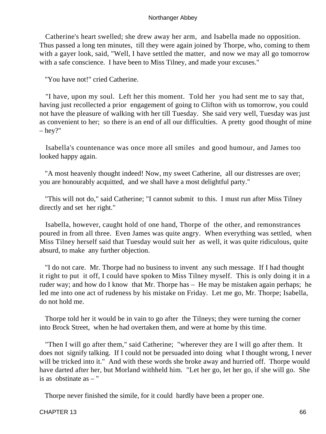Catherine's heart swelled; she drew away her arm, and Isabella made no opposition. Thus passed a long ten minutes, till they were again joined by Thorpe, who, coming to them with a gayer look, said, "Well, I have settled the matter, and now we may all go tomorrow with a safe conscience. I have been to Miss Tilney, and made your excuses."

"You have not!" cried Catherine.

 "I have, upon my soul. Left her this moment. Told her you had sent me to say that, having just recollected a prior engagement of going to Clifton with us tomorrow, you could not have the pleasure of walking with her till Tuesday. She said very well, Tuesday was just as convenient to her; so there is an end of all our difficulties. A pretty good thought of mine  $-$  hey?"

 Isabella's countenance was once more all smiles and good humour, and James too looked happy again.

 "A most heavenly thought indeed! Now, my sweet Catherine, all our distresses are over; you are honourably acquitted, and we shall have a most delightful party."

 "This will not do," said Catherine; "I cannot submit to this. I must run after Miss Tilney directly and set her right."

 Isabella, however, caught hold of one hand, Thorpe of the other, and remonstrances poured in from all three. Even James was quite angry. When everything was settled, when Miss Tilney herself said that Tuesday would suit her as well, it was quite ridiculous, quite absurd, to make any further objection.

 "I do not care. Mr. Thorpe had no business to invent any such message. If I had thought it right to put it off, I could have spoken to Miss Tilney myself. This is only doing it in a ruder way; and how do I know that Mr. Thorpe has – He may be mistaken again perhaps; he led me into one act of rudeness by his mistake on Friday. Let me go, Mr. Thorpe; Isabella, do not hold me.

 Thorpe told her it would be in vain to go after the Tilneys; they were turning the corner into Brock Street, when he had overtaken them, and were at home by this time.

 "Then I will go after them," said Catherine; "wherever they are I will go after them. It does not signify talking. If I could not be persuaded into doing what I thought wrong, I never will be tricked into it." And with these words she broke away and hurried off. Thorpe would have darted after her, but Morland withheld him. "Let her go, let her go, if she will go. She is as obstinate as – "

Thorpe never finished the simile, for it could hardly have been a proper one.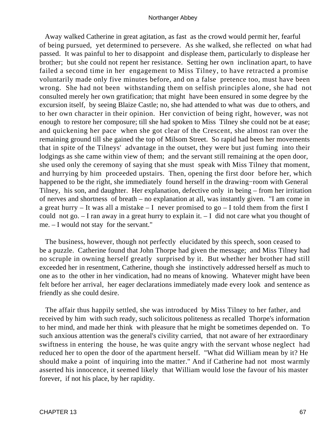Away walked Catherine in great agitation, as fast as the crowd would permit her, fearful of being pursued, yet determined to persevere. As she walked, she reflected on what had passed. It was painful to her to disappoint and displease them, particularly to displease her brother; but she could not repent her resistance. Setting her own inclination apart, to have failed a second time in her engagement to Miss Tilney, to have retracted a promise voluntarily made only five minutes before, and on a false pretence too, must have been wrong. She had not been withstanding them on selfish principles alone, she had not consulted merely her own gratification; that might have been ensured in some degree by the excursion itself, by seeing Blaize Castle; no, she had attended to what was due to others, and to her own character in their opinion. Her conviction of being right, however, was not enough to restore her composure; till she had spoken to Miss Tilney she could not be at ease; and quickening her pace when she got clear of the Crescent, she almost ran over the remaining ground till she gained the top of Milsom Street. So rapid had been her movements that in spite of the Tilneys' advantage in the outset, they were but just fuming into their lodgings as she came within view of them; and the servant still remaining at the open door, she used only the ceremony of saying that she must speak with Miss Tilney that moment, and hurrying by him proceeded upstairs. Then, opening the first door before her, which happened to be the right, she immediately found herself in the drawing−room with General Tilney, his son, and daughter. Her explanation, defective only in being – from her irritation of nerves and shortness of breath – no explanation at all, was instantly given. "I am come in a great hurry – It was all a mistake – I never promised to go – I told them from the first I could not go. – I ran away in a great hurry to explain it. – I did not care what you thought of me. – I would not stay for the servant."

 The business, however, though not perfectly elucidated by this speech, soon ceased to be a puzzle. Catherine found that John Thorpe had given the message; and Miss Tilney had no scruple in owning herself greatly surprised by it. But whether her brother had still exceeded her in resentment, Catherine, though she instinctively addressed herself as much to one as to the other in her vindication, had no means of knowing. Whatever might have been felt before her arrival, her eager declarations immediately made every look and sentence as friendly as she could desire.

 The affair thus happily settled, she was introduced by Miss Tilney to her father, and received by him with such ready, such solicitous politeness as recalled Thorpe's information to her mind, and made her think with pleasure that he might be sometimes depended on. To such anxious attention was the general's civility carried, that not aware of her extraordinary swiftness in entering the house, he was quite angry with the servant whose neglect had reduced her to open the door of the apartment herself. "What did William mean by it? He should make a point of inquiring into the matter." And if Catherine had not most warmly asserted his innocence, it seemed likely that William would lose the favour of his master forever, if not his place, by her rapidity.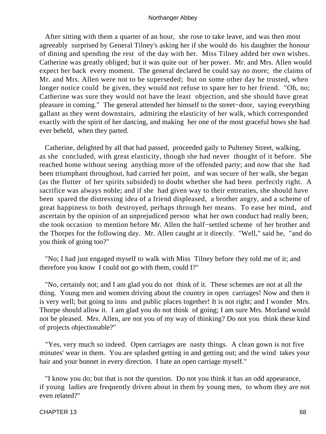After sitting with them a quarter of an hour, she rose to take leave, and was then most agreeably surprised by General Tilney's asking her if she would do his daughter the honour of dining and spending the rest of the day with her. Miss Tilney added her own wishes. Catherine was greatly obliged; but it was quite out of her power. Mr. and Mrs. Allen would expect her back every moment. The general declared he could say no more; the claims of Mr. and Mrs. Allen were not to be superseded; but on some other day he trusted, when longer notice could be given, they would not refuse to spare her to her friend. "Oh, no; Catherine was sure they would not have the least objection, and she should have great pleasure in coming." The general attended her himself to the street−door, saying everything gallant as they went downstairs, admiring the elasticity of her walk, which corresponded exactly with the spirit of her dancing, and making her one of the most graceful bows she had ever beheld, when they parted.

 Catherine, delighted by all that had passed, proceeded gaily to Pulteney Street, walking, as she concluded, with great elasticity, though she had never thought of it before. She reached home without seeing anything more of the offended party; and now that she had been triumphant throughout, had carried her point, and was secure of her walk, she began (as the flutter of her spirits subsided) to doubt whether she had been perfectly right. A sacrifice was always noble; and if she had given way to their entreaties, she should have been spared the distressing idea of a friend displeased, a brother angry, and a scheme of great happiness to both destroyed, perhaps through her means. To ease her mind, and ascertain by the opinion of an unprejudiced person what her own conduct had really been, she took occasion to mention before Mr. Allen the half−settled scheme of her brother and the Thorpes for the following day. Mr. Allen caught at it directly. "Well," said he, "and do you think of going too?"

 "No; I had just engaged myself to walk with Miss Tilney before they told me of it; and therefore you know I could not go with them, could I?"

 "No, certainly not; and I am glad you do not think of it. These schemes are not at all the thing. Young men and women driving about the country in open carriages! Now and then it is very well; but going to inns and public places together! It is not right; and I wonder Mrs. Thorpe should allow it. I am glad you do not think of going; I am sure Mrs. Morland would not be pleased. Mrs. Allen, are not you of my way of thinking? Do not you think these kind of projects objectionable?"

 "Yes, very much so indeed. Open carriages are nasty things. A clean gown is not five minutes' wear in them. You are splashed getting in and getting out; and the wind takes your hair and your bonnet in every direction. I hate an open carriage myself."

 "I know you do; but that is not the question. Do not you think it has an odd appearance, if young ladies are frequently driven about in them by young men, to whom they are not even related?"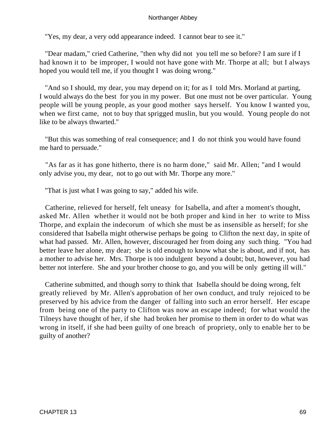"Yes, my dear, a very odd appearance indeed. I cannot bear to see it."

 "Dear madam," cried Catherine, "then why did not you tell me so before? I am sure if I had known it to be improper, I would not have gone with Mr. Thorpe at all; but I always hoped you would tell me, if you thought I was doing wrong."

 "And so I should, my dear, you may depend on it; for as I told Mrs. Morland at parting, I would always do the best for you in my power. But one must not be over particular. Young people will be young people, as your good mother says herself. You know I wanted you, when we first came, not to buy that sprigged muslin, but you would. Young people do not like to be always thwarted."

 "But this was something of real consequence; and I do not think you would have found me hard to persuade."

 "As far as it has gone hitherto, there is no harm done," said Mr. Allen; "and I would only advise you, my dear, not to go out with Mr. Thorpe any more."

"That is just what I was going to say," added his wife.

 Catherine, relieved for herself, felt uneasy for Isabella, and after a moment's thought, asked Mr. Allen whether it would not be both proper and kind in her to write to Miss Thorpe, and explain the indecorum of which she must be as insensible as herself; for she considered that Isabella might otherwise perhaps be going to Clifton the next day, in spite of what had passed. Mr. Allen, however, discouraged her from doing any such thing. "You had better leave her alone, my dear; she is old enough to know what she is about, and if not, has a mother to advise her. Mrs. Thorpe is too indulgent beyond a doubt; but, however, you had better not interfere. She and your brother choose to go, and you will be only getting ill will."

 Catherine submitted, and though sorry to think that Isabella should be doing wrong, felt greatly relieved by Mr. Allen's approbation of her own conduct, and truly rejoiced to be preserved by his advice from the danger of falling into such an error herself. Her escape from being one of the party to Clifton was now an escape indeed; for what would the Tilneys have thought of her, if she had broken her promise to them in order to do what was wrong in itself, if she had been guilty of one breach of propriety, only to enable her to be guilty of another?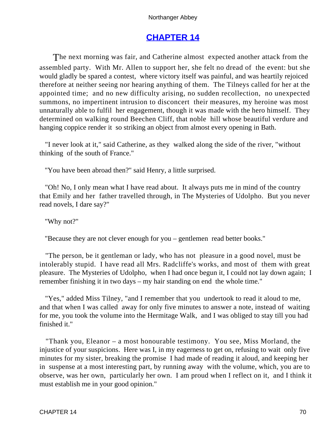# **[CHAPTER 14](#page-165-0)**

The next morning was fair, and Catherine almost expected another attack from the assembled party. With Mr. Allen to support her, she felt no dread of the event: but she would gladly be spared a contest, where victory itself was painful, and was heartily rejoiced therefore at neither seeing nor hearing anything of them. The Tilneys called for her at the appointed time; and no new difficulty arising, no sudden recollection, no unexpected summons, no impertinent intrusion to disconcert their measures, my heroine was most unnaturally able to fulfil her engagement, though it was made with the hero himself. They determined on walking round Beechen Cliff, that noble hill whose beautiful verdure and hanging coppice render it so striking an object from almost every opening in Bath.

 "I never look at it," said Catherine, as they walked along the side of the river, "without thinking of the south of France."

"You have been abroad then?" said Henry, a little surprised.

 "Oh! No, I only mean what I have read about. It always puts me in mind of the country that Emily and her father travelled through, in The Mysteries of Udolpho. But you never read novels, I dare say?"

"Why not?"

"Because they are not clever enough for you – gentlemen read better books."

 "The person, be it gentleman or lady, who has not pleasure in a good novel, must be intolerably stupid. I have read all Mrs. Radcliffe's works, and most of them with great pleasure. The Mysteries of Udolpho, when I had once begun it, I could not lay down again; I remember finishing it in two days – my hair standing on end the whole time."

 "Yes," added Miss Tilney, "and I remember that you undertook to read it aloud to me, and that when I was called away for only five minutes to answer a note, instead of waiting for me, you took the volume into the Hermitage Walk, and I was obliged to stay till you had finished it."

 "Thank you, Eleanor – a most honourable testimony. You see, Miss Morland, the injustice of your suspicions. Here was I, in my eagerness to get on, refusing to wait only five minutes for my sister, breaking the promise I had made of reading it aloud, and keeping her in suspense at a most interesting part, by running away with the volume, which, you are to observe, was her own, particularly her own. I am proud when I reflect on it, and I think it must establish me in your good opinion."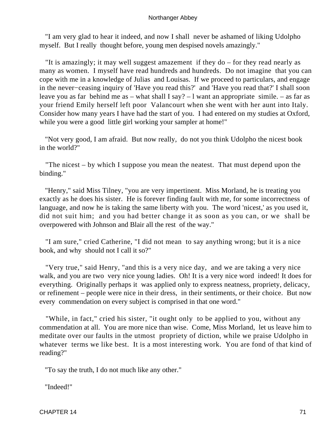"I am very glad to hear it indeed, and now I shall never be ashamed of liking Udolpho myself. But I really thought before, young men despised novels amazingly."

 "It is amazingly; it may well suggest amazement if they do – for they read nearly as many as women. I myself have read hundreds and hundreds. Do not imagine that you can cope with me in a knowledge of Julias and Louisas. If we proceed to particulars, and engage in the never−ceasing inquiry of 'Have you read this?' and 'Have you read that?' I shall soon leave you as far behind me as – what shall I say? – l want an appropriate simile. – as far as your friend Emily herself left poor Valancourt when she went with her aunt into Italy. Consider how many years I have had the start of you. I had entered on my studies at Oxford, while you were a good little girl working your sampler at home!"

 "Not very good, I am afraid. But now really, do not you think Udolpho the nicest book in the world?"

 "The nicest – by which I suppose you mean the neatest. That must depend upon the binding."

 "Henry," said Miss Tilney, "you are very impertinent. Miss Morland, he is treating you exactly as he does his sister. He is forever finding fault with me, for some incorrectness of language, and now he is taking the same liberty with you. The word 'nicest,' as you used it, did not suit him; and you had better change it as soon as you can, or we shall be overpowered with Johnson and Blair all the rest of the way."

 "I am sure," cried Catherine, "I did not mean to say anything wrong; but it is a nice book, and why should not I call it so?"

 "Very true," said Henry, "and this is a very nice day, and we are taking a very nice walk, and you are two very nice young ladies. Oh! It is a very nice word indeed! It does for everything. Originally perhaps it was applied only to express neatness, propriety, delicacy, or refinement – people were nice in their dress, in their sentiments, or their choice. But now every commendation on every subject is comprised in that one word."

 "While, in fact," cried his sister, "it ought only to be applied to you, without any commendation at all. You are more nice than wise. Come, Miss Morland, let us leave him to meditate over our faults in the utmost propriety of diction, while we praise Udolpho in whatever terms we like best. It is a most interesting work. You are fond of that kind of reading?"

"To say the truth, I do not much like any other."

"Indeed!"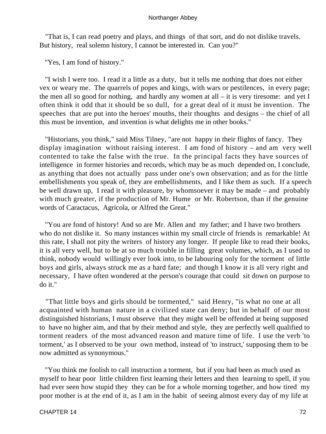"That is, I can read poetry and plays, and things of that sort, and do not dislike travels. But history, real solemn history, I cannot be interested in. Can you?"

"Yes, I am fond of history."

 "I wish I were too. I read it a little as a duty, but it tells me nothing that does not either vex or weary me. The quarrels of popes and kings, with wars or pestilences, in every page; the men all so good for nothing, and hardly any women at all  $-$  it is very tiresome: and yet I often think it odd that it should be so dull, for a great deal of it must be invention. The speeches that are put into the heroes' mouths, their thoughts and designs – the chief of all this must be invention, and invention is what delights me in other books."

 "Historians, you think," said Miss Tilney, "are not happy in their flights of fancy. They display imagination without raising interest. I am fond of history – and am very well contented to take the false with the true. In the principal facts they have sources of intelligence in former histories and records, which may be as much depended on, I conclude, as anything that does not actually pass under one's own observation; and as for the little embellishments you speak of, they are embellishments, and I like them as such. If a speech be well drawn up, I read it with pleasure, by whomsoever it may be made – and probably with much greater, if the production of Mr. Hume or Mr. Robertson, than if the genuine words of Caractacus, Agricola, or Alfred the Great."

 "You are fond of history! And so are Mr. Allen and my father; and I have two brothers who do not dislike it. So many instances within my small circle of friends is remarkable! At this rate, I shall not pity the writers of history any longer. If people like to read their books, it is all very well, but to be at so much trouble in filling great volumes, which, as I used to think, nobody would willingly ever look into, to be labouring only for the torment of little boys and girls, always struck me as a hard fate; and though I know it is all very right and necessary, I have often wondered at the person's courage that could sit down on purpose to do it."

 "That little boys and girls should be tormented," said Henry, "is what no one at all acquainted with human nature in a civilized state can deny; but in behalf of our most distinguished historians, I must observe that they might well be offended at being supposed to have no higher aim, and that by their method and style, they are perfectly well qualified to torment readers of the most advanced reason and mature time of life. I use the verb 'to torment,' as I observed to be your own method, instead of 'to instruct,' supposing them to be now admitted as synonymous."

 "You think me foolish to call instruction a torment, but if you had been as much used as myself to hear poor little children first learning their letters and then learning to spell, if you had ever seen how stupid they they can be for a whole morning together, and how tired my poor mother is at the end of it, as I am in the habit of seeing almost every day of my life at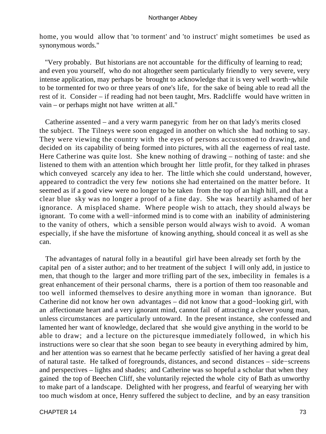home, you would allow that 'to torment' and 'to instruct' might sometimes be used as synonymous words."

 "Very probably. But historians are not accountable for the difficulty of learning to read; and even you yourself, who do not altogether seem particularly friendly to very severe, very intense application, may perhaps be brought to acknowledge that it is very well worth−while to be tormented for two or three years of one's life, for the sake of being able to read all the rest of it. Consider – if reading had not been taught, Mrs. Radcliffe would have written in vain – or perhaps might not have written at all."

 Catherine assented – and a very warm panegyric from her on that lady's merits closed the subject. The Tilneys were soon engaged in another on which she had nothing to say. They were viewing the country with the eyes of persons accustomed to drawing, and decided on its capability of being formed into pictures, with all the eagerness of real taste. Here Catherine was quite lost. She knew nothing of drawing – nothing of taste: and she listened to them with an attention which brought her little profit, for they talked in phrases which conveyed scarcely any idea to her. The little which she could understand, however, appeared to contradict the very few notions she had entertained on the matter before. It seemed as if a good view were no longer to be taken from the top of an high hill, and that a clear blue sky was no longer a proof of a fine day. She was heartily ashamed of her ignorance. A misplaced shame. Where people wish to attach, they should always be ignorant. To come with a well−informed mind is to come with an inability of administering to the vanity of others, which a sensible person would always wish to avoid. A woman especially, if she have the misfortune of knowing anything, should conceal it as well as she can.

 The advantages of natural folly in a beautiful girl have been already set forth by the capital pen of a sister author; and to her treatment of the subject I will only add, in justice to men, that though to the larger and more trifling part of the sex, imbecility in females is a great enhancement of their personal charms, there is a portion of them too reasonable and too well informed themselves to desire anything more in woman than ignorance. But Catherine did not know her own advantages – did not know that a good−looking girl, with an affectionate heart and a very ignorant mind, cannot fail of attracting a clever young man, unless circumstances are particularly untoward. In the present instance, she confessed and lamented her want of knowledge, declared that she would give anything in the world to be able to draw; and a lecture on the picturesque immediately followed, in which his instructions were so clear that she soon began to see beauty in everything admired by him, and her attention was so earnest that he became perfectly satisfied of her having a great deal of natural taste. He talked of foregrounds, distances, and second distances – side−screens and perspectives – lights and shades; and Catherine was so hopeful a scholar that when they gained the top of Beechen Cliff, she voluntarily rejected the whole city of Bath as unworthy to make part of a landscape. Delighted with her progress, and fearful of wearying her with too much wisdom at once, Henry suffered the subject to decline, and by an easy transition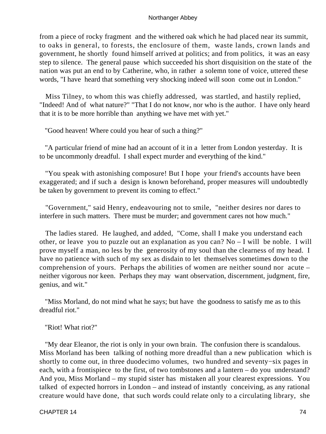from a piece of rocky fragment and the withered oak which he had placed near its summit, to oaks in general, to forests, the enclosure of them, waste lands, crown lands and government, he shortly found himself arrived at politics; and from politics, it was an easy step to silence. The general pause which succeeded his short disquisition on the state of the nation was put an end to by Catherine, who, in rather a solemn tone of voice, uttered these words, "I have heard that something very shocking indeed will soon come out in London."

 Miss Tilney, to whom this was chiefly addressed, was startled, and hastily replied, "Indeed! And of what nature?" "That I do not know, nor who is the author. I have only heard that it is to be more horrible than anything we have met with yet."

"Good heaven! Where could you hear of such a thing?"

 "A particular friend of mine had an account of it in a letter from London yesterday. It is to be uncommonly dreadful. I shall expect murder and everything of the kind."

 "You speak with astonishing composure! But I hope your friend's accounts have been exaggerated; and if such a design is known beforehand, proper measures will undoubtedly be taken by government to prevent its coming to effect."

 "Government," said Henry, endeavouring not to smile, "neither desires nor dares to interfere in such matters. There must be murder; and government cares not how much."

 The ladies stared. He laughed, and added, "Come, shall I make you understand each other, or leave you to puzzle out an explanation as you can? No – I will be noble. I will prove myself a man, no less by the generosity of my soul than the clearness of my head. I have no patience with such of my sex as disdain to let themselves sometimes down to the comprehension of yours. Perhaps the abilities of women are neither sound nor acute – neither vigorous nor keen. Perhaps they may want observation, discernment, judgment, fire, genius, and wit."

 "Miss Morland, do not mind what he says; but have the goodness to satisfy me as to this dreadful riot."

"Riot! What riot?"

 "My dear Eleanor, the riot is only in your own brain. The confusion there is scandalous. Miss Morland has been talking of nothing more dreadful than a new publication which is shortly to come out, in three duodecimo volumes, two hundred and seventy−six pages in each, with a frontispiece to the first, of two tombstones and a lantern – do you understand? And you, Miss Morland – my stupid sister has mistaken all your clearest expressions. You talked of expected horrors in London – and instead of instantly conceiving, as any rational creature would have done, that such words could relate only to a circulating library, she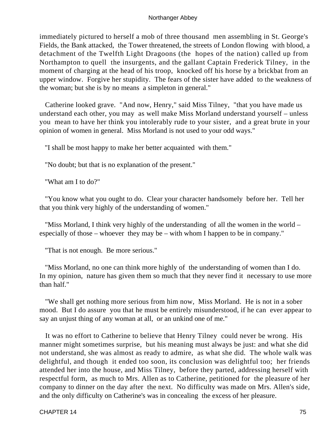immediately pictured to herself a mob of three thousand men assembling in St. George's Fields, the Bank attacked, the Tower threatened, the streets of London flowing with blood, a detachment of the Twelfth Light Dragoons (the hopes of the nation) called up from Northampton to quell the insurgents, and the gallant Captain Frederick Tilney, in the moment of charging at the head of his troop, knocked off his horse by a brickbat from an upper window. Forgive her stupidity. The fears of the sister have added to the weakness of the woman; but she is by no means a simpleton in general."

 Catherine looked grave. "And now, Henry," said Miss Tilney, "that you have made us understand each other, you may as well make Miss Morland understand yourself – unless you mean to have her think you intolerably rude to your sister, and a great brute in your opinion of women in general. Miss Morland is not used to your odd ways."

"I shall be most happy to make her better acquainted with them."

"No doubt; but that is no explanation of the present."

"What am I to do?"

 "You know what you ought to do. Clear your character handsomely before her. Tell her that you think very highly of the understanding of women."

 "Miss Morland, I think very highly of the understanding of all the women in the world – especially of those – whoever they may be – with whom I happen to be in company."

"That is not enough. Be more serious."

 "Miss Morland, no one can think more highly of the understanding of women than I do. In my opinion, nature has given them so much that they never find it necessary to use more than half."

 "We shall get nothing more serious from him now, Miss Morland. He is not in a sober mood. But I do assure you that he must be entirely misunderstood, if he can ever appear to say an unjust thing of any woman at all, or an unkind one of me."

 It was no effort to Catherine to believe that Henry Tilney could never be wrong. His manner might sometimes surprise, but his meaning must always be just: and what she did not understand, she was almost as ready to admire, as what she did. The whole walk was delightful, and though it ended too soon, its conclusion was delightful too; her friends attended her into the house, and Miss Tilney, before they parted, addressing herself with respectful form, as much to Mrs. Allen as to Catherine, petitioned for the pleasure of her company to dinner on the day after the next. No difficulty was made on Mrs. Allen's side, and the only difficulty on Catherine's was in concealing the excess of her pleasure.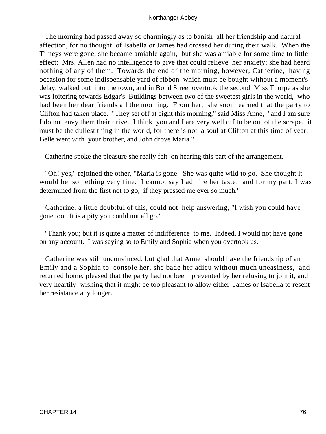The morning had passed away so charmingly as to banish all her friendship and natural affection, for no thought of Isabella or James had crossed her during their walk. When the Tilneys were gone, she became amiable again, but she was amiable for some time to little effect; Mrs. Allen had no intelligence to give that could relieve her anxiety; she had heard nothing of any of them. Towards the end of the morning, however, Catherine, having occasion for some indispensable yard of ribbon which must be bought without a moment's delay, walked out into the town, and in Bond Street overtook the second Miss Thorpe as she was loitering towards Edgar's Buildings between two of the sweetest girls in the world, who had been her dear friends all the morning. From her, she soon learned that the party to Clifton had taken place. "They set off at eight this morning," said Miss Anne, "and I am sure I do not envy them their drive. I think you and I are very well off to be out of the scrape. it must be the dullest thing in the world, for there is not a soul at Clifton at this time of year. Belle went with your brother, and John drove Maria."

Catherine spoke the pleasure she really felt on hearing this part of the arrangement.

 "Oh! yes," rejoined the other, "Maria is gone. She was quite wild to go. She thought it would be something very fine. I cannot say I admire her taste; and for my part, I was determined from the first not to go, if they pressed me ever so much."

 Catherine, a little doubtful of this, could not help answering, "I wish you could have gone too. It is a pity you could not all go."

 "Thank you; but it is quite a matter of indifference to me. Indeed, I would not have gone on any account. I was saying so to Emily and Sophia when you overtook us.

 Catherine was still unconvinced; but glad that Anne should have the friendship of an Emily and a Sophia to console her, she bade her adieu without much uneasiness, and returned home, pleased that the party had not been prevented by her refusing to join it, and very heartily wishing that it might be too pleasant to allow either James or Isabella to resent her resistance any longer.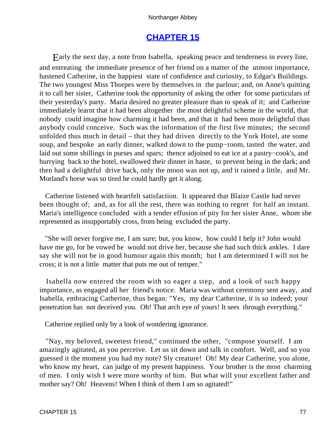# **[CHAPTER 15](#page-165-0)**

Early the next day, a note from Isabella, speaking peace and tenderness in every line, and entreating the immediate presence of her friend on a matter of the utmost importance, hastened Catherine, in the happiest state of confidence and curiosity, to Edgar's Buildings. The two youngest Miss Thorpes were by themselves in the parlour; and, on Anne's quitting it to call her sister, Catherine took the opportunity of asking the other for some particulars of their yesterday's party. Maria desired no greater pleasure than to speak of it; and Catherine immediately learnt that it had been altogether the most delightful scheme in the world, that nobody could imagine how charming it had been, and that it had been more delightful than anybody could conceive. Such was the information of the first five minutes; the second unfolded thus much in detail – that they had driven directly to the York Hotel, ate some soup, and bespoke an early dinner, walked down to the pump−room, tasted the water, and laid out some shillings in purses and spars; thence adjoined to eat ice at a pastry−cook's, and hurrying back to the hotel, swallowed their dinner in haste, to prevent being in the dark; and then had a delightful drive back, only the moon was not up, and it rained a little, and Mr. Morland's horse was so tired he could hardly get it along.

 Catherine listened with heartfelt satisfaction. It appeared that Blaize Castle had never been thought of; and, as for all the rest, there was nothing to regret for half an instant. Maria's intelligence concluded with a tender effusion of pity for her sister Anne, whom she represented as insupportably cross, from being excluded the party.

 "She will never forgive me, I am sure; but, you know, how could I help it? John would have me go, for he vowed he would not drive her, because she had such thick ankles. I dare say she will not be in good humour again this month; but I am determined I will not be cross; it is not a little matter that puts me out of temper."

 Isabella now entered the room with so eager a step, and a look of such happy importance, as engaged all her friend's notice. Maria was without ceremony sent away, and Isabella, embracing Catherine, thus began: "Yes, my dear Catherine, it is so indeed; your penetration has not deceived you. Oh! That arch eye of yours! It sees through everything."

Catherine replied only by a look of wondering ignorance.

 "Nay, my beloved, sweetest friend," continued the other, "compose yourself. I am amazingly agitated, as you perceive. Let us sit down and talk in comfort. Well, and so you guessed it the moment you had my note? Sly creature! Oh! My dear Catherine, you alone, who know my heart, can judge of my present happiness. Your brother is the most charming of men. I only wish I were more worthy of him. But what will your excellent father and mother say? Oh! Heavens! When I think of them I am so agitated!"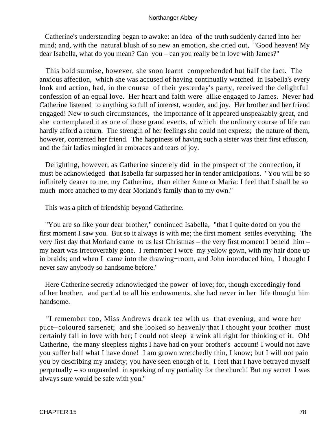Catherine's understanding began to awake: an idea of the truth suddenly darted into her mind; and, with the natural blush of so new an emotion, she cried out, "Good heaven! My dear Isabella, what do you mean? Can you – can you really be in love with James?"

 This bold surmise, however, she soon learnt comprehended but half the fact. The anxious affection, which she was accused of having continually watched in Isabella's every look and action, had, in the course of their yesterday's party, received the delightful confession of an equal love. Her heart and faith were alike engaged to James. Never had Catherine listened to anything so full of interest, wonder, and joy. Her brother and her friend engaged! New to such circumstances, the importance of it appeared unspeakably great, and she contemplated it as one of those grand events, of which the ordinary course of life can hardly afford a return. The strength of her feelings she could not express; the nature of them, however, contented her friend. The happiness of having such a sister was their first effusion, and the fair ladies mingled in embraces and tears of joy.

 Delighting, however, as Catherine sincerely did in the prospect of the connection, it must be acknowledged that Isabella far surpassed her in tender anticipations. "You will be so infinitely dearer to me, my Catherine, than either Anne or Maria: I feel that I shall be so much more attached to my dear Morland's family than to my own."

This was a pitch of friendship beyond Catherine.

 "You are so like your dear brother," continued Isabella, "that I quite doted on you the first moment I saw you. But so it always is with me; the first moment settles everything. The very first day that Morland came to us last Christmas – the very first moment I beheld him – my heart was irrecoverably gone. I remember I wore my yellow gown, with my hair done up in braids; and when I came into the drawing−room, and John introduced him, I thought I never saw anybody so handsome before."

 Here Catherine secretly acknowledged the power of love; for, though exceedingly fond of her brother, and partial to all his endowments, she had never in her life thought him handsome.

 "I remember too, Miss Andrews drank tea with us that evening, and wore her puce−coloured sarsenet; and she looked so heavenly that I thought your brother must certainly fall in love with her; I could not sleep a wink all right for thinking of it. Oh! Catherine, the many sleepless nights I have had on your brother's account! I would not have you suffer half what I have done! I am grown wretchedly thin, I know; but I will not pain you by describing my anxiety; you have seen enough of it. I feel that I have betrayed myself perpetually – so unguarded in speaking of my partiality for the church! But my secret I was always sure would be safe with you."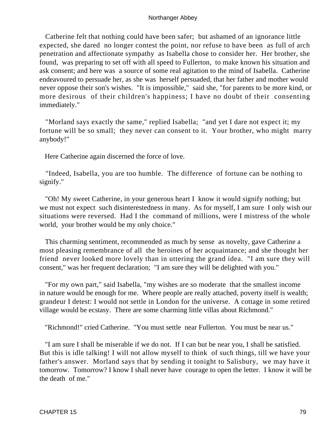Catherine felt that nothing could have been safer; but ashamed of an ignorance little expected, she dared no longer contest the point, nor refuse to have been as full of arch penetration and affectionate sympathy as Isabella chose to consider her. Her brother, she found, was preparing to set off with all speed to Fullerton, to make known his situation and ask consent; and here was a source of some real agitation to the mind of Isabella. Catherine endeavoured to persuade her, as she was herself persuaded, that her father and mother would never oppose their son's wishes. "It is impossible," said she, "for parents to be more kind, or more desirous of their children's happiness; I have no doubt of their consenting immediately."

 "Morland says exactly the same," replied Isabella; "and yet I dare not expect it; my fortune will be so small; they never can consent to it. Your brother, who might marry anybody!"

Here Catherine again discerned the force of love.

 "Indeed, Isabella, you are too humble. The difference of fortune can be nothing to signify."

 "Oh! My sweet Catherine, in your generous heart I know it would signify nothing; but we must not expect such disinterestedness in many. As for myself, I am sure I only wish our situations were reversed. Had I the command of millions, were I mistress of the whole world, your brother would be my only choice."

 This charming sentiment, recommended as much by sense as novelty, gave Catherine a most pleasing remembrance of all the heroines of her acquaintance; and she thought her friend never looked more lovely than in uttering the grand idea. "I am sure they will consent," was her frequent declaration; "I am sure they will be delighted with you."

 "For my own part," said Isabella, "my wishes are so moderate that the smallest income in nature would be enough for me. Where people are really attached, poverty itself is wealth; grandeur I detest: I would not settle in London for the universe. A cottage in some retired village would be ecstasy. There are some charming little villas about Richmond."

"Richmond!" cried Catherine. "You must settle near Fullerton. You must be near us."

 "I am sure I shall be miserable if we do not. If I can but be near you, I shall be satisfied. But this is idle talking! I will not allow myself to think of such things, till we have your father's answer. Morland says that by sending it tonight to Salisbury, we may have it tomorrow. Tomorrow? I know I shall never have courage to open the letter. I know it will be the death of me."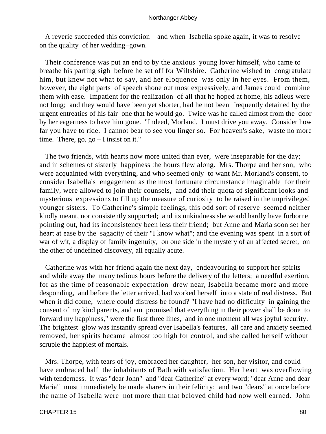A reverie succeeded this conviction – and when Isabella spoke again, it was to resolve on the quality of her wedding−gown.

 Their conference was put an end to by the anxious young lover himself, who came to breathe his parting sigh before he set off for Wiltshire. Catherine wished to congratulate him, but knew not what to say, and her eloquence was only in her eyes. From them, however, the eight parts of speech shone out most expressively, and James could combine them with ease. Impatient for the realization of all that he hoped at home, his adieus were not long; and they would have been yet shorter, had he not been frequently detained by the urgent entreaties of his fair one that he would go. Twice was he called almost from the door by her eagerness to have him gone. "Indeed, Morland, I must drive you away. Consider how far you have to ride. I cannot bear to see you linger so. For heaven's sake, waste no more time. There, go, go – I insist on it."

 The two friends, with hearts now more united than ever, were inseparable for the day; and in schemes of sisterly happiness the hours flew along. Mrs. Thorpe and her son, who were acquainted with everything, and who seemed only to want Mr. Morland's consent, to consider Isabella's engagement as the most fortunate circumstance imaginable for their family, were allowed to join their counsels, and add their quota of significant looks and mysterious expressions to fill up the measure of curiosity to be raised in the unprivileged younger sisters. To Catherine's simple feelings, this odd sort of reserve seemed neither kindly meant, nor consistently supported; and its unkindness she would hardly have forborne pointing out, had its inconsistency been less their friend; but Anne and Maria soon set her heart at ease by the sagacity of their "I know what"; and the evening was spent in a sort of war of wit, a display of family ingenuity, on one side in the mystery of an affected secret, on the other of undefined discovery, all equally acute.

 Catherine was with her friend again the next day, endeavouring to support her spirits and while away the many tedious hours before the delivery of the letters; a needful exertion, for as the time of reasonable expectation drew near, Isabella became more and more desponding, and before the letter arrived, had worked herself into a state of real distress. But when it did come, where could distress be found? "I have had no difficulty in gaining the consent of my kind parents, and am promised that everything in their power shall be done to forward my happiness," were the first three lines, and in one moment all was joyful security. The brightest glow was instantly spread over Isabella's features, all care and anxiety seemed removed, her spirits became almost too high for control, and she called herself without scruple the happiest of mortals.

 Mrs. Thorpe, with tears of joy, embraced her daughter, her son, her visitor, and could have embraced half the inhabitants of Bath with satisfaction. Her heart was overflowing with tenderness. It was "dear John" and "dear Catherine" at every word; "dear Anne and dear Maria" must immediately be made sharers in their felicity; and two "dears" at once before the name of Isabella were not more than that beloved child had now well earned. John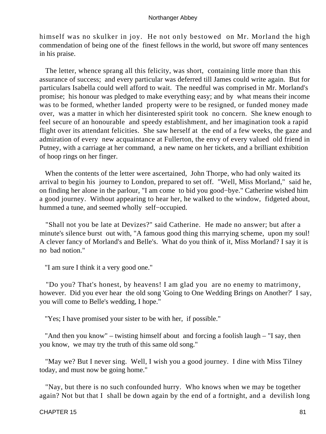himself was no skulker in joy. He not only bestowed on Mr. Morland the high commendation of being one of the finest fellows in the world, but swore off many sentences in his praise.

 The letter, whence sprang all this felicity, was short, containing little more than this assurance of success; and every particular was deferred till James could write again. But for particulars Isabella could well afford to wait. The needful was comprised in Mr. Morland's promise; his honour was pledged to make everything easy; and by what means their income was to be formed, whether landed property were to be resigned, or funded money made over, was a matter in which her disinterested spirit took no concern. She knew enough to feel secure of an honourable and speedy establishment, and her imagination took a rapid flight over its attendant felicities. She saw herself at the end of a few weeks, the gaze and admiration of every new acquaintance at Fullerton, the envy of every valued old friend in Putney, with a carriage at her command, a new name on her tickets, and a brilliant exhibition of hoop rings on her finger.

 When the contents of the letter were ascertained, John Thorpe, who had only waited its arrival to begin his journey to London, prepared to set off. "Well, Miss Morland," said he, on finding her alone in the parlour, "I am come to bid you good−bye." Catherine wished him a good journey. Without appearing to hear her, he walked to the window, fidgeted about, hummed a tune, and seemed wholly self−occupied.

 "Shall not you be late at Devizes?" said Catherine. He made no answer; but after a minute's silence burst out with, "A famous good thing this marrying scheme, upon my soul! A clever fancy of Morland's and Belle's. What do you think of it, Miss Morland? I say it is no bad notion."

"I am sure I think it a very good one."

 "Do you? That's honest, by heavens! I am glad you are no enemy to matrimony, however. Did you ever hear the old song 'Going to One Wedding Brings on Another?' I say, you will come to Belle's wedding, I hope."

"Yes; I have promised your sister to be with her, if possible."

 "And then you know" – twisting himself about and forcing a foolish laugh – "I say, then you know, we may try the truth of this same old song."

 "May we? But I never sing. Well, I wish you a good journey. I dine with Miss Tilney today, and must now be going home."

 "Nay, but there is no such confounded hurry. Who knows when we may be together again? Not but that I shall be down again by the end of a fortnight, and a devilish long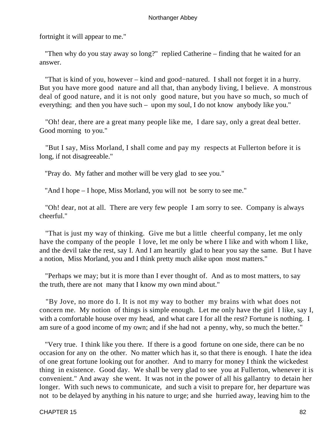fortnight it will appear to me."

 "Then why do you stay away so long?" replied Catherine – finding that he waited for an answer.

 "That is kind of you, however – kind and good−natured. I shall not forget it in a hurry. But you have more good nature and all that, than anybody living, I believe. A monstrous deal of good nature, and it is not only good nature, but you have so much, so much of everything; and then you have such – upon my soul, I do not know anybody like you."

 "Oh! dear, there are a great many people like me, I dare say, only a great deal better. Good morning to you."

 "But I say, Miss Morland, I shall come and pay my respects at Fullerton before it is long, if not disagreeable."

"Pray do. My father and mother will be very glad to see you."

"And I hope – I hope, Miss Morland, you will not be sorry to see me."

 "Oh! dear, not at all. There are very few people I am sorry to see. Company is always cheerful."

 "That is just my way of thinking. Give me but a little cheerful company, let me only have the company of the people I love, let me only be where I like and with whom I like, and the devil take the rest, say I. And I am heartily glad to hear you say the same. But I have a notion, Miss Morland, you and I think pretty much alike upon most matters."

 "Perhaps we may; but it is more than I ever thought of. And as to most matters, to say the truth, there are not many that I know my own mind about."

 "By Jove, no more do I. It is not my way to bother my brains with what does not concern me. My notion of things is simple enough. Let me only have the girl I like, say I, with a comfortable house over my head, and what care I for all the rest? Fortune is nothing. I am sure of a good income of my own; and if she had not a penny, why, so much the better."

 "Very true. I think like you there. If there is a good fortune on one side, there can be no occasion for any on the other. No matter which has it, so that there is enough. I hate the idea of one great fortune looking out for another. And to marry for money I think the wickedest thing in existence. Good day. We shall be very glad to see you at Fullerton, whenever it is convenient." And away she went. It was not in the power of all his gallantry to detain her longer. With such news to communicate, and such a visit to prepare for, her departure was not to be delayed by anything in his nature to urge; and she hurried away, leaving him to the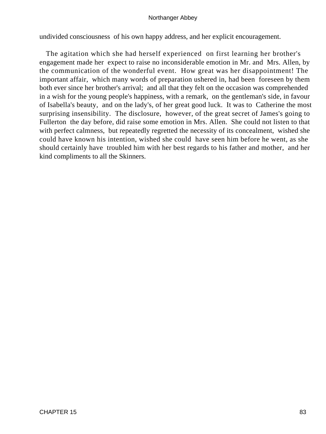undivided consciousness of his own happy address, and her explicit encouragement.

 The agitation which she had herself experienced on first learning her brother's engagement made her expect to raise no inconsiderable emotion in Mr. and Mrs. Allen, by the communication of the wonderful event. How great was her disappointment! The important affair, which many words of preparation ushered in, had been foreseen by them both ever since her brother's arrival; and all that they felt on the occasion was comprehended in a wish for the young people's happiness, with a remark, on the gentleman's side, in favour of Isabella's beauty, and on the lady's, of her great good luck. It was to Catherine the most surprising insensibility. The disclosure, however, of the great secret of James's going to Fullerton the day before, did raise some emotion in Mrs. Allen. She could not listen to that with perfect calmness, but repeatedly regretted the necessity of its concealment, wished she could have known his intention, wished she could have seen him before he went, as she should certainly have troubled him with her best regards to his father and mother, and her kind compliments to all the Skinners.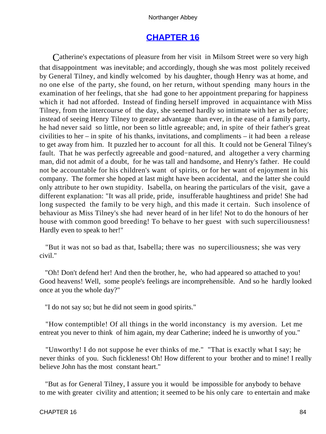# **[CHAPTER 16](#page-165-0)**

Catherine's expectations of pleasure from her visit in Milsom Street were so very high that disappointment was inevitable; and accordingly, though she was most politely received by General Tilney, and kindly welcomed by his daughter, though Henry was at home, and no one else of the party, she found, on her return, without spending many hours in the examination of her feelings, that she had gone to her appointment preparing for happiness which it had not afforded. Instead of finding herself improved in acquaintance with Miss Tilney, from the intercourse of the day, she seemed hardly so intimate with her as before; instead of seeing Henry Tilney to greater advantage than ever, in the ease of a family party, he had never said so little, nor been so little agreeable; and, in spite of their father's great civilities to her – in spite of his thanks, invitations, and compliments – it had been a release to get away from him. It puzzled her to account for all this. It could not be General Tilney's fault. That he was perfectly agreeable and good−natured, and altogether a very charming man, did not admit of a doubt, for he was tall and handsome, and Henry's father. He could not be accountable for his children's want of spirits, or for her want of enjoyment in his company. The former she hoped at last might have been accidental, and the latter she could only attribute to her own stupidity. Isabella, on hearing the particulars of the visit, gave a different explanation: "It was all pride, pride, insufferable haughtiness and pride! She had long suspected the family to be very high, and this made it certain. Such insolence of behaviour as Miss Tilney's she had never heard of in her life! Not to do the honours of her house with common good breeding! To behave to her guest with such superciliousness! Hardly even to speak to her!"

 "But it was not so bad as that, Isabella; there was no superciliousness; she was very civil."

 "Oh! Don't defend her! And then the brother, he, who had appeared so attached to you! Good heavens! Well, some people's feelings are incomprehensible. And so he hardly looked once at you the whole day?"

"I do not say so; but he did not seem in good spirits."

 "How contemptible! Of all things in the world inconstancy is my aversion. Let me entreat you never to think of him again, my dear Catherine; indeed he is unworthy of you."

 "Unworthy! I do not suppose he ever thinks of me." "That is exactly what I say; he never thinks of you. Such fickleness! Oh! How different to your brother and to mine! I really believe John has the most constant heart."

 "But as for General Tilney, I assure you it would be impossible for anybody to behave to me with greater civility and attention; it seemed to be his only care to entertain and make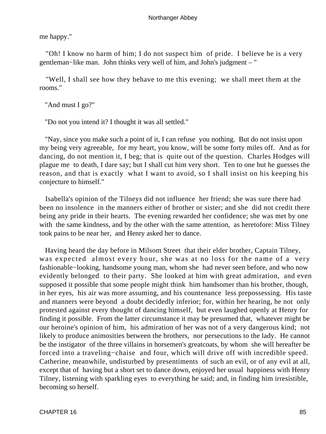me happy."

 "Oh! I know no harm of him; I do not suspect him of pride. I believe he is a very gentleman−like man. John thinks very well of him, and John's judgment – "

 "Well, I shall see how they behave to me this evening; we shall meet them at the rooms."

"And must I go?"

"Do not you intend it? I thought it was all settled."

 "Nay, since you make such a point of it, I can refuse you nothing. But do not insist upon my being very agreeable, for my heart, you know, will be some forty miles off. And as for dancing, do not mention it, I beg; that is quite out of the question. Charles Hodges will plague me to death, I dare say; but I shall cut him very short. Ten to one but he guesses the reason, and that is exactly what I want to avoid, so I shall insist on his keeping his conjecture to himself."

 Isabella's opinion of the Tilneys did not influence her friend; she was sure there had been no insolence in the manners either of brother or sister; and she did not credit there being any pride in their hearts. The evening rewarded her confidence; she was met by one with the same kindness, and by the other with the same attention, as heretofore: Miss Tilney took pains to be near her, and Henry asked her to dance.

 Having heard the day before in Milsom Street that their elder brother, Captain Tilney, was expected almost every hour, she was at no loss for the name of a very fashionable−looking, handsome young man, whom she had never seen before, and who now evidently belonged to their party. She looked at him with great admiration, and even supposed it possible that some people might think him handsomer than his brother, though, in her eyes, his air was more assuming, and his countenance less prepossessing. His taste and manners were beyond a doubt decidedly inferior; for, within her hearing, he not only protested against every thought of dancing himself, but even laughed openly at Henry for finding it possible. From the latter circumstance it may be presumed that, whatever might be our heroine's opinion of him, his admiration of her was not of a very dangerous kind; not likely to produce animosities between the brothers, nor persecutions to the lady. He cannot be the instigator of the three villains in horsemen's greatcoats, by whom she will hereafter be forced into a traveling−chaise and four, which will drive off with incredible speed. Catherine, meanwhile, undisturbed by presentiments of such an evil, or of any evil at all, except that of having but a short set to dance down, enjoyed her usual happiness with Henry Tilney, listening with sparkling eyes to everything he said; and, in finding him irresistible, becoming so herself.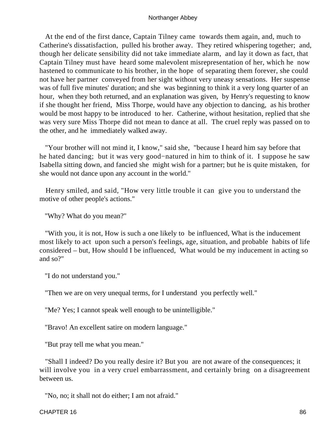At the end of the first dance, Captain Tilney came towards them again, and, much to Catherine's dissatisfaction, pulled his brother away. They retired whispering together; and, though her delicate sensibility did not take immediate alarm, and lay it down as fact, that Captain Tilney must have heard some malevolent misrepresentation of her, which he now hastened to communicate to his brother, in the hope of separating them forever, she could not have her partner conveyed from her sight without very uneasy sensations. Her suspense was of full five minutes' duration; and she was beginning to think it a very long quarter of an hour, when they both returned, and an explanation was given, by Henry's requesting to know if she thought her friend, Miss Thorpe, would have any objection to dancing, as his brother would be most happy to be introduced to her. Catherine, without hesitation, replied that she was very sure Miss Thorpe did not mean to dance at all. The cruel reply was passed on to the other, and he immediately walked away.

 "Your brother will not mind it, I know," said she, "because I heard him say before that he hated dancing; but it was very good−natured in him to think of it. I suppose he saw Isabella sitting down, and fancied she might wish for a partner; but he is quite mistaken, for she would not dance upon any account in the world."

 Henry smiled, and said, "How very little trouble it can give you to understand the motive of other people's actions."

"Why? What do you mean?"

 "With you, it is not, How is such a one likely to be influenced, What is the inducement most likely to act upon such a person's feelings, age, situation, and probable habits of life considered – but, How should I be influenced, What would be my inducement in acting so and so?"

"I do not understand you."

"Then we are on very unequal terms, for I understand you perfectly well."

"Me? Yes; I cannot speak well enough to be unintelligible."

"Bravo! An excellent satire on modern language."

"But pray tell me what you mean."

 "Shall I indeed? Do you really desire it? But you are not aware of the consequences; it will involve you in a very cruel embarrassment, and certainly bring on a disagreement between us.

"No, no; it shall not do either; I am not afraid."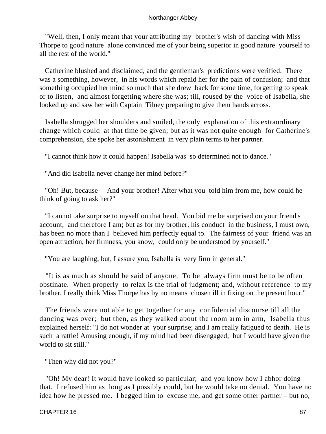"Well, then, I only meant that your attributing my brother's wish of dancing with Miss Thorpe to good nature alone convinced me of your being superior in good nature yourself to all the rest of the world."

 Catherine blushed and disclaimed, and the gentleman's predictions were verified. There was a something, however, in his words which repaid her for the pain of confusion; and that something occupied her mind so much that she drew back for some time, forgetting to speak or to listen, and almost forgetting where she was; till, roused by the voice of Isabella, she looked up and saw her with Captain Tilney preparing to give them hands across.

 Isabella shrugged her shoulders and smiled, the only explanation of this extraordinary change which could at that time be given; but as it was not quite enough for Catherine's comprehension, she spoke her astonishment in very plain terms to her partner.

"I cannot think how it could happen! Isabella was so determined not to dance."

"And did Isabella never change her mind before?"

 "Oh! But, because – And your brother! After what you told him from me, how could he think of going to ask her?"

 "I cannot take surprise to myself on that head. You bid me be surprised on your friend's account, and therefore I am; but as for my brother, his conduct in the business, I must own, has been no more than I believed him perfectly equal to. The fairness of your friend was an open attraction; her firmness, you know, could only be understood by yourself."

"You are laughing; but, I assure you, Isabella is very firm in general."

 "It is as much as should be said of anyone. To be always firm must be to be often obstinate. When properly to relax is the trial of judgment; and, without reference to my brother, I really think Miss Thorpe has by no means chosen ill in fixing on the present hour."

 The friends were not able to get together for any confidential discourse till all the dancing was over; but then, as they walked about the room arm in arm, Isabella thus explained herself: "I do not wonder at your surprise; and I am really fatigued to death. He is such a rattle! Amusing enough, if my mind had been disengaged; but I would have given the world to sit still."

"Then why did not you?"

 "Oh! My dear! It would have looked so particular; and you know how I abhor doing that. I refused him as long as I possibly could, but he would take no denial. You have no idea how he pressed me. I begged him to excuse me, and get some other partner – but no,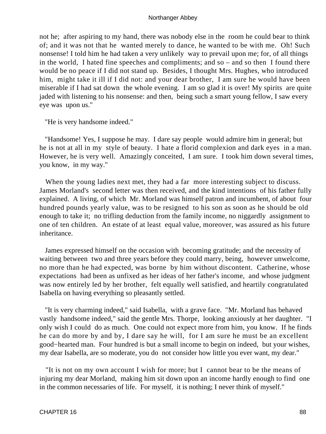not he; after aspiring to my hand, there was nobody else in the room he could bear to think of; and it was not that he wanted merely to dance, he wanted to be with me. Oh! Such nonsense! I told him he had taken a very unlikely way to prevail upon me; for, of all things in the world, I hated fine speeches and compliments; and so – and so then I found there would be no peace if I did not stand up. Besides, I thought Mrs. Hughes, who introduced him, might take it ill if I did not: and your dear brother, I am sure he would have been miserable if I had sat down the whole evening. I am so glad it is over! My spirits are quite jaded with listening to his nonsense: and then, being such a smart young fellow, I saw every eye was upon us."

"He is very handsome indeed."

 "Handsome! Yes, I suppose he may. I dare say people would admire him in general; but he is not at all in my style of beauty. I hate a florid complexion and dark eyes in a man. However, he is very well. Amazingly conceited, I am sure. I took him down several times, you know, in my way."

 When the young ladies next met, they had a far more interesting subject to discuss. James Morland's second letter was then received, and the kind intentions of his father fully explained. A living, of which Mr. Morland was himself patron and incumbent, of about four hundred pounds yearly value, was to be resigned to his son as soon as he should be old enough to take it; no trifling deduction from the family income, no niggardly assignment to one of ten children. An estate of at least equal value, moreover, was assured as his future inheritance.

 James expressed himself on the occasion with becoming gratitude; and the necessity of waiting between two and three years before they could marry, being, however unwelcome, no more than he had expected, was borne by him without discontent. Catherine, whose expectations had been as unfixed as her ideas of her father's income, and whose judgment was now entirely led by her brother, felt equally well satisfied, and heartily congratulated Isabella on having everything so pleasantly settled.

 "It is very charming indeed," said Isabella, with a grave face. "Mr. Morland has behaved vastly handsome indeed," said the gentle Mrs. Thorpe, looking anxiously at her daughter. "I only wish I could do as much. One could not expect more from him, you know. If he finds he can do more by and by, I dare say he will, for I am sure he must be an excellent good−hearted man. Four hundred is but a small income to begin on indeed, but your wishes, my dear Isabella, are so moderate, you do not consider how little you ever want, my dear."

 "It is not on my own account I wish for more; but I cannot bear to be the means of injuring my dear Morland, making him sit down upon an income hardly enough to find one in the common necessaries of life. For myself, it is nothing; I never think of myself."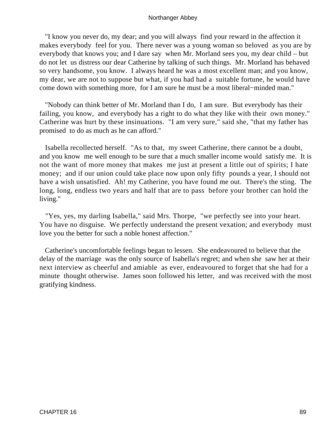"I know you never do, my dear; and you will always find your reward in the affection it makes everybody feel for you. There never was a young woman so beloved as you are by everybody that knows you; and I dare say when Mr. Morland sees you, my dear child – but do not let us distress our dear Catherine by talking of such things. Mr. Morland has behaved so very handsome, you know. I always heard he was a most excellent man; and you know, my dear, we are not to suppose but what, if you had had a suitable fortune, he would have come down with something more, for I am sure he must be a most liberal−minded man."

 "Nobody can think better of Mr. Morland than I do, I am sure. But everybody has their failing, you know, and everybody has a right to do what they like with their own money." Catherine was hurt by these insinuations. "I am very sure," said she, "that my father has promised to do as much as he can afford."

 Isabella recollected herself. "As to that, my sweet Catherine, there cannot be a doubt, and you know me well enough to be sure that a much smaller income would satisfy me. It is not the want of more money that makes me just at present a little out of spirits; I hate money; and if our union could take place now upon only fifty pounds a year, I should not have a wish unsatisfied. Ah! my Catherine, you have found me out. There's the sting. The long, long, endless two years and half that are to pass before your brother can hold the living."

 "Yes, yes, my darling Isabella," said Mrs. Thorpe, "we perfectly see into your heart. You have no disguise. We perfectly understand the present vexation; and everybody must love you the better for such a noble honest affection."

 Catherine's uncomfortable feelings began to lessen. She endeavoured to believe that the delay of the marriage was the only source of Isabella's regret; and when she saw her at their next interview as cheerful and amiable as ever, endeavoured to forget that she had for a minute thought otherwise. James soon followed his letter, and was received with the most gratifying kindness.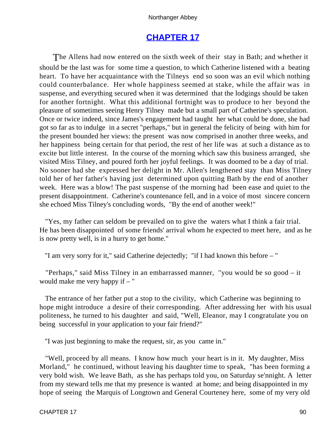# **[CHAPTER 17](#page-165-0)**

The Allens had now entered on the sixth week of their stay in Bath; and whether it should be the last was for some time a question, to which Catherine listened with a beating heart. To have her acquaintance with the Tilneys end so soon was an evil which nothing could counterbalance. Her whole happiness seemed at stake, while the affair was in suspense, and everything secured when it was determined that the lodgings should be taken for another fortnight. What this additional fortnight was to produce to her beyond the pleasure of sometimes seeing Henry Tilney made but a small part of Catherine's speculation. Once or twice indeed, since James's engagement had taught her what could be done, she had got so far as to indulge in a secret "perhaps," but in general the felicity of being with him for the present bounded her views: the present was now comprised in another three weeks, and her happiness being certain for that period, the rest of her life was at such a distance as to excite but little interest. In the course of the morning which saw this business arranged, she visited Miss Tilney, and poured forth her joyful feelings. It was doomed to be a day of trial. No sooner had she expressed her delight in Mr. Allen's lengthened stay than Miss Tilney told her of her father's having just determined upon quitting Bath by the end of another week. Here was a blow! The past suspense of the morning had been ease and quiet to the present disappointment. Catherine's countenance fell, and in a voice of most sincere concern she echoed Miss Tilney's concluding words, "By the end of another week!"

 "Yes, my father can seldom be prevailed on to give the waters what I think a fair trial. He has been disappointed of some friends' arrival whom he expected to meet here, and as he is now pretty well, is in a hurry to get home."

"I am very sorry for it," said Catherine dejectedly; "if I had known this before – "

 "Perhaps," said Miss Tilney in an embarrassed manner, "you would be so good – it would make me very happy if – "

 The entrance of her father put a stop to the civility, which Catherine was beginning to hope might introduce a desire of their corresponding. After addressing her with his usual politeness, he turned to his daughter and said, "Well, Eleanor, may I congratulate you on being successful in your application to your fair friend?"

"I was just beginning to make the request, sir, as you came in."

 "Well, proceed by all means. I know how much your heart is in it. My daughter, Miss Morland," he continued, without leaving his daughter time to speak, "has been forming a very bold wish. We leave Bath, as she has perhaps told you, on Saturday se'nnight. A letter from my steward tells me that my presence is wanted at home; and being disappointed in my hope of seeing the Marquis of Longtown and General Courteney here, some of my very old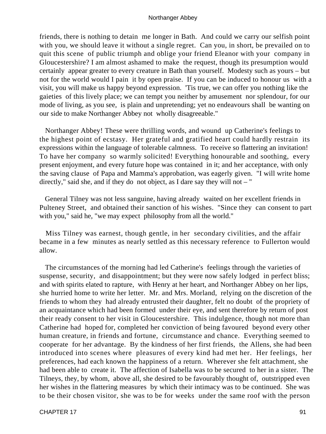friends, there is nothing to detain me longer in Bath. And could we carry our selfish point with you, we should leave it without a single regret. Can you, in short, be prevailed on to quit this scene of public triumph and oblige your friend Eleanor with your company in Gloucestershire? I am almost ashamed to make the request, though its presumption would certainly appear greater to every creature in Bath than yourself. Modesty such as yours – but not for the world would I pain it by open praise. If you can be induced to honour us with a visit, you will make us happy beyond expression. 'Tis true, we can offer you nothing like the gaieties of this lively place; we can tempt you neither by amusement nor splendour, for our mode of living, as you see, is plain and unpretending; yet no endeavours shall be wanting on our side to make Northanger Abbey not wholly disagreeable."

 Northanger Abbey! These were thrilling words, and wound up Catherine's feelings to the highest point of ecstasy. Her grateful and gratified heart could hardly restrain its expressions within the language of tolerable calmness. To receive so flattering an invitation! To have her company so warmly solicited! Everything honourable and soothing, every present enjoyment, and every future hope was contained in it; and her acceptance, with only the saving clause of Papa and Mamma's approbation, was eagerly given. "I will write home directly," said she, and if they do not object, as I dare say they will not – "

 General Tilney was not less sanguine, having already waited on her excellent friends in Pulteney Street, and obtained their sanction of his wishes. "Since they can consent to part with you," said he, "we may expect philosophy from all the world."

 Miss Tilney was earnest, though gentle, in her secondary civilities, and the affair became in a few minutes as nearly settled as this necessary reference to Fullerton would allow.

 The circumstances of the morning had led Catherine's feelings through the varieties of suspense, security, and disappointment; but they were now safely lodged in perfect bliss; and with spirits elated to rapture, with Henry at her heart, and Northanger Abbey on her lips, she hurried home to write her letter. Mr. and Mrs. Morland, relying on the discretion of the friends to whom they had already entrusted their daughter, felt no doubt of the propriety of an acquaintance which had been formed under their eye, and sent therefore by return of post their ready consent to her visit in Gloucestershire. This indulgence, though not more than Catherine had hoped for, completed her conviction of being favoured beyond every other human creature, in friends and fortune, circumstance and chance. Everything seemed to cooperate for her advantage. By the kindness of her first friends, the Allens, she had been introduced into scenes where pleasures of every kind had met her. Her feelings, her preferences, had each known the happiness of a return. Wherever she felt attachment, she had been able to create it. The affection of Isabella was to be secured to her in a sister. The Tilneys, they, by whom, above all, she desired to be favourably thought of, outstripped even her wishes in the flattering measures by which their intimacy was to be continued. She was to be their chosen visitor, she was to be for weeks under the same roof with the person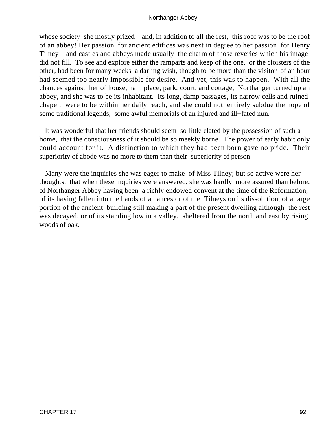whose society she mostly prized – and, in addition to all the rest, this roof was to be the roof of an abbey! Her passion for ancient edifices was next in degree to her passion for Henry Tilney – and castles and abbeys made usually the charm of those reveries which his image did not fill. To see and explore either the ramparts and keep of the one, or the cloisters of the other, had been for many weeks a darling wish, though to be more than the visitor of an hour had seemed too nearly impossible for desire. And yet, this was to happen. With all the chances against her of house, hall, place, park, court, and cottage, Northanger turned up an abbey, and she was to be its inhabitant. Its long, damp passages, its narrow cells and ruined chapel, were to be within her daily reach, and she could not entirely subdue the hope of some traditional legends, some awful memorials of an injured and ill−fated nun.

 It was wonderful that her friends should seem so little elated by the possession of such a home, that the consciousness of it should be so meekly borne. The power of early habit only could account for it. A distinction to which they had been born gave no pride. Their superiority of abode was no more to them than their superiority of person.

 Many were the inquiries she was eager to make of Miss Tilney; but so active were her thoughts, that when these inquiries were answered, she was hardly more assured than before, of Northanger Abbey having been a richly endowed convent at the time of the Reformation, of its having fallen into the hands of an ancestor of the Tilneys on its dissolution, of a large portion of the ancient building still making a part of the present dwelling although the rest was decayed, or of its standing low in a valley, sheltered from the north and east by rising woods of oak.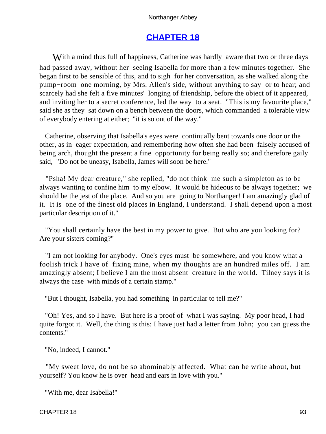# **[CHAPTER 18](#page-165-0)**

With a mind thus full of happiness, Catherine was hardly aware that two or three days had passed away, without her seeing Isabella for more than a few minutes together. She began first to be sensible of this, and to sigh for her conversation, as she walked along the pump−room one morning, by Mrs. Allen's side, without anything to say or to hear; and scarcely had she felt a five minutes' longing of friendship, before the object of it appeared, and inviting her to a secret conference, led the way to a seat. "This is my favourite place," said she as they sat down on a bench between the doors, which commanded a tolerable view of everybody entering at either; "it is so out of the way."

 Catherine, observing that Isabella's eyes were continually bent towards one door or the other, as in eager expectation, and remembering how often she had been falsely accused of being arch, thought the present a fine opportunity for being really so; and therefore gaily said, "Do not be uneasy, Isabella, James will soon be here."

 "Psha! My dear creature," she replied, "do not think me such a simpleton as to be always wanting to confine him to my elbow. It would be hideous to be always together; we should be the jest of the place. And so you are going to Northanger! I am amazingly glad of it. It is one of the finest old places in England, I understand. I shall depend upon a most particular description of it."

 "You shall certainly have the best in my power to give. But who are you looking for? Are your sisters coming?"

 "I am not looking for anybody. One's eyes must be somewhere, and you know what a foolish trick I have of fixing mine, when my thoughts are an hundred miles off. I am amazingly absent; I believe I am the most absent creature in the world. Tilney says it is always the case with minds of a certain stamp."

"But I thought, Isabella, you had something in particular to tell me?"

 "Oh! Yes, and so I have. But here is a proof of what I was saying. My poor head, I had quite forgot it. Well, the thing is this: I have just had a letter from John; you can guess the contents."

"No, indeed, I cannot."

 "My sweet love, do not be so abominably affected. What can he write about, but yourself? You know he is over head and ears in love with you."

"With me, dear Isabella!"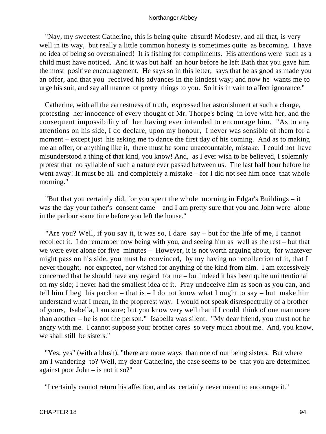"Nay, my sweetest Catherine, this is being quite absurd! Modesty, and all that, is very well in its way, but really a little common honesty is sometimes quite as becoming. I have no idea of being so overstrained! It is fishing for compliments. His attentions were such as a child must have noticed. And it was but half an hour before he left Bath that you gave him the most positive encouragement. He says so in this letter, says that he as good as made you an offer, and that you received his advances in the kindest way; and now he wants me to urge his suit, and say all manner of pretty things to you. So it is in vain to affect ignorance."

 Catherine, with all the earnestness of truth, expressed her astonishment at such a charge, protesting her innocence of every thought of Mr. Thorpe's being in love with her, and the consequent impossibility of her having ever intended to encourage him. "As to any attentions on his side, I do declare, upon my honour, I never was sensible of them for a moment – except just his asking me to dance the first day of his coming. And as to making me an offer, or anything like it, there must be some unaccountable, mistake. I could not have misunderstood a thing of that kind, you know! And, as I ever wish to be believed, I solemnly protest that no syllable of such a nature ever passed between us. The last half hour before he went away! It must be all and completely a mistake – for I did not see him once that whole morning."

 "But that you certainly did, for you spent the whole morning in Edgar's Buildings – it was the day your father's consent came – and I am pretty sure that you and John were alone in the parlour some time before you left the house."

 "Are you? Well, if you say it, it was so, I dare say – but for the life of me, I cannot recollect it. I do remember now being with you, and seeing him as well as the rest – but that we were ever alone for five minutes – However, it is not worth arguing about, for whatever might pass on his side, you must be convinced, by my having no recollection of it, that I never thought, nor expected, nor wished for anything of the kind from him. I am excessively concerned that he should have any regard for me – but indeed it has been quite unintentional on my side; I never had the smallest idea of it. Pray undeceive him as soon as you can, and tell him I beg his pardon – that is  $-$  I do not know what I ought to say – but make him understand what I mean, in the properest way. I would not speak disrespectfully of a brother of yours, Isabella, I am sure; but you know very well that if I could think of one man more than another – he is not the person." Isabella was silent. "My dear friend, you must not be angry with me. I cannot suppose your brother cares so very much about me. And, you know, we shall still be sisters."

 "Yes, yes" (with a blush), "there are more ways than one of our being sisters. But where am I wandering to? Well, my dear Catherine, the case seems to be that you are determined against poor John – is not it so?"

"I certainly cannot return his affection, and as certainly never meant to encourage it."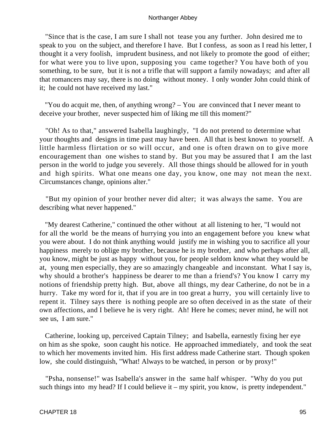"Since that is the case, I am sure I shall not tease you any further. John desired me to speak to you on the subject, and therefore I have. But I confess, as soon as I read his letter, I thought it a very foolish, imprudent business, and not likely to promote the good of either; for what were you to live upon, supposing you came together? You have both of you something, to be sure, but it is not a trifle that will support a family nowadays; and after all that romancers may say, there is no doing without money. I only wonder John could think of it; he could not have received my last."

 "You do acquit me, then, of anything wrong? – You are convinced that I never meant to deceive your brother, never suspected him of liking me till this moment?"

 "Oh! As to that," answered Isabella laughingly, "I do not pretend to determine what your thoughts and designs in time past may have been. All that is best known to yourself. A little harmless flirtation or so will occur, and one is often drawn on to give more encouragement than one wishes to stand by. But you may be assured that I am the last person in the world to judge you severely. All those things should be allowed for in youth and high spirits. What one means one day, you know, one may not mean the next. Circumstances change, opinions alter."

 "But my opinion of your brother never did alter; it was always the same. You are describing what never happened."

 "My dearest Catherine," continued the other without at all listening to her, "I would not for all the world be the means of hurrying you into an engagement before you knew what you were about. I do not think anything would justify me in wishing you to sacrifice all your happiness merely to oblige my brother, because he is my brother, and who perhaps after all, you know, might be just as happy without you, for people seldom know what they would be at, young men especially, they are so amazingly changeable and inconstant. What I say is, why should a brother's happiness be dearer to me than a friend's? You know I carry my notions of friendship pretty high. But, above all things, my dear Catherine, do not be in a hurry. Take my word for it, that if you are in too great a hurry, you will certainly live to repent it. Tilney says there is nothing people are so often deceived in as the state of their own affections, and I believe he is very right. Ah! Here he comes; never mind, he will not see us, I am sure."

 Catherine, looking up, perceived Captain Tilney; and Isabella, earnestly fixing her eye on him as she spoke, soon caught his notice. He approached immediately, and took the seat to which her movements invited him. His first address made Catherine start. Though spoken low, she could distinguish, "What! Always to be watched, in person or by proxy!"

 "Psha, nonsense!" was Isabella's answer in the same half whisper. "Why do you put such things into my head? If I could believe it – my spirit, you know, is pretty independent."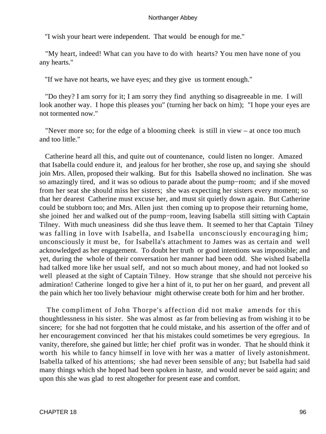"I wish your heart were independent. That would be enough for me."

 "My heart, indeed! What can you have to do with hearts? You men have none of you any hearts."

"If we have not hearts, we have eyes; and they give us torment enough."

 "Do they? I am sorry for it; I am sorry they find anything so disagreeable in me. I will look another way. I hope this pleases you" (turning her back on him); "I hope your eyes are not tormented now."

 "Never more so; for the edge of a blooming cheek is still in view – at once too much and too little."

 Catherine heard all this, and quite out of countenance, could listen no longer. Amazed that Isabella could endure it, and jealous for her brother, she rose up, and saying she should join Mrs. Allen, proposed their walking. But for this Isabella showed no inclination. She was so amazingly tired, and it was so odious to parade about the pump−room; and if she moved from her seat she should miss her sisters; she was expecting her sisters every moment; so that her dearest Catherine must excuse her, and must sit quietly down again. But Catherine could be stubborn too; and Mrs. Allen just then coming up to propose their returning home, she joined her and walked out of the pump−room, leaving Isabella still sitting with Captain Tilney. With much uneasiness did she thus leave them. It seemed to her that Captain Tilney was falling in love with Isabella, and Isabella unconsciously encouraging him; unconsciously it must be, for Isabella's attachment to James was as certain and well acknowledged as her engagement. To doubt her truth or good intentions was impossible; and yet, during the whole of their conversation her manner had been odd. She wished Isabella had talked more like her usual self, and not so much about money, and had not looked so well pleased at the sight of Captain Tilney. How strange that she should not perceive his admiration! Catherine longed to give her a hint of it, to put her on her guard, and prevent all the pain which her too lively behaviour might otherwise create both for him and her brother.

 The compliment of John Thorpe's affection did not make amends for this thoughtlessness in his sister. She was almost as far from believing as from wishing it to be sincere; for she had not forgotten that he could mistake, and his assertion of the offer and of her encouragement convinced her that his mistakes could sometimes be very egregious. In vanity, therefore, she gained but little; her chief profit was in wonder. That he should think it worth his while to fancy himself in love with her was a matter of lively astonishment. Isabella talked of his attentions; she had never been sensible of any; but Isabella had said many things which she hoped had been spoken in haste, and would never be said again; and upon this she was glad to rest altogether for present ease and comfort.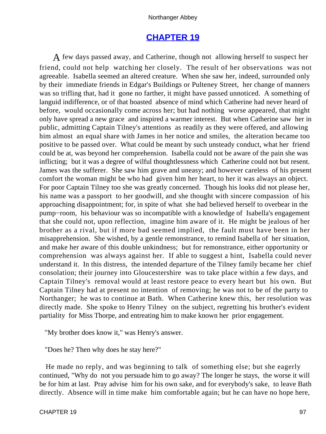# **[CHAPTER 19](#page-165-0)**

A few days passed away, and Catherine, though not allowing herself to suspect her friend, could not help watching her closely. The result of her observations was not agreeable. Isabella seemed an altered creature. When she saw her, indeed, surrounded only by their immediate friends in Edgar's Buildings or Pulteney Street, her change of manners was so trifling that, had it gone no farther, it might have passed unnoticed. A something of languid indifference, or of that boasted absence of mind which Catherine had never heard of before, would occasionally come across her; but had nothing worse appeared, that might only have spread a new grace and inspired a warmer interest. But when Catherine saw her in public, admitting Captain Tilney's attentions as readily as they were offered, and allowing him almost an equal share with James in her notice and smiles, the alteration became too positive to be passed over. What could be meant by such unsteady conduct, what her friend could be at, was beyond her comprehension. Isabella could not be aware of the pain she was inflicting; but it was a degree of wilful thoughtlessness which Catherine could not but resent. James was the sufferer. She saw him grave and uneasy; and however careless of his present comfort the woman might be who had given him her heart, to her it was always an object. For poor Captain Tilney too she was greatly concerned. Though his looks did not please her, his name was a passport to her goodwill, and she thought with sincere compassion of his approaching disappointment; for, in spite of what she had believed herself to overbear in the pump−room, his behaviour was so incompatible with a knowledge of Isabella's engagement that she could not, upon reflection, imagine him aware of it. He might be jealous of her brother as a rival, but if more bad seemed implied, the fault must have been in her misapprehension. She wished, by a gentle remonstrance, to remind Isabella of her situation, and make her aware of this double unkindness; but for remonstrance, either opportunity or comprehension was always against her. If able to suggest a hint, Isabella could never understand it. In this distress, the intended departure of the Tilney family became her chief consolation; their journey into Gloucestershire was to take place within a few days, and Captain Tilney's removal would at least restore peace to every heart but his own. But Captain Tilney had at present no intention of removing; he was not to be of the party to Northanger; he was to continue at Bath. When Catherine knew this, her resolution was directly made. She spoke to Henry Tilney on the subject, regretting his brother's evident partiality for Miss Thorpe, and entreating him to make known her prior engagement.

"My brother does know it," was Henry's answer.

"Does he? Then why does he stay here?"

 He made no reply, and was beginning to talk of something else; but she eagerly continued, "Why do not you persuade him to go away? The longer he stays, the worse it will be for him at last. Pray advise him for his own sake, and for everybody's sake, to leave Bath directly. Absence will in time make him comfortable again; but he can have no hope here,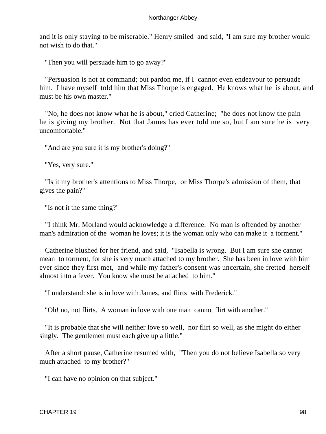and it is only staying to be miserable." Henry smiled and said, "I am sure my brother would not wish to do that."

"Then you will persuade him to go away?"

 "Persuasion is not at command; but pardon me, if I cannot even endeavour to persuade him. I have myself told him that Miss Thorpe is engaged. He knows what he is about, and must be his own master."

 "No, he does not know what he is about," cried Catherine; "he does not know the pain he is giving my brother. Not that James has ever told me so, but I am sure he is very uncomfortable."

"And are you sure it is my brother's doing?"

"Yes, very sure."

 "Is it my brother's attentions to Miss Thorpe, or Miss Thorpe's admission of them, that gives the pain?"

"Is not it the same thing?"

 "I think Mr. Morland would acknowledge a difference. No man is offended by another man's admiration of the woman he loves; it is the woman only who can make it a torment."

 Catherine blushed for her friend, and said, "Isabella is wrong. But I am sure she cannot mean to torment, for she is very much attached to my brother. She has been in love with him ever since they first met, and while my father's consent was uncertain, she fretted herself almost into a fever. You know she must be attached to him."

"I understand: she is in love with James, and flirts with Frederick."

"Oh! no, not flirts. A woman in love with one man cannot flirt with another."

 "It is probable that she will neither love so well, nor flirt so well, as she might do either singly. The gentlemen must each give up a little."

 After a short pause, Catherine resumed with, "Then you do not believe Isabella so very much attached to my brother?"

"I can have no opinion on that subject."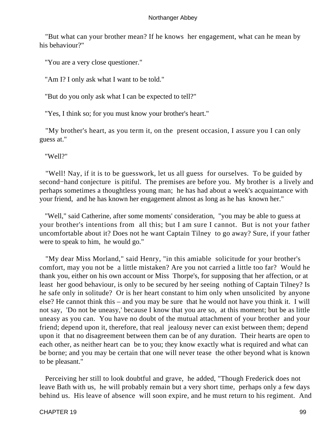"But what can your brother mean? If he knows her engagement, what can he mean by his behaviour?"

"You are a very close questioner."

"Am I? I only ask what I want to be told."

"But do you only ask what I can be expected to tell?"

"Yes, I think so; for you must know your brother's heart."

 "My brother's heart, as you term it, on the present occasion, I assure you I can only guess at."

"Well?"

 "Well! Nay, if it is to be guesswork, let us all guess for ourselves. To be guided by second−hand conjecture is pitiful. The premises are before you. My brother is a lively and perhaps sometimes a thoughtless young man; he has had about a week's acquaintance with your friend, and he has known her engagement almost as long as he has known her."

 "Well," said Catherine, after some moments' consideration, "you may be able to guess at your brother's intentions from all this; but I am sure I cannot. But is not your father uncomfortable about it? Does not he want Captain Tilney to go away? Sure, if your father were to speak to him, he would go."

 "My dear Miss Morland," said Henry, "in this amiable solicitude for your brother's comfort, may you not be a little mistaken? Are you not carried a little too far? Would he thank you, either on his own account or Miss Thorpe's, for supposing that her affection, or at least her good behaviour, is only to be secured by her seeing nothing of Captain Tilney? Is he safe only in solitude? Or is her heart constant to him only when unsolicited by anyone else? He cannot think this – and you may be sure that he would not have you think it. I will not say, 'Do not be uneasy,' because I know that you are so, at this moment; but be as little uneasy as you can. You have no doubt of the mutual attachment of your brother and your friend; depend upon it, therefore, that real jealousy never can exist between them; depend upon it that no disagreement between them can be of any duration. Their hearts are open to each other, as neither heart can be to you; they know exactly what is required and what can be borne; and you may be certain that one will never tease the other beyond what is known to be pleasant."

 Perceiving her still to look doubtful and grave, he added, "Though Frederick does not leave Bath with us, he will probably remain but a very short time, perhaps only a few days behind us. His leave of absence will soon expire, and he must return to his regiment. And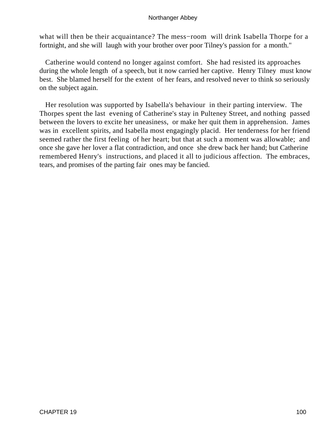what will then be their acquaintance? The mess−room will drink Isabella Thorpe for a fortnight, and she will laugh with your brother over poor Tilney's passion for a month."

 Catherine would contend no longer against comfort. She had resisted its approaches during the whole length of a speech, but it now carried her captive. Henry Tilney must know best. She blamed herself for the extent of her fears, and resolved never to think so seriously on the subject again.

 Her resolution was supported by Isabella's behaviour in their parting interview. The Thorpes spent the last evening of Catherine's stay in Pulteney Street, and nothing passed between the lovers to excite her uneasiness, or make her quit them in apprehension. James was in excellent spirits, and Isabella most engagingly placid. Her tenderness for her friend seemed rather the first feeling of her heart; but that at such a moment was allowable; and once she gave her lover a flat contradiction, and once she drew back her hand; but Catherine remembered Henry's instructions, and placed it all to judicious affection. The embraces, tears, and promises of the parting fair ones may be fancied.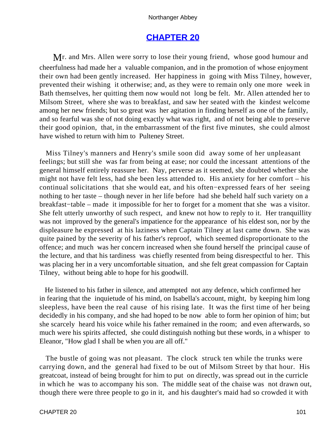# **[CHAPTER 20](#page-165-0)**

Mr. and Mrs. Allen were sorry to lose their young friend, whose good humour and cheerfulness had made her a valuable companion, and in the promotion of whose enjoyment their own had been gently increased. Her happiness in going with Miss Tilney, however, prevented their wishing it otherwise; and, as they were to remain only one more week in Bath themselves, her quitting them now would not long be felt. Mr. Allen attended her to Milsom Street, where she was to breakfast, and saw her seated with the kindest welcome among her new friends; but so great was her agitation in finding herself as one of the family, and so fearful was she of not doing exactly what was right, and of not being able to preserve their good opinion, that, in the embarrassment of the first five minutes, she could almost have wished to return with him to Pulteney Street.

 Miss Tilney's manners and Henry's smile soon did away some of her unpleasant feelings; but still she was far from being at ease; nor could the incessant attentions of the general himself entirely reassure her. Nay, perverse as it seemed, she doubted whether she might not have felt less, had she been less attended to. His anxiety for her comfort – his continual solicitations that she would eat, and his often−expressed fears of her seeing nothing to her taste – though never in her life before had she beheld half such variety on a breakfast−table – made it impossible for her to forget for a moment that she was a visitor. She felt utterly unworthy of such respect, and knew not how to reply to it. Her tranquillity was not improved by the general's impatience for the appearance of his eldest son, nor by the displeasure he expressed at his laziness when Captain Tilney at last came down. She was quite pained by the severity of his father's reproof, which seemed disproportionate to the offence; and much was her concern increased when she found herself the principal cause of the lecture, and that his tardiness was chiefly resented from being disrespectful to her. This was placing her in a very uncomfortable situation, and she felt great compassion for Captain Tilney, without being able to hope for his goodwill.

 He listened to his father in silence, and attempted not any defence, which confirmed her in fearing that the inquietude of his mind, on Isabella's account, might, by keeping him long sleepless, have been the real cause of his rising late. It was the first time of her being decidedly in his company, and she had hoped to be now able to form her opinion of him; but she scarcely heard his voice while his father remained in the room; and even afterwards, so much were his spirits affected, she could distinguish nothing but these words, in a whisper to Eleanor, "How glad I shall be when you are all off."

 The bustle of going was not pleasant. The clock struck ten while the trunks were carrying down, and the general had fixed to be out of Milsom Street by that hour. His greatcoat, instead of being brought for him to put on directly, was spread out in the curricle in which he was to accompany his son. The middle seat of the chaise was not drawn out, though there were three people to go in it, and his daughter's maid had so crowded it with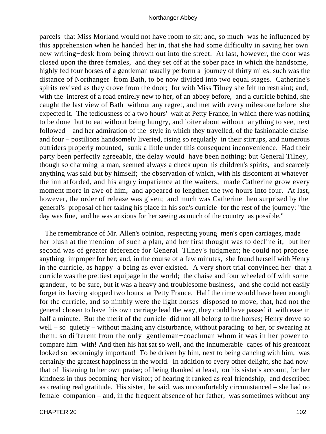parcels that Miss Morland would not have room to sit; and, so much was he influenced by this apprehension when he handed her in, that she had some difficulty in saving her own new writing−desk from being thrown out into the street. At last, however, the door was closed upon the three females, and they set off at the sober pace in which the handsome, highly fed four horses of a gentleman usually perform a journey of thirty miles: such was the distance of Northanger from Bath, to be now divided into two equal stages. Catherine's spirits revived as they drove from the door; for with Miss Tilney she felt no restraint; and, with the interest of a road entirely new to her, of an abbey before, and a curricle behind, she caught the last view of Bath without any regret, and met with every milestone before she expected it. The tediousness of a two hours' wait at Petty France, in which there was nothing to be done but to eat without being hungry, and loiter about without anything to see, next followed – and her admiration of the style in which they travelled, of the fashionable chaise and four – postilions handsomely liveried, rising so regularly in their stirrups, and numerous outriders properly mounted, sunk a little under this consequent inconvenience. Had their party been perfectly agreeable, the delay would have been nothing; but General Tilney, though so charming a man, seemed always a check upon his children's spirits, and scarcely anything was said but by himself; the observation of which, with his discontent at whatever the inn afforded, and his angry impatience at the waiters, made Catherine grow every moment more in awe of him, and appeared to lengthen the two hours into four. At last, however, the order of release was given; and much was Catherine then surprised by the general's proposal of her taking his place in his son's curricle for the rest of the journey: "the day was fine, and he was anxious for her seeing as much of the country as possible."

 The remembrance of Mr. Allen's opinion, respecting young men's open carriages, made her blush at the mention of such a plan, and her first thought was to decline it; but her second was of greater deference for General Tilney's judgment; he could not propose anything improper for her; and, in the course of a few minutes, she found herself with Henry in the curricle, as happy a being as ever existed. A very short trial convinced her that a curricle was the prettiest equipage in the world; the chaise and four wheeled off with some grandeur, to be sure, but it was a heavy and troublesome business, and she could not easily forget its having stopped two hours at Petty France. Half the time would have been enough for the curricle, and so nimbly were the light horses disposed to move, that, had not the general chosen to have his own carriage lead the way, they could have passed it with ease in half a minute. But the merit of the curricle did not all belong to the horses; Henry drove so well – so quietly – without making any disturbance, without parading to her, or swearing at them: so different from the only gentleman−coachman whom it was in her power to compare him with! And then his hat sat so well, and the innumerable capes of his greatcoat looked so becomingly important! To be driven by him, next to being dancing with him, was certainly the greatest happiness in the world. In addition to every other delight, she had now that of listening to her own praise; of being thanked at least, on his sister's account, for her kindness in thus becoming her visitor; of hearing it ranked as real friendship, and described as creating real gratitude. His sister, he said, was uncomfortably circumstanced – she had no female companion – and, in the frequent absence of her father, was sometimes without any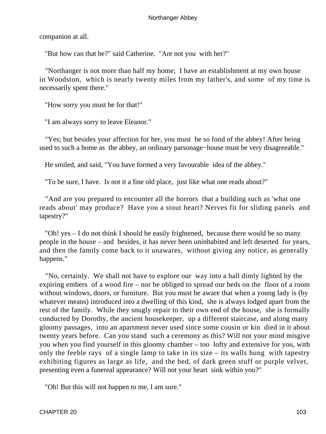companion at all.

"But how can that be?" said Catherine. "Are not you with her?"

 "Northanger is not more than half my home; I have an establishment at my own house in Woodston, which is nearly twenty miles from my father's, and some of my time is necessarily spent there."

"How sorry you must be for that!"

"I am always sorry to leave Eleanor."

 "Yes; but besides your affection for her, you must be so fond of the abbey! After being used to such a home as the abbey, an ordinary parsonage−house must be very disagreeable."

He smiled, and said, "You have formed a very favourable idea of the abbey."

"To be sure, I have. Is not it a fine old place, just like what one reads about?"

 "And are you prepared to encounter all the horrors that a building such as 'what one reads about' may produce? Have you a stout heart? Nerves fit for sliding panels and tapestry?"

 "Oh! yes – I do not think I should be easily frightened, because there would be so many people in the house – and besides, it has never been uninhabited and left deserted for years, and then the family come back to it unawares, without giving any notice, as generally happens."

 "No, certainly. We shall not have to explore our way into a hall dimly lighted by the expiring embers of a wood fire – nor be obliged to spread our beds on the floor of a room without windows, doors, or furniture. But you must be aware that when a young lady is (by whatever means) introduced into a dwelling of this kind, she is always lodged apart from the rest of the family. While they snugly repair to their own end of the house, she is formally conducted by Dorothy, the ancient housekeeper, up a different staircase, and along many gloomy passages, into an apartment never used since some cousin or kin died in it about twenty years before. Can you stand such a ceremony as this? Will not your mind misgive you when you find yourself in this gloomy chamber – too lofty and extensive for you, with only the feeble rays of a single lamp to take in its size – its walls hung with tapestry exhibiting figures as large as life, and the bed, of dark green stuff or purple velvet, presenting even a funereal appearance? Will not your heart sink within you?"

"Oh! But this will not happen to me, I am sure."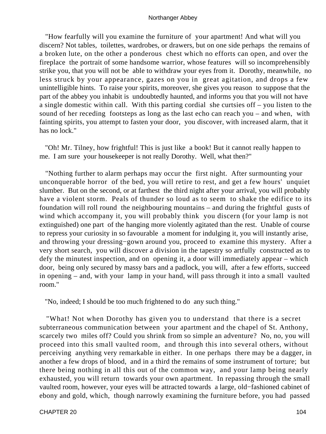"How fearfully will you examine the furniture of your apartment! And what will you discern? Not tables, toilettes, wardrobes, or drawers, but on one side perhaps the remains of a broken lute, on the other a ponderous chest which no efforts can open, and over the fireplace the portrait of some handsome warrior, whose features will so incomprehensibly strike you, that you will not be able to withdraw your eyes from it. Dorothy, meanwhile, no less struck by your appearance, gazes on you in great agitation, and drops a few unintelligible hints. To raise your spirits, moreover, she gives you reason to suppose that the part of the abbey you inhabit is undoubtedly haunted, and informs you that you will not have a single domestic within call. With this parting cordial she curtsies off – you listen to the sound of her receding footsteps as long as the last echo can reach you – and when, with fainting spirits, you attempt to fasten your door, you discover, with increased alarm, that it has no lock."

 "Oh! Mr. Tilney, how frightful! This is just like a book! But it cannot really happen to me. I am sure your housekeeper is not really Dorothy. Well, what then?"

 "Nothing further to alarm perhaps may occur the first night. After surmounting your unconquerable horror of the bed, you will retire to rest, and get a few hours' unquiet slumber. But on the second, or at farthest the third night after your arrival, you will probably have a violent storm. Peals of thunder so loud as to seem to shake the edifice to its foundation will roll round the neighbouring mountains – and during the frightful gusts of wind which accompany it, you will probably think you discern (for your lamp is not extinguished) one part of the hanging more violently agitated than the rest. Unable of course to repress your curiosity in so favourable a moment for indulging it, you will instantly arise, and throwing your dressing−gown around you, proceed to examine this mystery. After a very short search, you will discover a division in the tapestry so artfully constructed as to defy the minutest inspection, and on opening it, a door will immediately appear – which door, being only secured by massy bars and a padlock, you will, after a few efforts, succeed in opening – and, with your lamp in your hand, will pass through it into a small vaulted room."

"No, indeed; I should be too much frightened to do any such thing."

 "What! Not when Dorothy has given you to understand that there is a secret subterraneous communication between your apartment and the chapel of St. Anthony, scarcely two miles off? Could you shrink from so simple an adventure? No, no, you will proceed into this small vaulted room, and through this into several others, without perceiving anything very remarkable in either. In one perhaps there may be a dagger, in another a few drops of blood, and in a third the remains of some instrument of torture; but there being nothing in all this out of the common way, and your lamp being nearly exhausted, you will return towards your own apartment. In repassing through the small vaulted room, however, your eyes will be attracted towards a large, old−fashioned cabinet of ebony and gold, which, though narrowly examining the furniture before, you had passed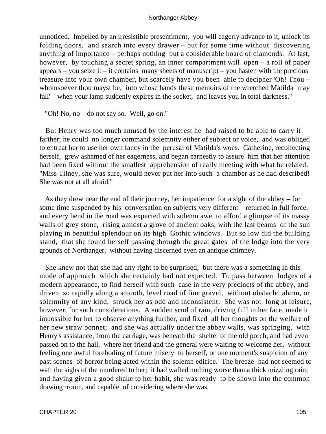unnoticed. Impelled by an irresistible presentiment, you will eagerly advance to it, unlock its folding doors, and search into every drawer – but for some time without discovering anything of importance – perhaps nothing but a considerable hoard of diamonds. At last, however, by touching a secret spring, an inner compartment will open – a roll of paper appears – you seize it – it contains many sheets of manuscript – you hasten with the precious treasure into your own chamber, but scarcely have you been able to decipher 'Oh! Thou – whomsoever thou mayst be, into whose hands these memoirs of the wretched Matilda may fall' – when your lamp suddenly expires in the socket, and leaves you in total darkness."

"Oh! No, no – do not say so. Well, go on."

 But Henry was too much amused by the interest he had raised to be able to carry it farther; he could no longer command solemnity either of subject or voice, and was obliged to entreat her to use her own fancy in the perusal of Matilda's woes. Catherine, recollecting herself, grew ashamed of her eagerness, and began earnestly to assure him that her attention had been fixed without the smallest apprehension of really meeting with what he related. "Miss Tilney, she was sure, would never put her into such a chamber as he had described! She was not at all afraid."

 As they drew near the end of their journey, her impatience for a sight of the abbey – for some time suspended by his conversation on subjects very different – returned in full force, and every bend in the road was expected with solemn awe to afford a glimpse of its massy walls of grey stone, rising amidst a grove of ancient oaks, with the last beams of the sun playing in beautiful splendour on its high Gothic windows. But so low did the building stand, that she found herself passing through the great gates of the lodge into the very grounds of Northanger, without having discerned even an antique chimney.

 She knew not that she had any right to be surprised, but there was a something in this mode of approach which she certainly had not expected. To pass between lodges of a modern appearance, to find herself with such ease in the very precincts of the abbey, and driven so rapidly along a smooth, level road of fine gravel, without obstacle, alarm, or solemnity of any kind, struck her as odd and inconsistent. She was not long at leisure, however, for such considerations. A sudden scud of rain, driving full in her face, made it impossible for her to observe anything further, and fixed all her thoughts on the welfare of her new straw bonnet; and she was actually under the abbey walls, was springing, with Henry's assistance, from the carriage, was beneath the shelter of the old porch, and had even passed on to the hall, where her friend and the general were waiting to welcome her, without feeling one awful foreboding of future misery to herself, or one moment's suspicion of any past scenes of horror being acted within the solemn edifice. The breeze had not seemed to waft the sighs of the murdered to her; it had wafted nothing worse than a thick mizzling rain; and having given a good shake to her habit, she was ready to be shown into the common drawing−room, and capable of considering where she was.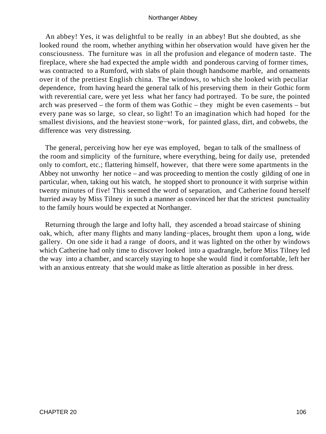An abbey! Yes, it was delightful to be really in an abbey! But she doubted, as she looked round the room, whether anything within her observation would have given her the consciousness. The furniture was in all the profusion and elegance of modern taste. The fireplace, where she had expected the ample width and ponderous carving of former times, was contracted to a Rumford, with slabs of plain though handsome marble, and ornaments over it of the prettiest English china. The windows, to which she looked with peculiar dependence, from having heard the general talk of his preserving them in their Gothic form with reverential care, were yet less what her fancy had portrayed. To be sure, the pointed arch was preserved – the form of them was Gothic – they might be even casements – but every pane was so large, so clear, so light! To an imagination which had hoped for the smallest divisions, and the heaviest stone−work, for painted glass, dirt, and cobwebs, the difference was very distressing.

 The general, perceiving how her eye was employed, began to talk of the smallness of the room and simplicity of the furniture, where everything, being for daily use, pretended only to comfort, etc.; flattering himself, however, that there were some apartments in the Abbey not unworthy her notice – and was proceeding to mention the costly gilding of one in particular, when, taking out his watch, he stopped short to pronounce it with surprise within twenty minutes of five! This seemed the word of separation, and Catherine found herself hurried away by Miss Tilney in such a manner as convinced her that the strictest punctuality to the family hours would be expected at Northanger.

 Returning through the large and lofty hall, they ascended a broad staircase of shining oak, which, after many flights and many landing−places, brought them upon a long, wide gallery. On one side it had a range of doors, and it was lighted on the other by windows which Catherine had only time to discover looked into a quadrangle, before Miss Tilney led the way into a chamber, and scarcely staying to hope she would find it comfortable, left her with an anxious entreaty that she would make as little alteration as possible in her dress.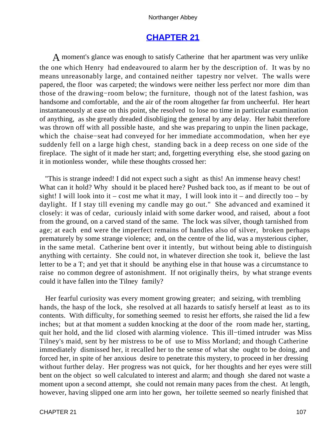# **[CHAPTER 21](#page-165-0)**

A moment's glance was enough to satisfy Catherine that her apartment was very unlike the one which Henry had endeavoured to alarm her by the description of. It was by no means unreasonably large, and contained neither tapestry nor velvet. The walls were papered, the floor was carpeted; the windows were neither less perfect nor more dim than those of the drawing−room below; the furniture, though not of the latest fashion, was handsome and comfortable, and the air of the room altogether far from uncheerful. Her heart instantaneously at ease on this point, she resolved to lose no time in particular examination of anything, as she greatly dreaded disobliging the general by any delay. Her habit therefore was thrown off with all possible haste, and she was preparing to unpin the linen package, which the chaise−seat had conveyed for her immediate accommodation, when her eye suddenly fell on a large high chest, standing back in a deep recess on one side of the fireplace. The sight of it made her start; and, forgetting everything else, she stood gazing on it in motionless wonder, while these thoughts crossed her:

 "This is strange indeed! I did not expect such a sight as this! An immense heavy chest! What can it hold? Why should it be placed here? Pushed back too, as if meant to be out of sight! I will look into it – cost me what it may, I will look into it – and directly too – by daylight. If I stay till evening my candle may go out." She advanced and examined it closely: it was of cedar, curiously inlaid with some darker wood, and raised, about a foot from the ground, on a carved stand of the same. The lock was silver, though tarnished from age; at each end were the imperfect remains of handles also of silver, broken perhaps prematurely by some strange violence; and, on the centre of the lid, was a mysterious cipher, in the same metal. Catherine bent over it intently, but without being able to distinguish anything with certainty. She could not, in whatever direction she took it, believe the last letter to be a T; and yet that it should be anything else in that house was a circumstance to raise no common degree of astonishment. If not originally theirs, by what strange events could it have fallen into the Tilney family?

 Her fearful curiosity was every moment growing greater; and seizing, with trembling hands, the hasp of the lock, she resolved at all hazards to satisfy herself at least as to its contents. With difficulty, for something seemed to resist her efforts, she raised the lid a few inches; but at that moment a sudden knocking at the door of the room made her, starting, quit her hold, and the lid closed with alarming violence. This ill−timed intruder was Miss Tilney's maid, sent by her mistress to be of use to Miss Morland; and though Catherine immediately dismissed her, it recalled her to the sense of what she ought to be doing, and forced her, in spite of her anxious desire to penetrate this mystery, to proceed in her dressing without further delay. Her progress was not quick, for her thoughts and her eyes were still bent on the object so well calculated to interest and alarm; and though she dared not waste a moment upon a second attempt, she could not remain many paces from the chest. At length, however, having slipped one arm into her gown, her toilette seemed so nearly finished that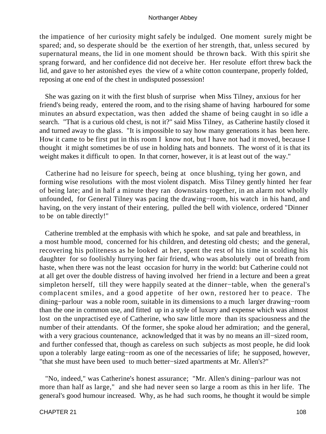the impatience of her curiosity might safely be indulged. One moment surely might be spared; and, so desperate should be the exertion of her strength, that, unless secured by supernatural means, the lid in one moment should be thrown back. With this spirit she sprang forward, and her confidence did not deceive her. Her resolute effort threw back the lid, and gave to her astonished eyes the view of a white cotton counterpane, properly folded, reposing at one end of the chest in undisputed possession!

 She was gazing on it with the first blush of surprise when Miss Tilney, anxious for her friend's being ready, entered the room, and to the rising shame of having harboured for some minutes an absurd expectation, was then added the shame of being caught in so idle a search. "That is a curious old chest, is not it?" said Miss Tilney, as Catherine hastily closed it and turned away to the glass. "It is impossible to say how many generations it has been here. How it came to be first put in this room I know not, but I have not had it moved, because I thought it might sometimes be of use in holding hats and bonnets. The worst of it is that its weight makes it difficult to open. In that corner, however, it is at least out of the way."

 Catherine had no leisure for speech, being at once blushing, tying her gown, and forming wise resolutions with the most violent dispatch. Miss Tilney gently hinted her fear of being late; and in half a minute they ran downstairs together, in an alarm not wholly unfounded, for General Tilney was pacing the drawing−room, his watch in his hand, and having, on the very instant of their entering, pulled the bell with violence, ordered "Dinner to be on table directly!"

 Catherine trembled at the emphasis with which he spoke, and sat pale and breathless, in a most humble mood, concerned for his children, and detesting old chests; and the general, recovering his politeness as he looked at her, spent the rest of his time in scolding his daughter for so foolishly hurrying her fair friend, who was absolutely out of breath from haste, when there was not the least occasion for hurry in the world: but Catherine could not at all get over the double distress of having involved her friend in a lecture and been a great simpleton herself, till they were happily seated at the dinner−table, when the general's complacent smiles, and a good appetite of her own, restored her to peace. The dining−parlour was a noble room, suitable in its dimensions to a much larger drawing−room than the one in common use, and fitted up in a style of luxury and expense which was almost lost on the unpractised eye of Catherine, who saw little more than its spaciousness and the number of their attendants. Of the former, she spoke aloud her admiration; and the general, with a very gracious countenance, acknowledged that it was by no means an ill−sized room, and further confessed that, though as careless on such subjects as most people, he did look upon a tolerably large eating−room as one of the necessaries of life; he supposed, however, "that she must have been used to much better−sized apartments at Mr. Allen's?"

 "No, indeed," was Catherine's honest assurance; "Mr. Allen's dining−parlour was not more than half as large," and she had never seen so large a room as this in her life. The general's good humour increased. Why, as he had such rooms, he thought it would be simple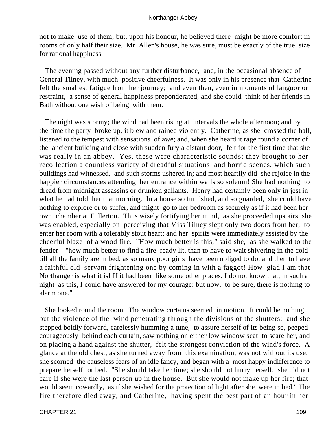not to make use of them; but, upon his honour, he believed there might be more comfort in rooms of only half their size. Mr. Allen's house, he was sure, must be exactly of the true size for rational happiness.

 The evening passed without any further disturbance, and, in the occasional absence of General Tilney, with much positive cheerfulness. It was only in his presence that Catherine felt the smallest fatigue from her journey; and even then, even in moments of languor or restraint, a sense of general happiness preponderated, and she could think of her friends in Bath without one wish of being with them.

 The night was stormy; the wind had been rising at intervals the whole afternoon; and by the time the party broke up, it blew and rained violently. Catherine, as she crossed the hall, listened to the tempest with sensations of awe; and, when she heard it rage round a corner of the ancient building and close with sudden fury a distant door, felt for the first time that she was really in an abbey. Yes, these were characteristic sounds; they brought to her recollection a countless variety of dreadful situations and horrid scenes, which such buildings had witnessed, and such storms ushered in; and most heartily did she rejoice in the happier circumstances attending her entrance within walls so solemn! She had nothing to dread from midnight assassins or drunken gallants. Henry had certainly been only in jest in what he had told her that morning. In a house so furnished, and so guarded, she could have nothing to explore or to suffer, and might go to her bedroom as securely as if it had been her own chamber at Fullerton. Thus wisely fortifying her mind, as she proceeded upstairs, she was enabled, especially on perceiving that Miss Tilney slept only two doors from her, to enter her room with a tolerably stout heart; and her spirits were immediately assisted by the cheerful blaze of a wood fire. "How much better is this," said she, as she walked to the fender – "how much better to find a fire ready lit, than to have to wait shivering in the cold till all the family are in bed, as so many poor girls have been obliged to do, and then to have a faithful old servant frightening one by coming in with a faggot! How glad I am that Northanger is what it is! If it had been like some other places, I do not know that, in such a night as this, I could have answered for my courage: but now, to be sure, there is nothing to alarm one."

 She looked round the room. The window curtains seemed in motion. It could be nothing but the violence of the wind penetrating through the divisions of the shutters; and she stepped boldly forward, carelessly humming a tune, to assure herself of its being so, peeped courageously behind each curtain, saw nothing on either low window seat to scare her, and on placing a hand against the shutter, felt the strongest conviction of the wind's force. A glance at the old chest, as she turned away from this examination, was not without its use; she scorned the causeless fears of an idle fancy, and began with a most happy indifference to prepare herself for bed. "She should take her time; she should not hurry herself; she did not care if she were the last person up in the house. But she would not make up her fire; that would seem cowardly, as if she wished for the protection of light after she were in bed." The fire therefore died away, and Catherine, having spent the best part of an hour in her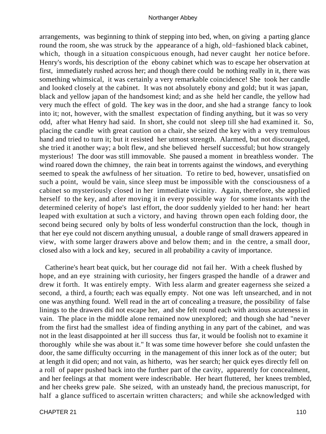arrangements, was beginning to think of stepping into bed, when, on giving a parting glance round the room, she was struck by the appearance of a high, old−fashioned black cabinet, which, though in a situation conspicuous enough, had never caught her notice before. Henry's words, his description of the ebony cabinet which was to escape her observation at first, immediately rushed across her; and though there could be nothing really in it, there was something whimsical, it was certainly a very remarkable coincidence! She took her candle and looked closely at the cabinet. It was not absolutely ebony and gold; but it was japan, black and yellow japan of the handsomest kind; and as she held her candle, the yellow had very much the effect of gold. The key was in the door, and she had a strange fancy to look into it; not, however, with the smallest expectation of finding anything, but it was so very odd, after what Henry had said. In short, she could not sleep till she had examined it. So, placing the candle with great caution on a chair, she seized the key with a very tremulous hand and tried to turn it; but it resisted her utmost strength. Alarmed, but not discouraged, she tried it another way; a bolt flew, and she believed herself successful; but how strangely mysterious! The door was still immovable. She paused a moment in breathless wonder. The wind roared down the chimney, the rain beat in torrents against the windows, and everything seemed to speak the awfulness of her situation. To retire to bed, however, unsatisfied on such a point, would be vain, since sleep must be impossible with the consciousness of a cabinet so mysteriously closed in her immediate vicinity. Again, therefore, she applied herself to the key, and after moving it in every possible way for some instants with the determined celerity of hope's last effort, the door suddenly yielded to her hand: her heart leaped with exultation at such a victory, and having thrown open each folding door, the second being secured only by bolts of less wonderful construction than the lock, though in that her eye could not discern anything unusual, a double range of small drawers appeared in view, with some larger drawers above and below them; and in the centre, a small door, closed also with a lock and key, secured in all probability a cavity of importance.

 Catherine's heart beat quick, but her courage did not fail her. With a cheek flushed by hope, and an eye straining with curiosity, her fingers grasped the handle of a drawer and drew it forth. It was entirely empty. With less alarm and greater eagerness she seized a second, a third, a fourth; each was equally empty. Not one was left unsearched, and in not one was anything found. Well read in the art of concealing a treasure, the possibility of false linings to the drawers did not escape her, and she felt round each with anxious acuteness in vain. The place in the middle alone remained now unexplored; and though she had "never from the first had the smallest idea of finding anything in any part of the cabinet, and was not in the least disappointed at her ill success thus far, it would be foolish not to examine it thoroughly while she was about it." It was some time however before she could unfasten the door, the same difficulty occurring in the management of this inner lock as of the outer; but at length it did open; and not vain, as hitherto, was her search; her quick eyes directly fell on a roll of paper pushed back into the further part of the cavity, apparently for concealment, and her feelings at that moment were indescribable. Her heart fluttered, her knees trembled, and her cheeks grew pale. She seized, with an unsteady hand, the precious manuscript, for half a glance sufficed to ascertain written characters; and while she acknowledged with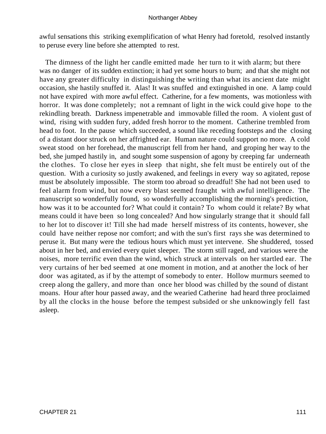awful sensations this striking exemplification of what Henry had foretold, resolved instantly to peruse every line before she attempted to rest.

 The dimness of the light her candle emitted made her turn to it with alarm; but there was no danger of its sudden extinction; it had yet some hours to burn; and that she might not have any greater difficulty in distinguishing the writing than what its ancient date might occasion, she hastily snuffed it. Alas! It was snuffed and extinguished in one. A lamp could not have expired with more awful effect. Catherine, for a few moments, was motionless with horror. It was done completely; not a remnant of light in the wick could give hope to the rekindling breath. Darkness impenetrable and immovable filled the room. A violent gust of wind, rising with sudden fury, added fresh horror to the moment. Catherine trembled from head to foot. In the pause which succeeded, a sound like receding footsteps and the closing of a distant door struck on her affrighted ear. Human nature could support no more. A cold sweat stood on her forehead, the manuscript fell from her hand, and groping her way to the bed, she jumped hastily in, and sought some suspension of agony by creeping far underneath the clothes. To close her eyes in sleep that night, she felt must be entirely out of the question. With a curiosity so justly awakened, and feelings in every way so agitated, repose must be absolutely impossible. The storm too abroad so dreadful! She had not been used to feel alarm from wind, but now every blast seemed fraught with awful intelligence. The manuscript so wonderfully found, so wonderfully accomplishing the morning's prediction, how was it to be accounted for? What could it contain? To whom could it relate? By what means could it have been so long concealed? And how singularly strange that it should fall to her lot to discover it! Till she had made herself mistress of its contents, however, she could have neither repose nor comfort; and with the sun's first rays she was determined to peruse it. But many were the tedious hours which must yet intervene. She shuddered, tossed about in her bed, and envied every quiet sleeper. The storm still raged, and various were the noises, more terrific even than the wind, which struck at intervals on her startled ear. The very curtains of her bed seemed at one moment in motion, and at another the lock of her door was agitated, as if by the attempt of somebody to enter. Hollow murmurs seemed to creep along the gallery, and more than once her blood was chilled by the sound of distant moans. Hour after hour passed away, and the wearied Catherine had heard three proclaimed by all the clocks in the house before the tempest subsided or she unknowingly fell fast asleep.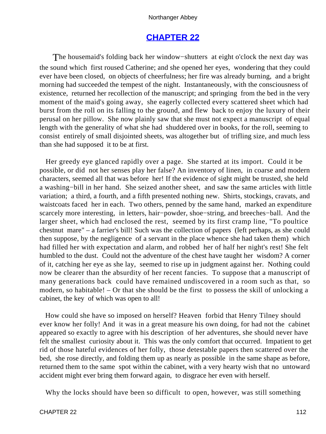# **[CHAPTER 22](#page-165-0)**

The housemaid's folding back her window−shutters at eight o'clock the next day was the sound which first roused Catherine; and she opened her eyes, wondering that they could ever have been closed, on objects of cheerfulness; her fire was already burning, and a bright morning had succeeded the tempest of the night. Instantaneously, with the consciousness of existence, returned her recollection of the manuscript; and springing from the bed in the very moment of the maid's going away, she eagerly collected every scattered sheet which had burst from the roll on its falling to the ground, and flew back to enjoy the luxury of their perusal on her pillow. She now plainly saw that she must not expect a manuscript of equal length with the generality of what she had shuddered over in books, for the roll, seeming to consist entirely of small disjointed sheets, was altogether but of trifling size, and much less than she had supposed it to be at first.

 Her greedy eye glanced rapidly over a page. She started at its import. Could it be possible, or did not her senses play her false? An inventory of linen, in coarse and modern characters, seemed all that was before her! If the evidence of sight might be trusted, she held a washing−bill in her hand. She seized another sheet, and saw the same articles with little variation; a third, a fourth, and a fifth presented nothing new. Shirts, stockings, cravats, and waistcoats faced her in each. Two others, penned by the same hand, marked an expenditure scarcely more interesting, in letters, hair–powder, shoe–string, and breeches–ball. And the larger sheet, which had enclosed the rest, seemed by its first cramp line, "To poultice chestnut mare" – a farrier's bill! Such was the collection of papers (left perhaps, as she could then suppose, by the negligence of a servant in the place whence she had taken them) which had filled her with expectation and alarm, and robbed her of half her night's rest! She felt humbled to the dust. Could not the adventure of the chest have taught her wisdom? A corner of it, catching her eye as she lay, seemed to rise up in judgment against her. Nothing could now be clearer than the absurdity of her recent fancies. To suppose that a manuscript of many generations back could have remained undiscovered in a room such as that, so modern, so habitable! – Or that she should be the first to possess the skill of unlocking a cabinet, the key of which was open to all!

 How could she have so imposed on herself? Heaven forbid that Henry Tilney should ever know her folly! And it was in a great measure his own doing, for had not the cabinet appeared so exactly to agree with his description of her adventures, she should never have felt the smallest curiosity about it. This was the only comfort that occurred. Impatient to get rid of those hateful evidences of her folly, those detestable papers then scattered over the bed, she rose directly, and folding them up as nearly as possible in the same shape as before, returned them to the same spot within the cabinet, with a very hearty wish that no untoward accident might ever bring them forward again, to disgrace her even with herself.

Why the locks should have been so difficult to open, however, was still something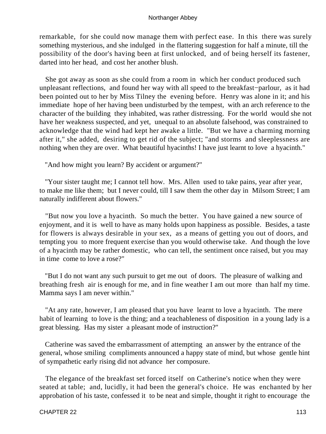remarkable, for she could now manage them with perfect ease. In this there was surely something mysterious, and she indulged in the flattering suggestion for half a minute, till the possibility of the door's having been at first unlocked, and of being herself its fastener, darted into her head, and cost her another blush.

 She got away as soon as she could from a room in which her conduct produced such unpleasant reflections, and found her way with all speed to the breakfast−parlour, as it had been pointed out to her by Miss Tilney the evening before. Henry was alone in it; and his immediate hope of her having been undisturbed by the tempest, with an arch reference to the character of the building they inhabited, was rather distressing. For the world would she not have her weakness suspected, and yet, unequal to an absolute falsehood, was constrained to acknowledge that the wind had kept her awake a little. "But we have a charming morning after it," she added, desiring to get rid of the subject; "and storms and sleeplessness are nothing when they are over. What beautiful hyacinths! I have just learnt to love a hyacinth."

"And how might you learn? By accident or argument?"

 "Your sister taught me; I cannot tell how. Mrs. Allen used to take pains, year after year, to make me like them; but I never could, till I saw them the other day in Milsom Street; I am naturally indifferent about flowers."

 "But now you love a hyacinth. So much the better. You have gained a new source of enjoyment, and it is well to have as many holds upon happiness as possible. Besides, a taste for flowers is always desirable in your sex, as a means of getting you out of doors, and tempting you to more frequent exercise than you would otherwise take. And though the love of a hyacinth may be rather domestic, who can tell, the sentiment once raised, but you may in time come to love a rose?"

 "But I do not want any such pursuit to get me out of doors. The pleasure of walking and breathing fresh air is enough for me, and in fine weather I am out more than half my time. Mamma says I am never within."

 "At any rate, however, I am pleased that you have learnt to love a hyacinth. The mere habit of learning to love is the thing; and a teachableness of disposition in a young lady is a great blessing. Has my sister a pleasant mode of instruction?"

 Catherine was saved the embarrassment of attempting an answer by the entrance of the general, whose smiling compliments announced a happy state of mind, but whose gentle hint of sympathetic early rising did not advance her composure.

 The elegance of the breakfast set forced itself on Catherine's notice when they were seated at table; and, lucidly, it had been the general's choice. He was enchanted by her approbation of his taste, confessed it to be neat and simple, thought it right to encourage the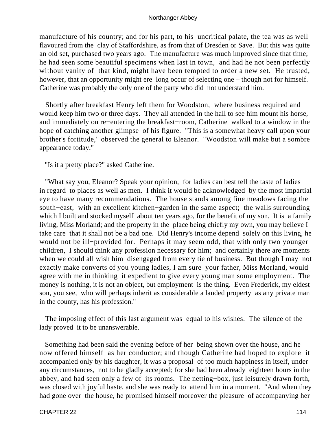manufacture of his country; and for his part, to his uncritical palate, the tea was as well flavoured from the clay of Staffordshire, as from that of Dresden or Save. But this was quite an old set, purchased two years ago. The manufacture was much improved since that time; he had seen some beautiful specimens when last in town, and had he not been perfectly without vanity of that kind, might have been tempted to order a new set. He trusted, however, that an opportunity might ere long occur of selecting one – though not for himself. Catherine was probably the only one of the party who did not understand him.

 Shortly after breakfast Henry left them for Woodston, where business required and would keep him two or three days. They all attended in the hall to see him mount his horse, and immediately on re−entering the breakfast−room, Catherine walked to a window in the hope of catching another glimpse of his figure. "This is a somewhat heavy call upon your brother's fortitude," observed the general to Eleanor. "Woodston will make but a sombre appearance today."

"Is it a pretty place?" asked Catherine.

 "What say you, Eleanor? Speak your opinion, for ladies can best tell the taste of ladies in regard to places as well as men. I think it would be acknowledged by the most impartial eye to have many recommendations. The house stands among fine meadows facing the south−east, with an excellent kitchen−garden in the same aspect; the walls surrounding which I built and stocked myself about ten years ago, for the benefit of my son. It is a family living, Miss Morland; and the property in the place being chiefly my own, you may believe I take care that it shall not be a bad one. Did Henry's income depend solely on this living, he would not be ill−provided for. Perhaps it may seem odd, that with only two younger children, I should think any profession necessary for him; and certainly there are moments when we could all wish him disengaged from every tie of business. But though I may not exactly make converts of you young ladies, I am sure your father, Miss Morland, would agree with me in thinking it expedient to give every young man some employment. The money is nothing, it is not an object, but employment is the thing. Even Frederick, my eldest son, you see, who will perhaps inherit as considerable a landed property as any private man in the county, has his profession."

 The imposing effect of this last argument was equal to his wishes. The silence of the lady proved it to be unanswerable.

 Something had been said the evening before of her being shown over the house, and he now offered himself as her conductor; and though Catherine had hoped to explore it accompanied only by his daughter, it was a proposal of too much happiness in itself, under any circumstances, not to be gladly accepted; for she had been already eighteen hours in the abbey, and had seen only a few of its rooms. The netting−box, just leisurely drawn forth, was closed with joyful haste, and she was ready to attend him in a moment. "And when they had gone over the house, he promised himself moreover the pleasure of accompanying her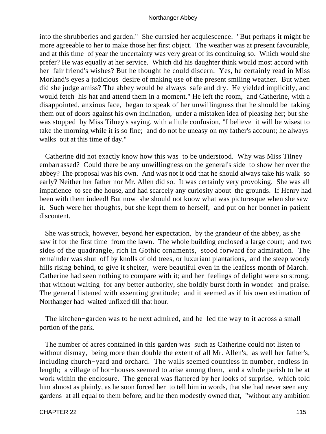into the shrubberies and garden." She curtsied her acquiescence. "But perhaps it might be more agreeable to her to make those her first object. The weather was at present favourable, and at this time of year the uncertainty was very great of its continuing so. Which would she prefer? He was equally at her service. Which did his daughter think would most accord with her fair friend's wishes? But he thought he could discern. Yes, he certainly read in Miss Morland's eyes a judicious desire of making use of the present smiling weather. But when did she judge amiss? The abbey would be always safe and dry. He yielded implicitly, and would fetch his hat and attend them in a moment." He left the room, and Catherine, with a disappointed, anxious face, began to speak of her unwillingness that he should be taking them out of doors against his own inclination, under a mistaken idea of pleasing her; but she was stopped by Miss Tilney's saying, with a little confusion, "I believe it will be wisest to take the morning while it is so fine; and do not be uneasy on my father's account; he always walks out at this time of day."

 Catherine did not exactly know how this was to be understood. Why was Miss Tilney embarrassed? Could there be any unwillingness on the general's side to show her over the abbey? The proposal was his own. And was not it odd that he should always take his walk so early? Neither her father nor Mr. Allen did so. It was certainly very provoking. She was all impatience to see the house, and had scarcely any curiosity about the grounds. If Henry had been with them indeed! But now she should not know what was picturesque when she saw it. Such were her thoughts, but she kept them to herself, and put on her bonnet in patient discontent.

 She was struck, however, beyond her expectation, by the grandeur of the abbey, as she saw it for the first time from the lawn. The whole building enclosed a large court; and two sides of the quadrangle, rich in Gothic ornaments, stood forward for admiration. The remainder was shut off by knolls of old trees, or luxuriant plantations, and the steep woody hills rising behind, to give it shelter, were beautiful even in the leafless month of March. Catherine had seen nothing to compare with it; and her feelings of delight were so strong, that without waiting for any better authority, she boldly burst forth in wonder and praise. The general listened with assenting gratitude; and it seemed as if his own estimation of Northanger had waited unfixed till that hour.

 The kitchen−garden was to be next admired, and he led the way to it across a small portion of the park.

 The number of acres contained in this garden was such as Catherine could not listen to without dismay, being more than double the extent of all Mr. Allen's, as well her father's, including church−yard and orchard. The walls seemed countless in number, endless in length; a village of hot−houses seemed to arise among them, and a whole parish to be at work within the enclosure. The general was flattered by her looks of surprise, which told him almost as plainly, as he soon forced her to tell him in words, that she had never seen any gardens at all equal to them before; and he then modestly owned that, "without any ambition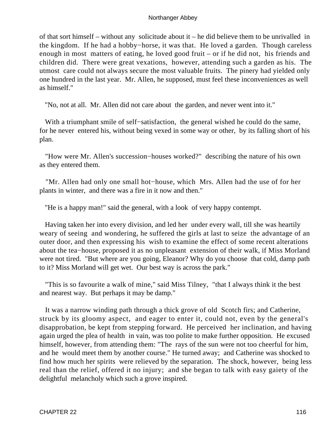of that sort himself – without any solicitude about it – he did believe them to be unrivalled in the kingdom. If he had a hobby−horse, it was that. He loved a garden. Though careless enough in most matters of eating, he loved good fruit – or if he did not, his friends and children did. There were great vexations, however, attending such a garden as his. The utmost care could not always secure the most valuable fruits. The pinery had yielded only one hundred in the last year. Mr. Allen, he supposed, must feel these inconveniences as well as himself."

"No, not at all. Mr. Allen did not care about the garden, and never went into it."

 With a triumphant smile of self−satisfaction, the general wished he could do the same, for he never entered his, without being vexed in some way or other, by its falling short of his plan.

 "How were Mr. Allen's succession−houses worked?" describing the nature of his own as they entered them.

 "Mr. Allen had only one small hot−house, which Mrs. Allen had the use of for her plants in winter, and there was a fire in it now and then."

"He is a happy man!" said the general, with a look of very happy contempt.

 Having taken her into every division, and led her under every wall, till she was heartily weary of seeing and wondering, he suffered the girls at last to seize the advantage of an outer door, and then expressing his wish to examine the effect of some recent alterations about the tea−house, proposed it as no unpleasant extension of their walk, if Miss Morland were not tired. "But where are you going, Eleanor? Why do you choose that cold, damp path to it? Miss Morland will get wet. Our best way is across the park."

 "This is so favourite a walk of mine," said Miss Tilney, "that I always think it the best and nearest way. But perhaps it may be damp."

 It was a narrow winding path through a thick grove of old Scotch firs; and Catherine, struck by its gloomy aspect, and eager to enter it, could not, even by the general's disapprobation, be kept from stepping forward. He perceived her inclination, and having again urged the plea of health in vain, was too polite to make further opposition. He excused himself, however, from attending them: "The rays of the sun were not too cheerful for him, and he would meet them by another course." He turned away; and Catherine was shocked to find how much her spirits were relieved by the separation. The shock, however, being less real than the relief, offered it no injury; and she began to talk with easy gaiety of the delightful melancholy which such a grove inspired.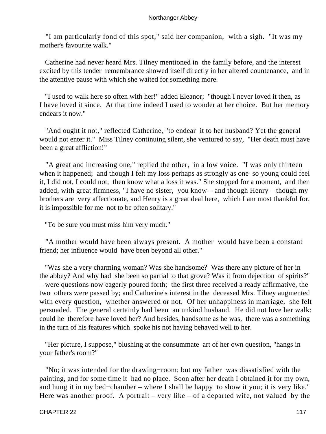"I am particularly fond of this spot," said her companion, with a sigh. "It was my mother's favourite walk."

 Catherine had never heard Mrs. Tilney mentioned in the family before, and the interest excited by this tender remembrance showed itself directly in her altered countenance, and in the attentive pause with which she waited for something more.

 "I used to walk here so often with her!" added Eleanor; "though I never loved it then, as I have loved it since. At that time indeed I used to wonder at her choice. But her memory endears it now."

 "And ought it not," reflected Catherine, "to endear it to her husband? Yet the general would not enter it." Miss Tilney continuing silent, she ventured to say, "Her death must have been a great affliction!"

 "A great and increasing one," replied the other, in a low voice. "I was only thirteen when it happened; and though I felt my loss perhaps as strongly as one so young could feel it, I did not, I could not, then know what a loss it was." She stopped for a moment, and then added, with great firmness, "I have no sister, you know – and though Henry – though my brothers are very affectionate, and Henry is a great deal here, which I am most thankful for, it is impossible for me not to be often solitary."

"To be sure you must miss him very much."

 "A mother would have been always present. A mother would have been a constant friend; her influence would have been beyond all other."

 "Was she a very charming woman? Was she handsome? Was there any picture of her in the abbey? And why had she been so partial to that grove? Was it from dejection of spirits?" – were questions now eagerly poured forth; the first three received a ready affirmative, the two others were passed by; and Catherine's interest in the deceased Mrs. Tilney augmented with every question, whether answered or not. Of her unhappiness in marriage, she felt persuaded. The general certainly had been an unkind husband. He did not love her walk: could he therefore have loved her? And besides, handsome as he was, there was a something in the turn of his features which spoke his not having behaved well to her.

 "Her picture, I suppose," blushing at the consummate art of her own question, "hangs in your father's room?"

 "No; it was intended for the drawing−room; but my father was dissatisfied with the painting, and for some time it had no place. Soon after her death I obtained it for my own, and hung it in my bed−chamber – where I shall be happy to show it you; it is very like." Here was another proof. A portrait – very like – of a departed wife, not valued by the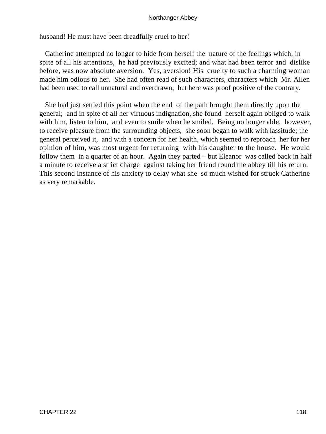husband! He must have been dreadfully cruel to her!

 Catherine attempted no longer to hide from herself the nature of the feelings which, in spite of all his attentions, he had previously excited; and what had been terror and dislike before, was now absolute aversion. Yes, aversion! His cruelty to such a charming woman made him odious to her. She had often read of such characters, characters which Mr. Allen had been used to call unnatural and overdrawn; but here was proof positive of the contrary.

 She had just settled this point when the end of the path brought them directly upon the general; and in spite of all her virtuous indignation, she found herself again obliged to walk with him, listen to him, and even to smile when he smiled. Being no longer able, however, to receive pleasure from the surrounding objects, she soon began to walk with lassitude; the general perceived it, and with a concern for her health, which seemed to reproach her for her opinion of him, was most urgent for returning with his daughter to the house. He would follow them in a quarter of an hour. Again they parted – but Eleanor was called back in half a minute to receive a strict charge against taking her friend round the abbey till his return. This second instance of his anxiety to delay what she so much wished for struck Catherine as very remarkable.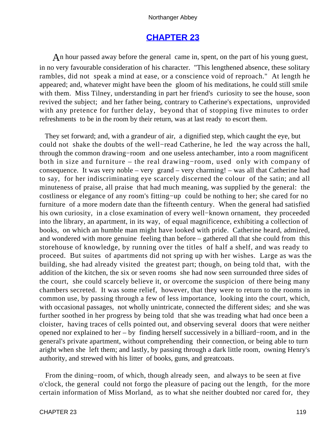# **[CHAPTER 23](#page-165-0)**

An hour passed away before the general came in, spent, on the part of his young guest, in no very favourable consideration of his character. "This lengthened absence, these solitary rambles, did not speak a mind at ease, or a conscience void of reproach." At length he appeared; and, whatever might have been the gloom of his meditations, he could still smile with them. Miss Tilney, understanding in part her friend's curiosity to see the house, soon revived the subject; and her father being, contrary to Catherine's expectations, unprovided with any pretence for further delay, beyond that of stopping five minutes to order refreshments to be in the room by their return, was at last ready to escort them.

 They set forward; and, with a grandeur of air, a dignified step, which caught the eye, but could not shake the doubts of the well−read Catherine, he led the way across the hall, through the common drawing−room and one useless antechamber, into a room magnificent both in size and furniture – the real drawing−room, used only with company of consequence. It was very noble – very grand – very charming! – was all that Catherine had to say, for her indiscriminating eye scarcely discerned the colour of the satin; and all minuteness of praise, all praise that had much meaning, was supplied by the general: the costliness or elegance of any room's fitting−up could be nothing to her; she cared for no furniture of a more modern date than the fifteenth century. When the general had satisfied his own curiosity, in a close examination of every well−known ornament, they proceeded into the library, an apartment, in its way, of equal magnificence, exhibiting a collection of books, on which an humble man might have looked with pride. Catherine heard, admired, and wondered with more genuine feeling than before – gathered all that she could from this storehouse of knowledge, by running over the titles of half a shelf, and was ready to proceed. But suites of apartments did not spring up with her wishes. Large as was the building, she had already visited the greatest part; though, on being told that, with the addition of the kitchen, the six or seven rooms she had now seen surrounded three sides of the court, she could scarcely believe it, or overcome the suspicion of there being many chambers secreted. It was some relief, however, that they were to return to the rooms in common use, by passing through a few of less importance, looking into the court, which, with occasional passages, not wholly unintricate, connected the different sides; and she was further soothed in her progress by being told that she was treading what had once been a cloister, having traces of cells pointed out, and observing several doors that were neither opened nor explained to her – by finding herself successively in a billiard−room, and in the general's private apartment, without comprehending their connection, or being able to turn aright when she left them; and lastly, by passing through a dark little room, owning Henry's authority, and strewed with his litter of books, guns, and greatcoats.

 From the dining−room, of which, though already seen, and always to be seen at five o'clock, the general could not forgo the pleasure of pacing out the length, for the more certain information of Miss Morland, as to what she neither doubted nor cared for, they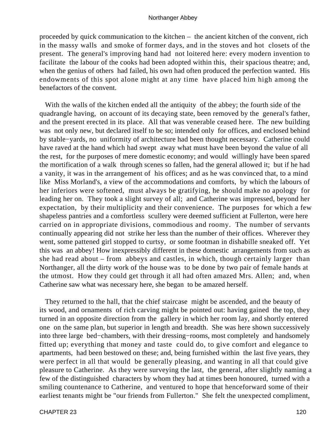proceeded by quick communication to the kitchen – the ancient kitchen of the convent, rich in the massy walls and smoke of former days, and in the stoves and hot closets of the present. The general's improving hand had not loitered here: every modern invention to facilitate the labour of the cooks had been adopted within this, their spacious theatre; and, when the genius of others had failed, his own had often produced the perfection wanted. His endowments of this spot alone might at any time have placed him high among the benefactors of the convent.

 With the walls of the kitchen ended all the antiquity of the abbey; the fourth side of the quadrangle having, on account of its decaying state, been removed by the general's father, and the present erected in its place. All that was venerable ceased here. The new building was not only new, but declared itself to be so; intended only for offices, and enclosed behind by stable−yards, no uniformity of architecture had been thought necessary. Catherine could have raved at the hand which had swept away what must have been beyond the value of all the rest, for the purposes of mere domestic economy; and would willingly have been spared the mortification of a walk through scenes so fallen, had the general allowed it; but if he had a vanity, it was in the arrangement of his offices; and as he was convinced that, to a mind like Miss Morland's, a view of the accommodations and comforts, by which the labours of her inferiors were softened, must always be gratifying, he should make no apology for leading her on. They took a slight survey of all; and Catherine was impressed, beyond her expectation, by their multiplicity and their convenience. The purposes for which a few shapeless pantries and a comfortless scullery were deemed sufficient at Fullerton, were here carried on in appropriate divisions, commodious and roomy. The number of servants continually appearing did not strike her less than the number of their offices. Wherever they went, some pattened girl stopped to curtsy, or some footman in dishabille sneaked off. Yet this was an abbey! How inexpressibly different in these domestic arrangements from such as she had read about – from abbeys and castles, in which, though certainly larger than Northanger, all the dirty work of the house was to be done by two pair of female hands at the utmost. How they could get through it all had often amazed Mrs. Allen; and, when Catherine saw what was necessary here, she began to be amazed herself.

 They returned to the hall, that the chief staircase might be ascended, and the beauty of its wood, and ornaments of rich carving might be pointed out: having gained the top, they turned in an opposite direction from the gallery in which her room lay, and shortly entered one on the same plan, but superior in length and breadth. She was here shown successively into three large bed−chambers, with their dressing−rooms, most completely and handsomely fitted up; everything that money and taste could do, to give comfort and elegance to apartments, had been bestowed on these; and, being furnished within the last five years, they were perfect in all that would be generally pleasing, and wanting in all that could give pleasure to Catherine. As they were surveying the last, the general, after slightly naming a few of the distinguished characters by whom they had at times been honoured, turned with a smiling countenance to Catherine, and ventured to hope that henceforward some of their earliest tenants might be "our friends from Fullerton." She felt the unexpected compliment,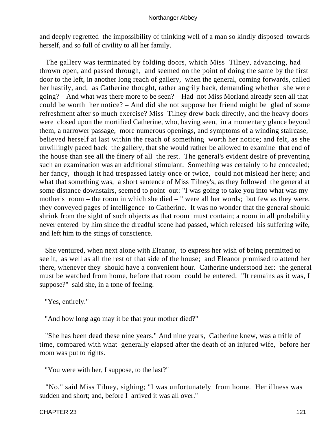and deeply regretted the impossibility of thinking well of a man so kindly disposed towards herself, and so full of civility to all her family.

 The gallery was terminated by folding doors, which Miss Tilney, advancing, had thrown open, and passed through, and seemed on the point of doing the same by the first door to the left, in another long reach of gallery, when the general, coming forwards, called her hastily, and, as Catherine thought, rather angrily back, demanding whether she were going? – And what was there more to be seen? – Had not Miss Morland already seen all that could be worth her notice? – And did she not suppose her friend might be glad of some refreshment after so much exercise? Miss Tilney drew back directly, and the heavy doors were closed upon the mortified Catherine, who, having seen, in a momentary glance beyond them, a narrower passage, more numerous openings, and symptoms of a winding staircase, believed herself at last within the reach of something worth her notice; and felt, as she unwillingly paced back the gallery, that she would rather be allowed to examine that end of the house than see all the finery of all the rest. The general's evident desire of preventing such an examination was an additional stimulant. Something was certainly to be concealed; her fancy, though it had trespassed lately once or twice, could not mislead her here; and what that something was, a short sentence of Miss Tilney's, as they followed the general at some distance downstairs, seemed to point out: "I was going to take you into what was my mother's room – the room in which she died – " were all her words; but few as they were, they conveyed pages of intelligence to Catherine. It was no wonder that the general should shrink from the sight of such objects as that room must contain; a room in all probability never entered by him since the dreadful scene had passed, which released his suffering wife, and left him to the stings of conscience.

 She ventured, when next alone with Eleanor, to express her wish of being permitted to see it, as well as all the rest of that side of the house; and Eleanor promised to attend her there, whenever they should have a convenient hour. Catherine understood her: the general must be watched from home, before that room could be entered. "It remains as it was, I suppose?" said she, in a tone of feeling.

"Yes, entirely."

"And how long ago may it be that your mother died?"

 "She has been dead these nine years." And nine years, Catherine knew, was a trifle of time, compared with what generally elapsed after the death of an injured wife, before her room was put to rights.

"You were with her, I suppose, to the last?"

 "No," said Miss Tilney, sighing; "I was unfortunately from home. Her illness was sudden and short; and, before I arrived it was all over."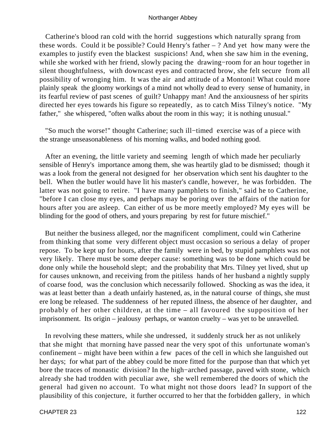Catherine's blood ran cold with the horrid suggestions which naturally sprang from these words. Could it be possible? Could Henry's father – ? And yet how many were the examples to justify even the blackest suspicions! And, when she saw him in the evening, while she worked with her friend, slowly pacing the drawing−room for an hour together in silent thoughtfulness, with downcast eyes and contracted brow, she felt secure from all possibility of wronging him. It was the air and attitude of a Montoni! What could more plainly speak the gloomy workings of a mind not wholly dead to every sense of humanity, in its fearful review of past scenes of guilt? Unhappy man! And the anxiousness of her spirits directed her eyes towards his figure so repeatedly, as to catch Miss Tilney's notice. "My father," she whispered, "often walks about the room in this way; it is nothing unusual."

 "So much the worse!" thought Catherine; such ill−timed exercise was of a piece with the strange unseasonableness of his morning walks, and boded nothing good.

 After an evening, the little variety and seeming length of which made her peculiarly sensible of Henry's importance among them, she was heartily glad to be dismissed; though it was a look from the general not designed for her observation which sent his daughter to the bell. When the butler would have lit his master's candle, however, he was forbidden. The latter was not going to retire. "I have many pamphlets to finish," said he to Catherine, "before I can close my eyes, and perhaps may be poring over the affairs of the nation for hours after you are asleep. Can either of us be more meetly employed? My eyes will be blinding for the good of others, and yours preparing by rest for future mischief."

 But neither the business alleged, nor the magnificent compliment, could win Catherine from thinking that some very different object must occasion so serious a delay of proper repose. To be kept up for hours, after the family were in bed, by stupid pamphlets was not very likely. There must be some deeper cause: something was to be done which could be done only while the household slept; and the probability that Mrs. Tilney yet lived, shut up for causes unknown, and receiving from the pitiless hands of her husband a nightly supply of coarse food, was the conclusion which necessarily followed. Shocking as was the idea, it was at least better than a death unfairly hastened, as, in the natural course of things, she must ere long be released. The suddenness of her reputed illness, the absence of her daughter, and probably of her other children, at the time – all favoured the supposition of her imprisonment. Its origin – jealousy perhaps, or wanton cruelty – was yet to be unravelled.

 In revolving these matters, while she undressed, it suddenly struck her as not unlikely that she might that morning have passed near the very spot of this unfortunate woman's confinement – might have been within a few paces of the cell in which she languished out her days; for what part of the abbey could be more fitted for the purpose than that which yet bore the traces of monastic division? In the high−arched passage, paved with stone, which already she had trodden with peculiar awe, she well remembered the doors of which the general had given no account. To what might not those doors lead? In support of the plausibility of this conjecture, it further occurred to her that the forbidden gallery, in which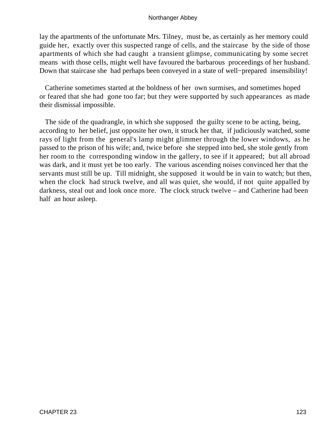lay the apartments of the unfortunate Mrs. Tilney, must be, as certainly as her memory could guide her, exactly over this suspected range of cells, and the staircase by the side of those apartments of which she had caught a transient glimpse, communicating by some secret means with those cells, might well have favoured the barbarous proceedings of her husband. Down that staircase she had perhaps been conveyed in a state of well−prepared insensibility!

 Catherine sometimes started at the boldness of her own surmises, and sometimes hoped or feared that she had gone too far; but they were supported by such appearances as made their dismissal impossible.

 The side of the quadrangle, in which she supposed the guilty scene to be acting, being, according to her belief, just opposite her own, it struck her that, if judiciously watched, some rays of light from the general's lamp might glimmer through the lower windows, as he passed to the prison of his wife; and, twice before she stepped into bed, she stole gently from her room to the corresponding window in the gallery, to see if it appeared; but all abroad was dark, and it must yet be too early. The various ascending noises convinced her that the servants must still be up. Till midnight, she supposed it would be in vain to watch; but then, when the clock had struck twelve, and all was quiet, she would, if not quite appalled by darkness, steal out and look once more. The clock struck twelve – and Catherine had been half an hour asleep.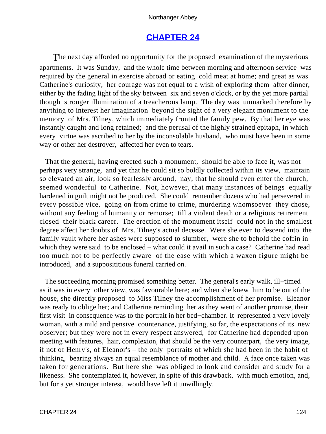# **[CHAPTER 24](#page-165-0)**

The next day afforded no opportunity for the proposed examination of the mysterious apartments. It was Sunday, and the whole time between morning and afternoon service was required by the general in exercise abroad or eating cold meat at home; and great as was Catherine's curiosity, her courage was not equal to a wish of exploring them after dinner, either by the fading light of the sky between six and seven o'clock, or by the yet more partial though stronger illumination of a treacherous lamp. The day was unmarked therefore by anything to interest her imagination beyond the sight of a very elegant monument to the memory of Mrs. Tilney, which immediately fronted the family pew. By that her eye was instantly caught and long retained; and the perusal of the highly strained epitaph, in which every virtue was ascribed to her by the inconsolable husband, who must have been in some way or other her destroyer, affected her even to tears.

 That the general, having erected such a monument, should be able to face it, was not perhaps very strange, and yet that he could sit so boldly collected within its view, maintain so elevated an air, look so fearlessly around, nay, that he should even enter the church, seemed wonderful to Catherine. Not, however, that many instances of beings equally hardened in guilt might not be produced. She could remember dozens who had persevered in every possible vice, going on from crime to crime, murdering whomsoever they chose, without any feeling of humanity or remorse; till a violent death or a religious retirement closed their black career. The erection of the monument itself could not in the smallest degree affect her doubts of Mrs. Tilney's actual decease. Were she even to descend into the family vault where her ashes were supposed to slumber, were she to behold the coffin in which they were said to be enclosed – what could it avail in such a case? Catherine had read too much not to be perfectly aware of the ease with which a waxen figure might be introduced, and a supposititious funeral carried on.

 The succeeding morning promised something better. The general's early walk, ill−timed as it was in every other view, was favourable here; and when she knew him to be out of the house, she directly proposed to Miss Tilney the accomplishment of her promise. Eleanor was ready to oblige her; and Catherine reminding her as they went of another promise, their first visit in consequence was to the portrait in her bed−chamber. It represented a very lovely woman, with a mild and pensive countenance, justifying, so far, the expectations of its new observer; but they were not in every respect answered, for Catherine had depended upon meeting with features, hair, complexion, that should be the very counterpart, the very image, if not of Henry's, of Eleanor's – the only portraits of which she had been in the habit of thinking, bearing always an equal resemblance of mother and child. A face once taken was taken for generations. But here she was obliged to look and consider and study for a likeness. She contemplated it, however, in spite of this drawback, with much emotion, and, but for a yet stronger interest, would have left it unwillingly.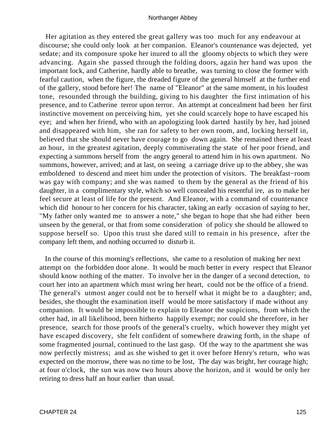Her agitation as they entered the great gallery was too much for any endeavour at discourse; she could only look at her companion. Eleanor's countenance was dejected, yet sedate; and its composure spoke her inured to all the gloomy objects to which they were advancing. Again she passed through the folding doors, again her hand was upon the important lock, and Catherine, hardly able to breathe, was turning to close the former with fearful caution, when the figure, the dreaded figure of the general himself at the further end of the gallery, stood before her! The name of "Eleanor" at the same moment, in his loudest tone, resounded through the building, giving to his daughter the first intimation of his presence, and to Catherine terror upon terror. An attempt at concealment had been her first instinctive movement on perceiving him, yet she could scarcely hope to have escaped his eye; and when her friend, who with an apologizing look darted hastily by her, had joined and disappeared with him, she ran for safety to her own room, and, locking herself in, believed that she should never have courage to go down again. She remained there at least an hour, in the greatest agitation, deeply commiserating the state of her poor friend, and expecting a summons herself from the angry general to attend him in his own apartment. No summons, however, arrived; and at last, on seeing a carriage drive up to the abbey, she was emboldened to descend and meet him under the protection of visitors. The breakfast−room was gay with company; and she was named to them by the general as the friend of his daughter, in a complimentary style, which so well concealed his resentful ire, as to make her feel secure at least of life for the present. And Eleanor, with a command of countenance which did honour to her concern for his character, taking an early occasion of saying to her, "My father only wanted me to answer a note," she began to hope that she had either been unseen by the general, or that from some consideration of policy she should be allowed to suppose herself so. Upon this trust she dared still to remain in his presence, after the company left them, and nothing occurred to disturb it.

 In the course of this morning's reflections, she came to a resolution of making her next attempt on the forbidden door alone. It would be much better in every respect that Eleanor should know nothing of the matter. To involve her in the danger of a second detection, to court her into an apartment which must wring her heart, could not be the office of a friend. The general's utmost anger could not be to herself what it might be to a daughter; and, besides, she thought the examination itself would be more satisfactory if made without any companion. It would be impossible to explain to Eleanor the suspicions, from which the other had, in all likelihood, been hitherto happily exempt; nor could she therefore, in her presence, search for those proofs of the general's cruelty, which however they might yet have escaped discovery, she felt confident of somewhere drawing forth, in the shape of some fragmented journal, continued to the last gasp. Of the way to the apartment she was now perfectly mistress; and as she wished to get it over before Henry's return, who was expected on the morrow, there was no time to be lost, The day was bright, her courage high; at four o'clock, the sun was now two hours above the horizon, and it would be only her retiring to dress half an hour earlier than usual.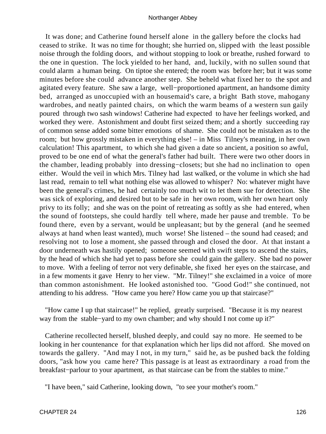It was done; and Catherine found herself alone in the gallery before the clocks had ceased to strike. It was no time for thought; she hurried on, slipped with the least possible noise through the folding doors, and without stopping to look or breathe, rushed forward to the one in question. The lock yielded to her hand, and, luckily, with no sullen sound that could alarm a human being. On tiptoe she entered; the room was before her; but it was some minutes before she could advance another step. She beheld what fixed her to the spot and agitated every feature. She saw a large, well−proportioned apartment, an handsome dimity bed, arranged as unoccupied with an housemaid's care, a bright Bath stove, mahogany wardrobes, and neatly painted chairs, on which the warm beams of a western sun gaily poured through two sash windows! Catherine had expected to have her feelings worked, and worked they were. Astonishment and doubt first seized them; and a shortly succeeding ray of common sense added some bitter emotions of shame. She could not be mistaken as to the room; but how grossly mistaken in everything else! – in Miss Tilney's meaning, in her own calculation! This apartment, to which she had given a date so ancient, a position so awful, proved to be one end of what the general's father had built. There were two other doors in the chamber, leading probably into dressing−closets; but she had no inclination to open either. Would the veil in which Mrs. Tilney had last walked, or the volume in which she had last read, remain to tell what nothing else was allowed to whisper? No: whatever might have been the general's crimes, he had certainly too much wit to let them sue for detection. She was sick of exploring, and desired but to be safe in her own room, with her own heart only privy to its folly; and she was on the point of retreating as softly as she had entered, when the sound of footsteps, she could hardly tell where, made her pause and tremble. To be found there, even by a servant, would be unpleasant; but by the general (and he seemed always at hand when least wanted), much worse! She listened – the sound had ceased; and resolving not to lose a moment, she passed through and closed the door. At that instant a door underneath was hastily opened; someone seemed with swift steps to ascend the stairs, by the head of which she had yet to pass before she could gain the gallery. She bad no power to move. With a feeling of terror not very definable, she fixed her eyes on the staircase, and in a few moments it gave Henry to her view. "Mr. Tilney!" she exclaimed in a voice of more than common astonishment. He looked astonished too. "Good God!" she continued, not attending to his address. "How came you here? How came you up that staircase?"

 "How came I up that staircase!" he replied, greatly surprised. "Because it is my nearest way from the stable−yard to my own chamber; and why should I not come up it?"

 Catherine recollected herself, blushed deeply, and could say no more. He seemed to be looking in her countenance for that explanation which her lips did not afford. She moved on towards the gallery. "And may I not, in my turn," said he, as be pushed back the folding doors, "ask how you came here? This passage is at least as extraordinary a road from the breakfast−parlour to your apartment, as that staircase can be from the stables to mine."

"I have been," said Catherine, looking down, "to see your mother's room."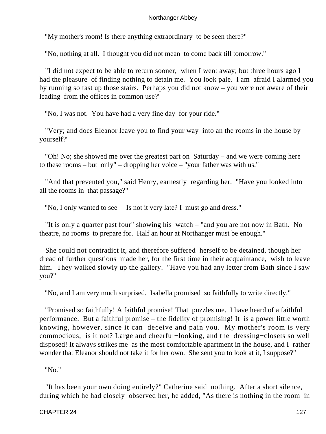"My mother's room! Is there anything extraordinary to be seen there?"

"No, nothing at all. I thought you did not mean to come back till tomorrow."

 "I did not expect to be able to return sooner, when I went away; but three hours ago I had the pleasure of finding nothing to detain me. You look pale. I am afraid I alarmed you by running so fast up those stairs. Perhaps you did not know – you were not aware of their leading from the offices in common use?"

"No, I was not. You have had a very fine day for your ride."

 "Very; and does Eleanor leave you to find your way into an the rooms in the house by yourself?"

 "Oh! No; she showed me over the greatest part on Saturday – and we were coming here to these rooms – but only" – dropping her voice – "your father was with us."

 "And that prevented you," said Henry, earnestly regarding her. "Have you looked into all the rooms in that passage?"

"No, I only wanted to see – Is not it very late? I must go and dress."

 "It is only a quarter past four" showing his watch – "and you are not now in Bath. No theatre, no rooms to prepare for. Half an hour at Northanger must be enough."

 She could not contradict it, and therefore suffered herself to be detained, though her dread of further questions made her, for the first time in their acquaintance, wish to leave him. They walked slowly up the gallery. "Have you had any letter from Bath since I saw you?"

"No, and I am very much surprised. Isabella promised so faithfully to write directly."

 "Promised so faithfully! A faithful promise! That puzzles me. I have heard of a faithful performance. But a faithful promise – the fidelity of promising! It is a power little worth knowing, however, since it can deceive and pain you. My mother's room is very commodious, is it not? Large and cheerful−looking, and the dressing−closets so well disposed! It always strikes me as the most comfortable apartment in the house, and I rather wonder that Eleanor should not take it for her own. She sent you to look at it, I suppose?"

"No."

 "It has been your own doing entirely?" Catherine said nothing. After a short silence, during which he had closely observed her, he added, "As there is nothing in the room in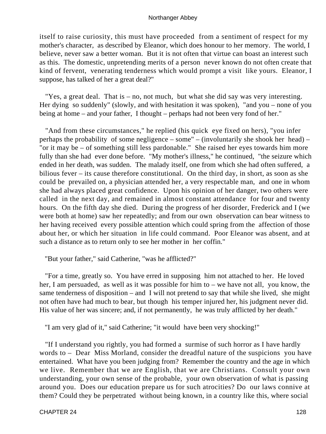itself to raise curiosity, this must have proceeded from a sentiment of respect for my mother's character, as described by Eleanor, which does honour to her memory. The world, I believe, never saw a better woman. But it is not often that virtue can boast an interest such as this. The domestic, unpretending merits of a person never known do not often create that kind of fervent, venerating tenderness which would prompt a visit like yours. Eleanor, I suppose, has talked of her a great deal?"

 "Yes, a great deal. That is – no, not much, but what she did say was very interesting. Her dying so suddenly" (slowly, and with hesitation it was spoken), "and you – none of you being at home – and your father, I thought – perhaps had not been very fond of her."

 "And from these circumstances," he replied (his quick eye fixed on hers), "you infer perhaps the probability of some negligence – some" – (involuntarily she shook her head) – "or it may be – of something still less pardonable." She raised her eyes towards him more fully than she had ever done before. "My mother's illness," he continued, "the seizure which ended in her death, was sudden. The malady itself, one from which she had often suffered, a bilious fever – its cause therefore constitutional. On the third day, in short, as soon as she could be prevailed on, a physician attended her, a very respectable man, and one in whom she had always placed great confidence. Upon his opinion of her danger, two others were called in the next day, and remained in almost constant attendance for four and twenty hours. On the fifth day she died. During the progress of her disorder, Frederick and I (we were both at home) saw her repeatedly; and from our own observation can bear witness to her having received every possible attention which could spring from the affection of those about her, or which her situation in life could command. Poor Eleanor was absent, and at such a distance as to return only to see her mother in her coffin."

"But your father," said Catherine, "was he afflicted?"

 "For a time, greatly so. You have erred in supposing him not attached to her. He loved her, I am persuaded, as well as it was possible for him to – we have not all, you know, the same tenderness of disposition – and I will not pretend to say that while she lived, she might not often have had much to bear, but though his temper injured her, his judgment never did. His value of her was sincere; and, if not permanently, he was truly afflicted by her death."

"I am very glad of it," said Catherine; "it would have been very shocking!"

 "If I understand you rightly, you had formed a surmise of such horror as I have hardly words to – Dear Miss Morland, consider the dreadful nature of the suspicions you have entertained. What have you been judging from? Remember the country and the age in which we live. Remember that we are English, that we are Christians. Consult your own understanding, your own sense of the probable, your own observation of what is passing around you. Does our education prepare us for such atrocities? Do our laws connive at them? Could they be perpetrated without being known, in a country like this, where social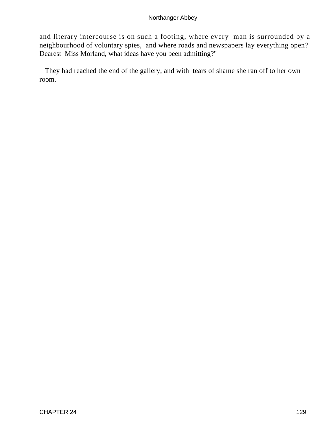and literary intercourse is on such a footing, where every man is surrounded by a neighbourhood of voluntary spies, and where roads and newspapers lay everything open? Dearest Miss Morland, what ideas have you been admitting?"

 They had reached the end of the gallery, and with tears of shame she ran off to her own room.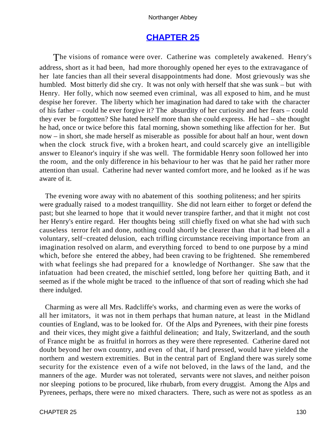# **[CHAPTER 25](#page-165-0)**

The visions of romance were over. Catherine was completely awakened. Henry's address, short as it had been, had more thoroughly opened her eyes to the extravagance of her late fancies than all their several disappointments had done. Most grievously was she humbled. Most bitterly did she cry. It was not only with herself that she was sunk – but with Henry. Her folly, which now seemed even criminal, was all exposed to him, and he must despise her forever. The liberty which her imagination had dared to take with the character of his father – could he ever forgive it? The absurdity of her curiosity and her fears – could they ever be forgotten? She hated herself more than she could express. He had – she thought he had, once or twice before this fatal morning, shown something like affection for her. But now – in short, she made herself as miserable as possible for about half an hour, went down when the clock struck five, with a broken heart, and could scarcely give an intelligible answer to Eleanor's inquiry if she was well. The formidable Henry soon followed her into the room, and the only difference in his behaviour to her was that he paid her rather more attention than usual. Catherine had never wanted comfort more, and he looked as if he was aware of it.

 The evening wore away with no abatement of this soothing politeness; and her spirits were gradually raised to a modest tranquillity. She did not learn either to forget or defend the past; but she learned to hope that it would never transpire farther, and that it might not cost her Henry's entire regard. Her thoughts being still chiefly fixed on what she had with such causeless terror felt and done, nothing could shortly be clearer than that it had been all a voluntary, self−created delusion, each trifling circumstance receiving importance from an imagination resolved on alarm, and everything forced to bend to one purpose by a mind which, before she entered the abbey, had been craving to be frightened. She remembered with what feelings she had prepared for a knowledge of Northanger. She saw that the infatuation had been created, the mischief settled, long before her quitting Bath, and it seemed as if the whole might be traced to the influence of that sort of reading which she had there indulged.

 Charming as were all Mrs. Radcliffe's works, and charming even as were the works of all her imitators, it was not in them perhaps that human nature, at least in the Midland counties of England, was to be looked for. Of the Alps and Pyrenees, with their pine forests and their vices, they might give a faithful delineation; and Italy, Switzerland, and the south of France might be as fruitful in horrors as they were there represented. Catherine dared not doubt beyond her own country, and even of that, if hard pressed, would have yielded the northern and western extremities. But in the central part of England there was surely some security for the existence even of a wife not beloved, in the laws of the land, and the manners of the age. Murder was not tolerated, servants were not slaves, and neither poison nor sleeping potions to be procured, like rhubarb, from every druggist. Among the Alps and Pyrenees, perhaps, there were no mixed characters. There, such as were not as spotless as an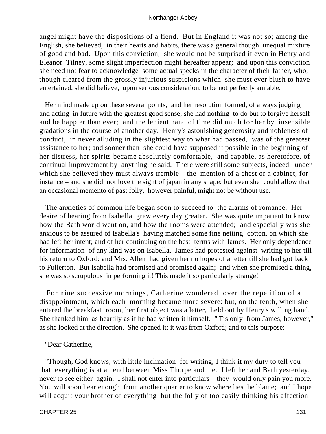angel might have the dispositions of a fiend. But in England it was not so; among the English, she believed, in their hearts and habits, there was a general though unequal mixture of good and bad. Upon this conviction, she would not be surprised if even in Henry and Eleanor Tilney, some slight imperfection might hereafter appear; and upon this conviction she need not fear to acknowledge some actual specks in the character of their father, who, though cleared from the grossly injurious suspicions which she must ever blush to have entertained, she did believe, upon serious consideration, to be not perfectly amiable.

 Her mind made up on these several points, and her resolution formed, of always judging and acting in future with the greatest good sense, she had nothing to do but to forgive herself and be happier than ever; and the lenient hand of time did much for her by insensible gradations in the course of another day. Henry's astonishing generosity and nobleness of conduct, in never alluding in the slightest way to what had passed, was of the greatest assistance to her; and sooner than she could have supposed it possible in the beginning of her distress, her spirits became absolutely comfortable, and capable, as heretofore, of continual improvement by anything he said. There were still some subjects, indeed, under which she believed they must always tremble – the mention of a chest or a cabinet, for instance – and she did not love the sight of japan in any shape: but even she could allow that an occasional memento of past folly, however painful, might not be without use.

 The anxieties of common life began soon to succeed to the alarms of romance. Her desire of hearing from Isabella grew every day greater. She was quite impatient to know how the Bath world went on, and how the rooms were attended; and especially was she anxious to be assured of Isabella's having matched some fine netting−cotton, on which she had left her intent; and of her continuing on the best terms with James. Her only dependence for information of any kind was on Isabella. James had protested against writing to her till his return to Oxford; and Mrs. Allen had given her no hopes of a letter till she had got back to Fullerton. But Isabella had promised and promised again; and when she promised a thing, she was so scrupulous in performing it! This made it so particularly strange!

 For nine successive mornings, Catherine wondered over the repetition of a disappointment, which each morning became more severe: but, on the tenth, when she entered the breakfast−room, her first object was a letter, held out by Henry's willing hand. She thanked him as heartily as if he had written it himself. "'Tis only from James, however," as she looked at the direction. She opened it; it was from Oxford; and to this purpose:

# "Dear Catherine,

 "Though, God knows, with little inclination for writing, I think it my duty to tell you that everything is at an end between Miss Thorpe and me. I left her and Bath yesterday, never to see either again. I shall not enter into particulars – they would only pain you more. You will soon hear enough from another quarter to know where lies the blame; and I hope will acquit your brother of everything but the folly of too easily thinking his affection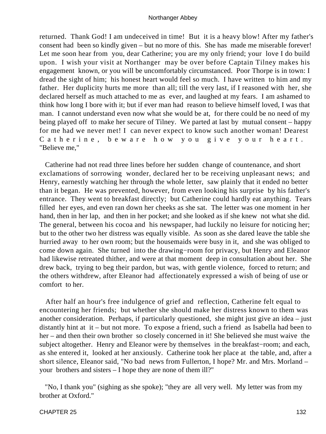returned. Thank God! I am undeceived in time! But it is a heavy blow! After my father's consent had been so kindly given – but no more of this. She has made me miserable forever! Let me soon hear from you, dear Catherine; you are my only friend; your love I do build upon. I wish your visit at Northanger may be over before Captain Tilney makes his engagement known, or you will be uncomfortably circumstanced. Poor Thorpe is in town: I dread the sight of him; his honest heart would feel so much. I have written to him and my father. Her duplicity hurts me more than all; till the very last, if I reasoned with her, she declared herself as much attached to me as ever, and laughed at my fears. I am ashamed to think how long I bore with it; but if ever man had reason to believe himself loved, I was that man. I cannot understand even now what she would be at, for there could be no need of my being played off to make her secure of Tilney. We parted at last by mutual consent – happy for me had we never met! I can never expect to know such another woman! Dearest Catherine, beware how you give your heart. "Believe me,"

 Catherine had not read three lines before her sudden change of countenance, and short exclamations of sorrowing wonder, declared her to be receiving unpleasant news; and Henry, earnestly watching her through the whole letter, saw plainly that it ended no better than it began. He was prevented, however, from even looking his surprise by his father's entrance. They went to breakfast directly; but Catherine could hardly eat anything. Tears filled her eyes, and even ran down her cheeks as she sat. The letter was one moment in her hand, then in her lap, and then in her pocket; and she looked as if she knew not what she did. The general, between his cocoa and his newspaper, had luckily no leisure for noticing her; but to the other two her distress was equally visible. As soon as she dared leave the table she hurried away to her own room; but the housemaids were busy in it, and she was obliged to come down again. She turned into the drawing−room for privacy, but Henry and Eleanor had likewise retreated thither, and were at that moment deep in consultation about her. She drew back, trying to beg their pardon, but was, with gentle violence, forced to return; and the others withdrew, after Eleanor had affectionately expressed a wish of being of use or comfort to her.

 After half an hour's free indulgence of grief and reflection, Catherine felt equal to encountering her friends; but whether she should make her distress known to them was another consideration. Perhaps, if particularly questioned, she might just give an idea – just distantly hint at it – but not more. To expose a friend, such a friend as Isabella had been to her – and then their own brother so closely concerned in it! She believed she must waive the subject altogether. Henry and Eleanor were by themselves in the breakfast−room; and each, as she entered it, looked at her anxiously. Catherine took her place at the table, and, after a short silence, Eleanor said, "No bad news from Fullerton, I hope? Mr. and Mrs. Morland – your brothers and sisters – I hope they are none of them ill?"

 "No, I thank you" (sighing as she spoke); "they are all very well. My letter was from my brother at Oxford."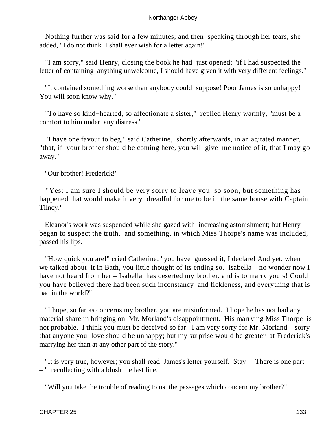Nothing further was said for a few minutes; and then speaking through her tears, she added, "I do not think I shall ever wish for a letter again!"

 "I am sorry," said Henry, closing the book he had just opened; "if I had suspected the letter of containing anything unwelcome, I should have given it with very different feelings."

 "It contained something worse than anybody could suppose! Poor James is so unhappy! You will soon know why."

 "To have so kind−hearted, so affectionate a sister," replied Henry warmly, "must be a comfort to him under any distress."

 "I have one favour to beg," said Catherine, shortly afterwards, in an agitated manner, "that, if your brother should be coming here, you will give me notice of it, that I may go away."

"Our brother! Frederick!"

 "Yes; I am sure I should be very sorry to leave you so soon, but something has happened that would make it very dreadful for me to be in the same house with Captain Tilney."

 Eleanor's work was suspended while she gazed with increasing astonishment; but Henry began to suspect the truth, and something, in which Miss Thorpe's name was included, passed his lips.

 "How quick you are!" cried Catherine: "you have guessed it, I declare! And yet, when we talked about it in Bath, you little thought of its ending so. Isabella – no wonder now I have not heard from her – Isabella has deserted my brother, and is to marry yours! Could you have believed there had been such inconstancy and fickleness, and everything that is bad in the world?"

 "I hope, so far as concerns my brother, you are misinformed. I hope he has not had any material share in bringing on Mr. Morland's disappointment. His marrying Miss Thorpe is not probable. I think you must be deceived so far. I am very sorry for Mr. Morland – sorry that anyone you love should be unhappy; but my surprise would be greater at Frederick's marrying her than at any other part of the story."

 "It is very true, however; you shall read James's letter yourself. Stay – There is one part – " recollecting with a blush the last line.

"Will you take the trouble of reading to us the passages which concern my brother?"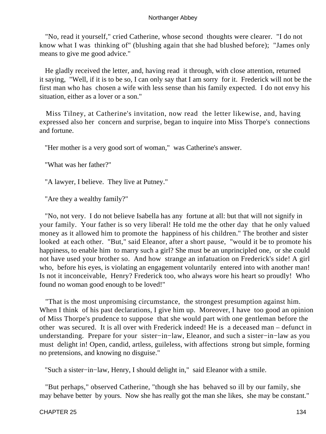"No, read it yourself," cried Catherine, whose second thoughts were clearer. "I do not know what I was thinking of" (blushing again that she had blushed before); "James only means to give me good advice."

 He gladly received the letter, and, having read it through, with close attention, returned it saying, "Well, if it is to be so, I can only say that I am sorry for it. Frederick will not be the first man who has chosen a wife with less sense than his family expected. I do not envy his situation, either as a lover or a son."

 Miss Tilney, at Catherine's invitation, now read the letter likewise, and, having expressed also her concern and surprise, began to inquire into Miss Thorpe's connections and fortune.

"Her mother is a very good sort of woman," was Catherine's answer.

"What was her father?"

"A lawyer, I believe. They live at Putney."

"Are they a wealthy family?"

 "No, not very. I do not believe Isabella has any fortune at all: but that will not signify in your family. Your father is so very liberal! He told me the other day that he only valued money as it allowed him to promote the happiness of his children." The brother and sister looked at each other. "But," said Eleanor, after a short pause, "would it be to promote his happiness, to enable him to marry such a girl? She must be an unprincipled one, or she could not have used your brother so. And how strange an infatuation on Frederick's side! A girl who, before his eyes, is violating an engagement voluntarily entered into with another man! Is not it inconceivable, Henry? Frederick too, who always wore his heart so proudly! Who found no woman good enough to be loved!"

 "That is the most unpromising circumstance, the strongest presumption against him. When I think of his past declarations, I give him up. Moreover, I have too good an opinion of Miss Thorpe's prudence to suppose that she would part with one gentleman before the other was secured. It is all over with Frederick indeed! He is a deceased man – defunct in understanding. Prepare for your sister−in−law, Eleanor, and such a sister−in−law as you must delight in! Open, candid, artless, guileless, with affections strong but simple, forming no pretensions, and knowing no disguise."

"Such a sister−in−law, Henry, I should delight in," said Eleanor with a smile.

 "But perhaps," observed Catherine, "though she has behaved so ill by our family, she may behave better by yours. Now she has really got the man she likes, she may be constant."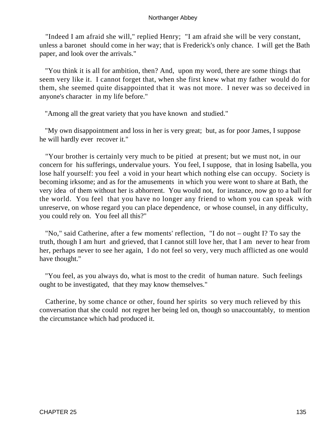"Indeed I am afraid she will," replied Henry; "I am afraid she will be very constant, unless a baronet should come in her way; that is Frederick's only chance. I will get the Bath paper, and look over the arrivals."

 "You think it is all for ambition, then? And, upon my word, there are some things that seem very like it. I cannot forget that, when she first knew what my father would do for them, she seemed quite disappointed that it was not more. I never was so deceived in anyone's character in my life before."

"Among all the great variety that you have known and studied."

 "My own disappointment and loss in her is very great; but, as for poor James, I suppose he will hardly ever recover it."

 "Your brother is certainly very much to be pitied at present; but we must not, in our concern for his sufferings, undervalue yours. You feel, I suppose, that in losing Isabella, you lose half yourself: you feel a void in your heart which nothing else can occupy. Society is becoming irksome; and as for the amusements in which you were wont to share at Bath, the very idea of them without her is abhorrent. You would not, for instance, now go to a ball for the world. You feel that you have no longer any friend to whom you can speak with unreserve, on whose regard you can place dependence, or whose counsel, in any difficulty, you could rely on. You feel all this?"

 "No," said Catherine, after a few moments' reflection, "I do not – ought I? To say the truth, though I am hurt and grieved, that I cannot still love her, that I am never to hear from her, perhaps never to see her again, I do not feel so very, very much afflicted as one would have thought."

 "You feel, as you always do, what is most to the credit of human nature. Such feelings ought to be investigated, that they may know themselves."

 Catherine, by some chance or other, found her spirits so very much relieved by this conversation that she could not regret her being led on, though so unaccountably, to mention the circumstance which had produced it.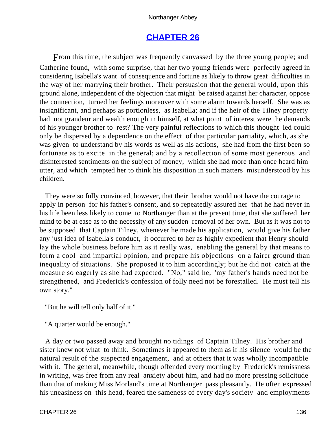# **[CHAPTER 26](#page-165-0)**

From this time, the subject was frequently canvassed by the three young people; and Catherine found, with some surprise, that her two young friends were perfectly agreed in considering Isabella's want of consequence and fortune as likely to throw great difficulties in the way of her marrying their brother. Their persuasion that the general would, upon this ground alone, independent of the objection that might be raised against her character, oppose the connection, turned her feelings moreover with some alarm towards herself. She was as insignificant, and perhaps as portionless, as Isabella; and if the heir of the Tilney property had not grandeur and wealth enough in himself, at what point of interest were the demands of his younger brother to rest? The very painful reflections to which this thought led could only be dispersed by a dependence on the effect of that particular partiality, which, as she was given to understand by his words as well as his actions, she had from the first been so fortunate as to excite in the general; and by a recollection of some most generous and disinterested sentiments on the subject of money, which she had more than once heard him utter, and which tempted her to think his disposition in such matters misunderstood by his children.

 They were so fully convinced, however, that their brother would not have the courage to apply in person for his father's consent, and so repeatedly assured her that he had never in his life been less likely to come to Northanger than at the present time, that she suffered her mind to be at ease as to the necessity of any sudden removal of her own. But as it was not to be supposed that Captain Tilney, whenever he made his application, would give his father any just idea of Isabella's conduct, it occurred to her as highly expedient that Henry should lay the whole business before him as it really was, enabling the general by that means to form a cool and impartial opinion, and prepare his objections on a fairer ground than inequality of situations. She proposed it to him accordingly; but he did not catch at the measure so eagerly as she had expected. "No," said he, "my father's hands need not be strengthened, and Frederick's confession of folly need not be forestalled. He must tell his own story."

"But he will tell only half of it."

"A quarter would be enough."

 A day or two passed away and brought no tidings of Captain Tilney. His brother and sister knew not what to think. Sometimes it appeared to them as if his silence would be the natural result of the suspected engagement, and at others that it was wholly incompatible with it. The general, meanwhile, though offended every morning by Frederick's remissness in writing, was free from any real anxiety about him, and had no more pressing solicitude than that of making Miss Morland's time at Northanger pass pleasantly. He often expressed his uneasiness on this head, feared the sameness of every day's society and employments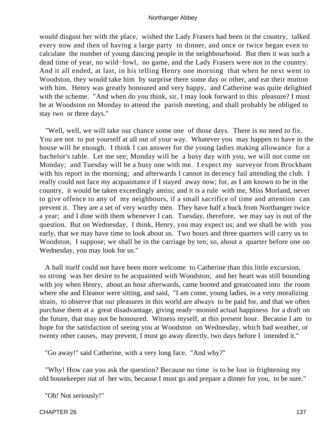would disgust her with the place, wished the Lady Frasers had been in the country, talked every now and then of having a large party to dinner, and once or twice began even to calculate the number of young dancing people in the neighbourhood. But then it was such a dead time of year, no wild−fowl, no game, and the Lady Frasers were not in the country. And it all ended, at last, in his telling Henry one morning that when he next went to Woodston, they would take him by surprise there some day or other, and eat their mutton with him. Henry was greatly honoured and very happy, and Catherine was quite delighted with the scheme. "And when do you think, sir, I may look forward to this pleasure? I must be at Woodston on Monday to attend the parish meeting, and shall probably be obliged to stay two or three days."

 "Well, well, we will take our chance some one of those days. There is no need to fix. You are not to put yourself at all out of your way. Whatever you may happen to have in the house will be enough. I think I can answer for the young ladies making allowance for a bachelor's table. Let me see; Monday will be a busy day with you, we will not come on Monday; and Tuesday will be a busy one with me. I expect my surveyor from Brockham with his report in the morning; and afterwards I cannot in decency fail attending the club. I really could not face my acquaintance if I stayed away now; for, as I am known to be in the country, it would be taken exceedingly amiss; and it is a rule with me, Miss Morland, never to give offence to any of my neighbours, if a small sacrifice of time and attention can prevent it. They are a set of very worthy men. They have half a buck from Northanger twice a year; and I dine with them whenever I can. Tuesday, therefore, we may say is out of the question. But on Wednesday, I think, Henry, you may expect us; and we shall be with you early, that we may have time to look about us. Two hours and three quarters will carry us to Woodston, I suppose; we shall be in the carriage by ten; so, about a quarter before one on Wednesday, you may look for us."

 A ball itself could not have been more welcome to Catherine than this little excursion, so strong was her desire to be acquainted with Woodston; and her heart was still bounding with joy when Henry, about an hour afterwards, came booted and greatcoated into the room where she and Eleanor were sitting, and said, "I am come, young ladies, in a very moralizing strain, to observe that our pleasures in this world are always to be paid for, and that we often purchase them at a great disadvantage, giving ready−monied actual happiness for a draft on the future, that may not be honoured. Witness myself, at this present hour. Because I am to hope for the satisfaction of seeing you at Woodston on Wednesday, which bad weather, or twenty other causes, may prevent, I must go away directly, two days before I intended it."

"Go away!" said Catherine, with a very long face. "And why?"

 "Why! How can you ask the question? Because no time is to be lost in frightening my old housekeeper out of her wits, because I must go and prepare a dinner for you, to be sure."

"Oh! Not seriously!"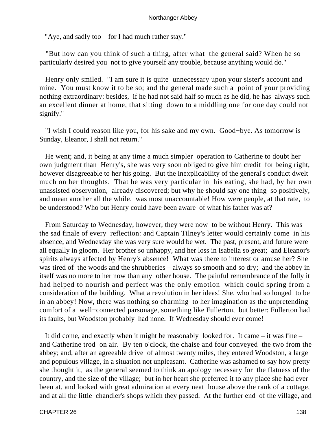"Aye, and sadly too – for I had much rather stay."

 "But how can you think of such a thing, after what the general said? When he so particularly desired you not to give yourself any trouble, because anything would do."

 Henry only smiled. "I am sure it is quite unnecessary upon your sister's account and mine. You must know it to be so; and the general made such a point of your providing nothing extraordinary: besides, if he had not said half so much as he did, he has always such an excellent dinner at home, that sitting down to a middling one for one day could not signify."

 "I wish I could reason like you, for his sake and my own. Good−bye. As tomorrow is Sunday, Eleanor, I shall not return."

 He went; and, it being at any time a much simpler operation to Catherine to doubt her own judgment than Henry's, she was very soon obliged to give him credit for being right, however disagreeable to her his going. But the inexplicability of the general's conduct dwelt much on her thoughts. That he was very particular in his eating, she had, by her own unassisted observation, already discovered; but why he should say one thing so positively, and mean another all the while, was most unaccountable! How were people, at that rate, to be understood? Who but Henry could have been aware of what his father was at?

 From Saturday to Wednesday, however, they were now to be without Henry. This was the sad finale of every reflection: and Captain Tilney's letter would certainly come in his absence; and Wednesday she was very sure would be wet. The past, present, and future were all equally in gloom. Her brother so unhappy, and her loss in Isabella so great; and Eleanor's spirits always affected by Henry's absence! What was there to interest or amuse her? She was tired of the woods and the shrubberies – always so smooth and so dry; and the abbey in itself was no more to her now than any other house. The painful remembrance of the folly it had helped to nourish and perfect was the only emotion which could spring from a consideration of the building. What a revolution in her ideas! She, who had so longed to be in an abbey! Now, there was nothing so charming to her imagination as the unpretending comfort of a well−connected parsonage, something like Fullerton, but better: Fullerton had its faults, but Woodston probably had none. If Wednesday should ever come!

 It did come, and exactly when it might be reasonably looked for. It came – it was fine – and Catherine trod on air. By ten o'clock, the chaise and four conveyed the two from the abbey; and, after an agreeable drive of almost twenty miles, they entered Woodston, a large and populous village, in a situation not unpleasant. Catherine was ashamed to say how pretty she thought it, as the general seemed to think an apology necessary for the flatness of the country, and the size of the village; but in her heart she preferred it to any place she had ever been at, and looked with great admiration at every neat house above the rank of a cottage, and at all the little chandler's shops which they passed. At the further end of the village, and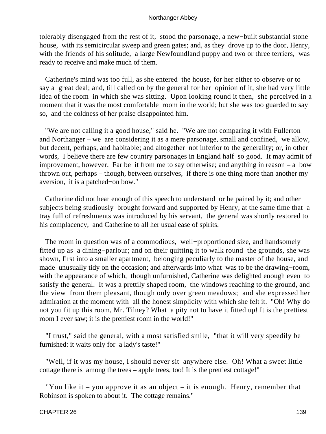tolerably disengaged from the rest of it, stood the parsonage, a new−built substantial stone house, with its semicircular sweep and green gates; and, as they drove up to the door, Henry, with the friends of his solitude, a large Newfoundland puppy and two or three terriers, was ready to receive and make much of them.

 Catherine's mind was too full, as she entered the house, for her either to observe or to say a great deal; and, till called on by the general for her opinion of it, she had very little idea of the room in which she was sitting. Upon looking round it then, she perceived in a moment that it was the most comfortable room in the world; but she was too guarded to say so, and the coldness of her praise disappointed him.

 "We are not calling it a good house," said he. "We are not comparing it with Fullerton and Northanger – we are considering it as a mere parsonage, small and confined, we allow, but decent, perhaps, and habitable; and altogether not inferior to the generality; or, in other words, I believe there are few country parsonages in England half so good. It may admit of improvement, however. Far be it from me to say otherwise; and anything in reason – a bow thrown out, perhaps – though, between ourselves, if there is one thing more than another my aversion, it is a patched−on bow."

 Catherine did not hear enough of this speech to understand or be pained by it; and other subjects being studiously brought forward and supported by Henry, at the same time that a tray full of refreshments was introduced by his servant, the general was shortly restored to his complacency, and Catherine to all her usual ease of spirits.

 The room in question was of a commodious, well−proportioned size, and handsomely fitted up as a dining−parlour; and on their quitting it to walk round the grounds, she was shown, first into a smaller apartment, belonging peculiarly to the master of the house, and made unusually tidy on the occasion; and afterwards into what was to be the drawing−room, with the appearance of which, though unfurnished, Catherine was delighted enough even to satisfy the general. It was a prettily shaped room, the windows reaching to the ground, and the view from them pleasant, though only over green meadows; and she expressed her admiration at the moment with all the honest simplicity with which she felt it. "Oh! Why do not you fit up this room, Mr. Tilney? What a pity not to have it fitted up! It is the prettiest room I ever saw; it is the prettiest room in the world!"

 "I trust," said the general, with a most satisfied smile, "that it will very speedily be furnished: it waits only for a lady's taste!"

 "Well, if it was my house, I should never sit anywhere else. Oh! What a sweet little cottage there is among the trees – apple trees, too! It is the prettiest cottage!"

"You like it – you approve it as an object – it is enough. Henry, remember that Robinson is spoken to about it. The cottage remains."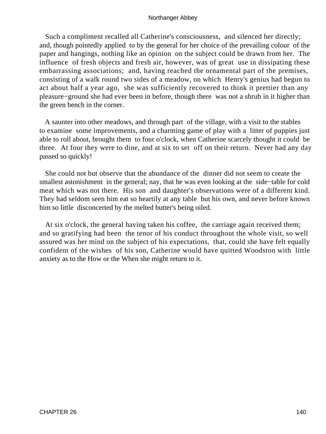Such a compliment recalled all Catherine's consciousness, and silenced her directly; and, though pointedly applied to by the general for her choice of the prevailing colour of the paper and hangings, nothing like an opinion on the subject could be drawn from her. The influence of fresh objects and fresh air, however, was of great use in dissipating these embarrassing associations; and, having reached the ornamental part of the premises, consisting of a walk round two sides of a meadow, on which Henry's genius had begun to act about half a year ago, she was sufficiently recovered to think it prettier than any pleasure−ground she had ever been in before, though there was not a shrub in it higher than the green bench in the corner.

 A saunter into other meadows, and through part of the village, with a visit to the stables to examine some improvements, and a charming game of play with a litter of puppies just able to roll about, brought them to four o'clock, when Catherine scarcely thought it could be three. At four they were to dine, and at six to set off on their return. Never had any day passed so quickly!

 She could not but observe that the abundance of the dinner did not seem to create the smallest astonishment in the general; nay, that he was even looking at the side−table for cold meat which was not there. His son and daughter's observations were of a different kind. They had seldom seen him eat so heartily at any table but his own, and never before known him so little disconcerted by the melted butter's being oiled.

 At six o'clock, the general having taken his coffee, the carriage again received them; and so gratifying had been the tenor of his conduct throughout the whole visit, so well assured was her mind on the subject of his expectations, that, could she have felt equally confident of the wishes of his son, Catherine would have quitted Woodston with little anxiety as to the How or the When she might return to it.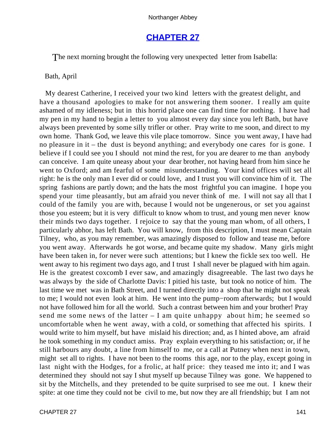# **[CHAPTER 27](#page-165-0)**

The next morning brought the following very unexpected letter from Isabella:

# Bath, April

 My dearest Catherine, I received your two kind letters with the greatest delight, and have a thousand apologies to make for not answering them sooner. I really am quite ashamed of my idleness; but in this horrid place one can find time for nothing. I have had my pen in my hand to begin a letter to you almost every day since you left Bath, but have always been prevented by some silly trifler or other. Pray write to me soon, and direct to my own home. Thank God, we leave this vile place tomorrow. Since you went away, I have had no pleasure in it – the dust is beyond anything; and everybody one cares for is gone. I believe if I could see you I should not mind the rest, for you are dearer to me than anybody can conceive. I am quite uneasy about your dear brother, not having heard from him since he went to Oxford; and am fearful of some misunderstanding. Your kind offices will set all right: he is the only man I ever did or could love, and I trust you will convince him of it. The spring fashions are partly down; and the hats the most frightful you can imagine. I hope you spend your time pleasantly, but am afraid you never think of me. I will not say all that I could of the family you are with, because I would not be ungenerous, or set you against those you esteem; but it is very difficult to know whom to trust, and young men never know their minds two days together. I rejoice to say that the young man whom, of all others, I particularly abhor, has left Bath. You will know, from this description, I must mean Captain Tilney, who, as you may remember, was amazingly disposed to follow and tease me, before you went away. Afterwards he got worse, and became quite my shadow. Many girls might have been taken in, for never were such attentions; but I knew the fickle sex too well. He went away to his regiment two days ago, and I trust I shall never be plagued with him again. He is the greatest coxcomb I ever saw, and amazingly disagreeable. The last two days he was always by the side of Charlotte Davis: I pitied his taste, but took no notice of him. The last time we met was in Bath Street, and I turned directly into a shop that he might not speak to me; I would not even look at him. He went into the pump−room afterwards; but I would not have followed him for all the world. Such a contrast between him and your brother! Pray send me some news of the latter – I am quite unhappy about him; he seemed so uncomfortable when he went away, with a cold, or something that affected his spirits. I would write to him myself, but have mislaid his direction; and, as I hinted above, am afraid he took something in my conduct amiss. Pray explain everything to his satisfaction; or, if he still harbours any doubt, a line from himself to me, or a call at Putney when next in town, might set all to rights. I have not been to the rooms this age, nor to the play, except going in last night with the Hodges, for a frolic, at half price: they teased me into it; and I was determined they should not say I shut myself up because Tilney was gone. We happened to sit by the Mitchells, and they pretended to be quite surprised to see me out. I knew their spite: at one time they could not be civil to me, but now they are all friendship; but I am not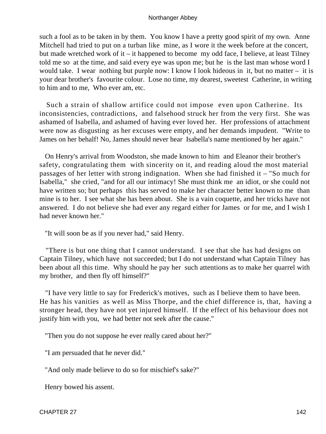such a fool as to be taken in by them. You know I have a pretty good spirit of my own. Anne Mitchell had tried to put on a turban like mine, as I wore it the week before at the concert, but made wretched work of it – it happened to become my odd face, I believe, at least Tilney told me so at the time, and said every eye was upon me; but he is the last man whose word I would take. I wear nothing but purple now: I know I look hideous in it, but no matter – it is your dear brother's favourite colour. Lose no time, my dearest, sweetest Catherine, in writing to him and to me, Who ever am, etc.

 Such a strain of shallow artifice could not impose even upon Catherine. Its inconsistencies, contradictions, and falsehood struck her from the very first. She was ashamed of Isabella, and ashamed of having ever loved her. Her professions of attachment were now as disgusting as her excuses were empty, and her demands impudent. "Write to James on her behalf! No, James should never hear Isabella's name mentioned by her again."

 On Henry's arrival from Woodston, she made known to him and Eleanor their brother's safety, congratulating them with sincerity on it, and reading aloud the most material passages of her letter with strong indignation. When she had finished it – "So much for Isabella," she cried, "and for all our intimacy! She must think me an idiot, or she could not have written so; but perhaps this has served to make her character better known to me than mine is to her. I see what she has been about. She is a vain coquette, and her tricks have not answered. I do not believe she had ever any regard either for James or for me, and I wish I had never known her."

"It will soon be as if you never had," said Henry.

 "There is but one thing that I cannot understand. I see that she has had designs on Captain Tilney, which have not succeeded; but I do not understand what Captain Tilney has been about all this time. Why should he pay her such attentions as to make her quarrel with my brother, and then fly off himself?"

 "I have very little to say for Frederick's motives, such as I believe them to have been. He has his vanities as well as Miss Thorpe, and the chief difference is, that, having a stronger head, they have not yet injured himself. If the effect of his behaviour does not justify him with you, we had better not seek after the cause."

"Then you do not suppose he ever really cared about her?"

"I am persuaded that he never did."

"And only made believe to do so for mischief's sake?"

Henry bowed his assent.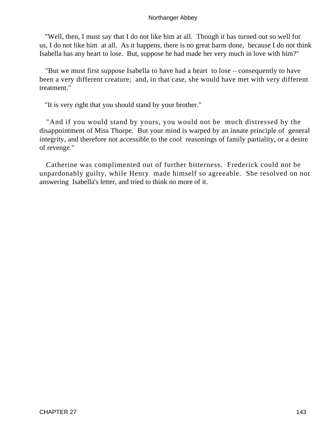"Well, then, I must say that I do not like him at all. Though it has turned out so well for us, I do not like him at all. As it happens, there is no great harm done, because I do not think Isabella has any heart to lose. But, suppose he had made her very much in love with him?"

 "But we must first suppose Isabella to have had a heart to lose – consequently to have been a very different creature; and, in that case, she would have met with very different treatment."

"It is very right that you should stand by your brother."

 "And if you would stand by yours, you would not be much distressed by the disappointment of Miss Thorpe. But your mind is warped by an innate principle of general integrity, and therefore not accessible to the cool reasonings of family partiality, or a desire of revenge."

 Catherine was complimented out of further bitterness. Frederick could not be unpardonably guilty, while Henry made himself so agreeable. She resolved on not answering Isabella's letter, and tried to think no more of it.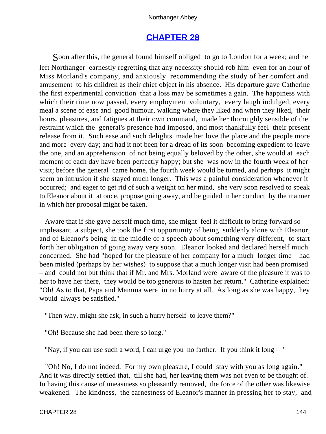# **[CHAPTER 28](#page-165-0)**

<span id="page-144-0"></span>Soon after this, the general found himself obliged to go to London for a week; and he left Northanger earnestly regretting that any necessity should rob him even for an hour of Miss Morland's company, and anxiously recommending the study of her comfort and amusement to his children as their chief object in his absence. His departure gave Catherine the first experimental conviction that a loss may be sometimes a gain. The happiness with which their time now passed, every employment voluntary, every laugh indulged, every meal a scene of ease and good humour, walking where they liked and when they liked, their hours, pleasures, and fatigues at their own command, made her thoroughly sensible of the restraint which the general's presence had imposed, and most thankfully feel their present release from it. Such ease and such delights made her love the place and the people more and more every day; and had it not been for a dread of its soon becoming expedient to leave the one, and an apprehension of not being equally beloved by the other, she would at each moment of each day have been perfectly happy; but she was now in the fourth week of her visit; before the general came home, the fourth week would be turned, and perhaps it might seem an intrusion if she stayed much longer. This was a painful consideration whenever it occurred; and eager to get rid of such a weight on her mind, she very soon resolved to speak to Eleanor about it at once, propose going away, and be guided in her conduct by the manner in which her proposal might be taken.

 Aware that if she gave herself much time, she might feel it difficult to bring forward so unpleasant a subject, she took the first opportunity of being suddenly alone with Eleanor, and of Eleanor's being in the middle of a speech about something very different, to start forth her obligation of going away very soon. Eleanor looked and declared herself much concerned. She had "hoped for the pleasure of her company for a much longer time – had been misled (perhaps by her wishes) to suppose that a much longer visit had been promised – and could not but think that if Mr. and Mrs. Morland were aware of the pleasure it was to her to have her there, they would be too generous to hasten her return." Catherine explained: "Oh! As to that, Papa and Mamma were in no hurry at all. As long as she was happy, they would always be satisfied."

"Then why, might she ask, in such a hurry herself to leave them?"

"Oh! Because she had been there so long."

"Nay, if you can use such a word, I can urge you no farther. If you think it long – "

 "Oh! No, I do not indeed. For my own pleasure, I could stay with you as long again." And it was directly settled that, till she had, her leaving them was not even to be thought of. In having this cause of uneasiness so pleasantly removed, the force of the other was likewise weakened. The kindness, the earnestness of Eleanor's manner in pressing her to stay, and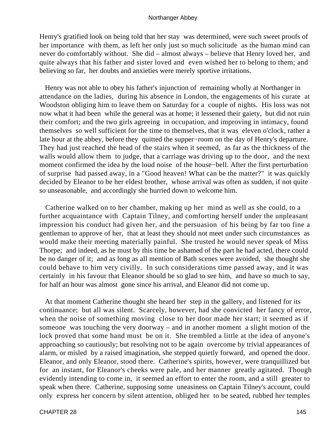Henry's gratified look on being told that her stay was determined, were such sweet proofs of her importance with them, as left her only just so much solicitude as the human mind can never do comfortably without. She did – almost always – believe that Henry loved her, and quite always that his father and sister loved and even wished her to belong to them; and believing so far, her doubts and anxieties were merely sportive irritations.

 Henry was not able to obey his father's injunction of remaining wholly at Northanger in attendance on the ladies, during his absence in London, the engagements of his curate at Woodston obliging him to leave them on Saturday for a couple of nights. His loss was not now what it had been while the general was at home; it lessened their gaiety, but did not ruin their comfort; and the two girls agreeing in occupation, and improving in intimacy, found themselves so well sufficient for the time to themselves, that it was eleven o'clock, rather a late hour at the abbey, before they quitted the supper−room on the day of Henry's departure. They had just reached the head of the stairs when it seemed, as far as the thickness of the walls would allow them to judge, that a carriage was driving up to the door, and the next moment confirmed the idea by the loud noise of the house−bell. After the first perturbation of surprise had passed away, in a "Good heaven! What can be the matter?" it was quickly decided by Eleanor to be her eldest brother, whose arrival was often as sudden, if not quite so unseasonable, and accordingly she hurried down to welcome him.

 Catherine walked on to her chamber, making up her mind as well as she could, to a further acquaintance with Captain Tilney, and comforting herself under the unpleasant impression his conduct had given her, and the persuasion of his being by far too fine a gentleman to approve of her, that at least they should not meet under such circumstances as would make their meeting materially painful. She trusted he would never speak of Miss Thorpe; and indeed, as he must by this time be ashamed of the part he had acted, there could be no danger of it; and as long as all mention of Bath scenes were avoided, she thought she could behave to him very civilly. In such considerations time passed away, and it was certainly in his favour that Eleanor should be so glad to see him, and have so much to say, for half an hour was almost gone since his arrival, and Eleanor did not come up.

 At that moment Catherine thought she heard her step in the gallery, and listened for its continuance; but all was silent. Scarcely, however, had she convicted her fancy of error, when the noise of something moving close to her door made her start; it seemed as if someone was touching the very doorway – and in another moment a slight motion of the lock proved that some hand must be on it. She trembled a little at the idea of anyone's approaching so cautiously; but resolving not to be again overcome by trivial appearances of alarm, or misled by a raised imagination, she stepped quietly forward, and opened the door. Eleanor, and only Eleanor, stood there. Catherine's spirits, however, were tranquillized but for an instant, for Eleanor's cheeks were pale, and her manner greatly agitated. Though evidently intending to come in, it seemed an effort to enter the room, and a still greater to speak when there. Catherine, supposing some uneasiness on Captain Tilney's account, could only express her concern by silent attention, obliged her to be seated, rubbed her temples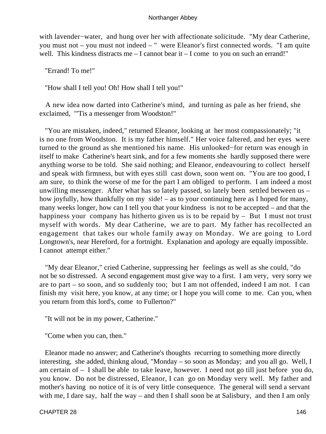with lavender−water, and hung over her with affectionate solicitude. "My dear Catherine, you must not – you must not indeed – " were Eleanor's first connected words. "I am quite well. This kindness distracts me – I cannot bear it – I come to you on such an errand!"

"Errand! To me!"

"How shall I tell you! Oh! How shall I tell you!"

 A new idea now darted into Catherine's mind, and turning as pale as her friend, she exclaimed, "'Tis a messenger from Woodston!"

 "You are mistaken, indeed," returned Eleanor, looking at her most compassionately; "it is no one from Woodston. It is my father himself." Her voice faltered, and her eyes were turned to the ground as she mentioned his name. His unlooked−for return was enough in itself to make Catherine's heart sink, and for a few moments she hardly supposed there were anything worse to be told. She said nothing; and Eleanor, endeavouring to collect herself and speak with firmness, but with eyes still cast down, soon went on. "You are too good, I am sure, to think the worse of me for the part I am obliged to perform. I am indeed a most unwilling messenger. After what has so lately passed, so lately been settled between us – how joyfully, how thankfully on my side! – as to your continuing here as I hoped for many, many weeks longer, how can I tell you that your kindness is not to be accepted – and that the happiness your company has hitherto given us is to be repaid by – But I must not trust myself with words. My dear Catherine, we are to part. My father has recollected an engagement that takes our whole family away on Monday. We are going to Lord Longtown's, near Hereford, for a fortnight. Explanation and apology are equally impossible. I cannot attempt either."

 "My dear Eleanor," cried Catherine, suppressing her feelings as well as she could, "do not be so distressed. A second engagement must give way to a first. I am very, very sorry we are to part – so soon, and so suddenly too; but I am not offended, indeed I am not. I can finish my visit here, you know, at any time; or I hope you will come to me. Can you, when you return from this lord's, come to Fullerton?"

"It will not be in my power, Catherine."

"Come when you can, then."

 Eleanor made no answer; and Catherine's thoughts recurring to something more directly interesting, she added, thinkng aloud, "Monday – so soon as Monday; and you all go. Well, I am certain of – I shall be able to take leave, however. I need not go till just before you do, you know. Do not be distressed, Eleanor, I can go on Monday very well. My father and mother's having no notice of it is of very little consequence. The general will send a servant with me, I dare say, half the way – and then I shall soon be at Salisbury, and then I am only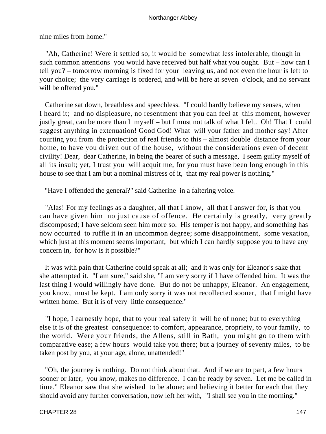nine miles from home."

 "Ah, Catherine! Were it settled so, it would be somewhat less intolerable, though in such common attentions you would have received but half what you ought. But – how can I tell you? – tomorrow morning is fixed for your leaving us, and not even the hour is left to your choice; the very carriage is ordered, and will be here at seven o'clock, and no servant will be offered you."

 Catherine sat down, breathless and speechless. "I could hardly believe my senses, when I heard it; and no displeasure, no resentment that you can feel at this moment, however justly great, can be more than I myself – but I must not talk of what I felt. Oh! That I could suggest anything in extenuation! Good God! What will your father and mother say! After courting you from the protection of real friends to this – almost double distance from your home, to have you driven out of the house, without the considerations even of decent civility! Dear, dear Catherine, in being the bearer of such a message, I seem guilty myself of all its insult; yet, I trust you will acquit me, for you must have been long enough in this house to see that I am but a nominal mistress of it, that my real power is nothing."

"Have I offended the general?" said Catherine in a faltering voice.

 "Alas! For my feelings as a daughter, all that I know, all that I answer for, is that you can have given him no just cause of offence. He certainly is greatly, very greatly discomposed; I have seldom seen him more so. His temper is not happy, and something has now occurred to ruffle it in an uncommon degree; some disappointment, some vexation, which just at this moment seems important, but which I can hardly suppose you to have any concern in, for how is it possible?"

 It was with pain that Catherine could speak at all; and it was only for Eleanor's sake that she attempted it. "I am sure," said she, "I am very sorry if I have offended him. It was the last thing I would willingly have done. But do not be unhappy, Eleanor. An engagement, you know, must be kept. I am only sorry it was not recollected sooner, that I might have written home. But it is of very little consequence."

 "I hope, I earnestly hope, that to your real safety it will be of none; but to everything else it is of the greatest consequence: to comfort, appearance, propriety, to your family, to the world. Were your friends, the Allens, still in Bath, you might go to them with comparative ease; a few hours would take you there; but a journey of seventy miles, to be taken post by you, at your age, alone, unattended!"

 "Oh, the journey is nothing. Do not think about that. And if we are to part, a few hours sooner or later, you know, makes no difference. I can be ready by seven. Let me be called in time." Eleanor saw that she wished to be alone; and believing it better for each that they should avoid any further conversation, now left her with, "I shall see you in the morning."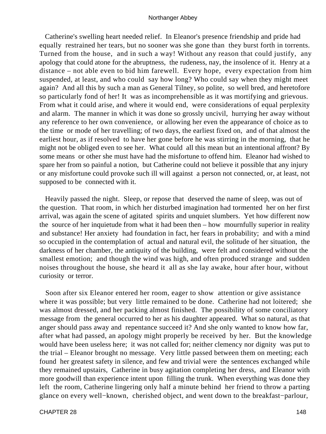Catherine's swelling heart needed relief. In Eleanor's presence friendship and pride had equally restrained her tears, but no sooner was she gone than they burst forth in torrents. Turned from the house, and in such a way! Without any reason that could justify, any apology that could atone for the abruptness, the rudeness, nay, the insolence of it. Henry at a distance – not able even to bid him farewell. Every hope, every expectation from him suspended, at least, and who could say how long? Who could say when they might meet again? And all this by such a man as General Tilney, so polite, so well bred, and heretofore so particularly fond of her! It was as incomprehensible as it was mortifying and grievous. From what it could arise, and where it would end, were considerations of equal perplexity and alarm. The manner in which it was done so grossly uncivil, hurrying her away without any reference to her own convenience, or allowing her even the appearance of choice as to the time or mode of her travelling; of two days, the earliest fixed on, and of that almost the earliest hour, as if resolved to have her gone before he was stirring in the morning, that he might not be obliged even to see her. What could all this mean but an intentional affront? By some means or other she must have had the misfortune to offend him. Eleanor had wished to spare her from so painful a notion, but Catherine could not believe it possible that any injury or any misfortune could provoke such ill will against a person not connected, or, at least, not supposed to be connected with it.

 Heavily passed the night. Sleep, or repose that deserved the name of sleep, was out of the question. That room, in which her disturbed imagination had tormented her on her first arrival, was again the scene of agitated spirits and unquiet slumbers. Yet how different now the source of her inquietude from what it had been then – how mournfully superior in reality and substance! Her anxiety had foundation in fact, her fears in probability; and with a mind so occupied in the contemplation of actual and natural evil, the solitude of her situation, the darkness of her chamber, the antiquity of the building, were felt and considered without the smallest emotion; and though the wind was high, and often produced strange and sudden noises throughout the house, she heard it all as she lay awake, hour after hour, without curiosity or terror.

 Soon after six Eleanor entered her room, eager to show attention or give assistance where it was possible; but very little remained to be done. Catherine had not loitered; she was almost dressed, and her packing almost finished. The possibility of some conciliatory message from the general occurred to her as his daughter appeared. What so natural, as that anger should pass away and repentance succeed it? And she only wanted to know how far, after what had passed, an apology might properly be received by her. But the knowledge would have been useless here; it was not called for; neither clemency nor dignity was put to the trial – Eleanor brought no message. Very little passed between them on meeting; each found her greatest safety in silence, and few and trivial were the sentences exchanged while they remained upstairs, Catherine in busy agitation completing her dress, and Eleanor with more goodwill than experience intent upon filling the trunk. When everything was done they left the room, Catherine lingering only half a minute behind her friend to throw a parting glance on every well−known, cherished object, and went down to the breakfast−parlour,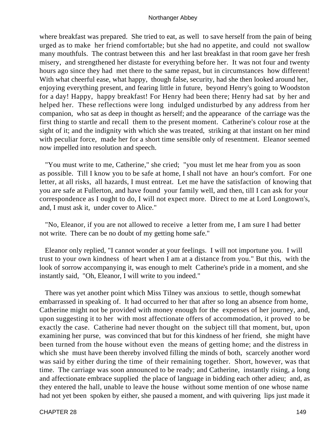where breakfast was prepared. She tried to eat, as well to save herself from the pain of being urged as to make her friend comfortable; but she had no appetite, and could not swallow many mouthfuls. The contrast between this and her last breakfast in that room gave her fresh misery, and strengthened her distaste for everything before her. It was not four and twenty hours ago since they had met there to the same repast, but in circumstances how different! With what cheerful ease, what happy, though false, security, had she then looked around her, enjoying everything present, and fearing little in future, beyond Henry's going to Woodston for a day! Happy, happy breakfast! For Henry had been there; Henry had sat by her and helped her. These reflections were long indulged undisturbed by any address from her companion, who sat as deep in thought as herself; and the appearance of the carriage was the first thing to startle and recall them to the present moment. Catherine's colour rose at the sight of it; and the indignity with which she was treated, striking at that instant on her mind with peculiar force, made her for a short time sensible only of resentment. Eleanor seemed now impelled into resolution and speech.

 "You must write to me, Catherine," she cried; "you must let me hear from you as soon as possible. Till I know you to be safe at home, I shall not have an hour's comfort. For one letter, at all risks, all hazards, I must entreat. Let me have the satisfaction of knowing that you are safe at Fullerton, and have found your family well, and then, till I can ask for your correspondence as I ought to do, I will not expect more. Direct to me at Lord Longtown's, and, I must ask it, under cover to Alice."

 "No, Eleanor, if you are not allowed to receive a letter from me, I am sure I had better not write. There can be no doubt of my getting home safe."

 Eleanor only replied, "I cannot wonder at your feelings. I will not importune you. I will trust to your own kindness of heart when I am at a distance from you." But this, with the look of sorrow accompanying it, was enough to melt Catherine's pride in a moment, and she instantly said, "Oh, Eleanor, I will write to you indeed."

 There was yet another point which Miss Tilney was anxious to settle, though somewhat embarrassed in speaking of. It had occurred to her that after so long an absence from home, Catherine might not be provided with money enough for the expenses of her journey, and, upon suggesting it to her with most affectionate offers of accommodation, it proved to be exactly the case. Catherine had never thought on the subject till that moment, but, upon examining her purse, was convinced that but for this kindness of her friend, she might have been turned from the house without even the means of getting home; and the distress in which she must have been thereby involved filling the minds of both, scarcely another word was said by either during the time of their remaining together. Short, however, was that time. The carriage was soon announced to be ready; and Catherine, instantly rising, a long and affectionate embrace supplied the place of language in bidding each other adieu; and, as they entered the hall, unable to leave the house without some mention of one whose name had not yet been spoken by either, she paused a moment, and with quivering lips just made it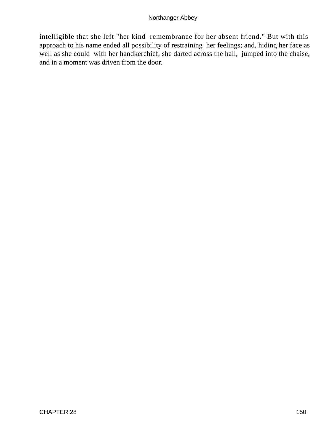intelligible that she left "her kind remembrance for her absent friend." But with this approach to his name ended all possibility of restraining her feelings; and, hiding her face as well as she could with her handkerchief, she darted across the hall, jumped into the chaise, and in a moment was driven from the door.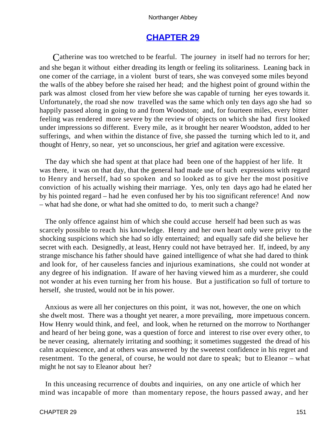# **[CHAPTER 29](#page-165-0)**

<span id="page-151-0"></span>Catherine was too wretched to be fearful. The journey in itself had no terrors for her; and she began it without either dreading its length or feeling its solitariness. Leaning back in one comer of the carriage, in a violent burst of tears, she was conveyed some miles beyond the walls of the abbey before she raised her head; and the highest point of ground within the park was almost closed from her view before she was capable of turning her eyes towards it. Unfortunately, the road she now travelled was the same which only ten days ago she had so happily passed along in going to and from Woodston; and, for fourteen miles, every bitter feeling was rendered more severe by the review of objects on which she had first looked under impressions so different. Every mile, as it brought her nearer Woodston, added to her sufferings, and when within the distance of five, she passed the turning which led to it, and thought of Henry, so near, yet so unconscious, her grief and agitation were excessive.

 The day which she had spent at that place had been one of the happiest of her life. It was there, it was on that day, that the general had made use of such expressions with regard to Henry and herself, had so spoken and so looked as to give her the most positive conviction of his actually wishing their marriage. Yes, only ten days ago had he elated her by his pointed regard – had he even confused her by his too significant reference! And now – what had she done, or what had she omitted to do, to merit such a change?

 The only offence against him of which she could accuse herself had been such as was scarcely possible to reach his knowledge. Henry and her own heart only were privy to the shocking suspicions which she had so idly entertained; and equally safe did she believe her secret with each. Designedly, at least, Henry could not have betrayed her. If, indeed, by any strange mischance his father should have gained intelligence of what she had dared to think and look for, of her causeless fancies and injurious examinations, she could not wonder at any degree of his indignation. If aware of her having viewed him as a murderer, she could not wonder at his even turning her from his house. But a justification so full of torture to herself, she trusted, would not be in his power.

 Anxious as were all her conjectures on this point, it was not, however, the one on which she dwelt most. There was a thought yet nearer, a more prevailing, more impetuous concern. How Henry would think, and feel, and look, when he returned on the morrow to Northanger and heard of her being gone, was a question of force and interest to rise over every other, to be never ceasing, alternately irritating and soothing; it sometimes suggested the dread of his calm acquiescence, and at others was answered by the sweetest confidence in his regret and resentment. To the general, of course, he would not dare to speak; but to Eleanor – what might he not say to Eleanor about her?

 In this unceasing recurrence of doubts and inquiries, on any one article of which her mind was incapable of more than momentary repose, the hours passed away, and her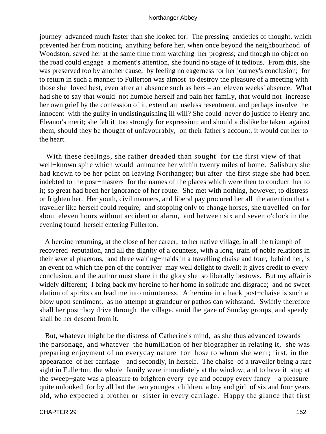journey advanced much faster than she looked for. The pressing anxieties of thought, which prevented her from noticing anything before her, when once beyond the neighbourhood of Woodston, saved her at the same time from watching her progress; and though no object on the road could engage a moment's attention, she found no stage of it tedious. From this, she was preserved too by another cause, by feeling no eagerness for her journey's conclusion; for to return in such a manner to Fullerton was almost to destroy the pleasure of a meeting with those she loved best, even after an absence such as hers – an eleven weeks' absence. What had she to say that would not humble herself and pain her family, that would not increase her own grief by the confession of it, extend an useless resentment, and perhaps involve the innocent with the guilty in undistinguishing ill will? She could never do justice to Henry and Eleanor's merit; she felt it too strongly for expression; and should a dislike be taken against them, should they be thought of unfavourably, on their father's account, it would cut her to the heart.

 With these feelings, she rather dreaded than sought for the first view of that well−known spire which would announce her within twenty miles of home. Salisbury she had known to be her point on leaving Northanger; but after the first stage she had been indebted to the post−masters for the names of the places which were then to conduct her to it; so great had been her ignorance of her route. She met with nothing, however, to distress or frighten her. Her youth, civil manners, and liberal pay procured her all the attention that a traveller like herself could require; and stopping only to change horses, she travelled on for about eleven hours without accident or alarm, and between six and seven o'clock in the evening found herself entering Fullerton.

 A heroine returning, at the close of her career, to her native village, in all the triumph of recovered reputation, and all the dignity of a countess, with a long train of noble relations in their several phaetons, and three waiting−maids in a travelling chaise and four, behind her, is an event on which the pen of the contriver may well delight to dwell; it gives credit to every conclusion, and the author must share in the glory she so liberally bestows. But my affair is widely different; I bring back my heroine to her home in solitude and disgrace; and no sweet elation of spirits can lead me into minuteness. A heroine in a hack post−chaise is such a blow upon sentiment, as no attempt at grandeur or pathos can withstand. Swiftly therefore shall her post−boy drive through the village, amid the gaze of Sunday groups, and speedy shall be her descent from it.

 But, whatever might be the distress of Catherine's mind, as she thus advanced towards the parsonage, and whatever the humiliation of her biographer in relating it, she was preparing enjoyment of no everyday nature for those to whom she went; first, in the appearance of her carriage – and secondly, in herself. The chaise of a traveller being a rare sight in Fullerton, the whole family were immediately at the window; and to have it stop at the sweep−gate was a pleasure to brighten every eye and occupy every fancy – a pleasure quite unlooked for by all but the two youngest children, a boy and girl of six and four years old, who expected a brother or sister in every carriage. Happy the glance that first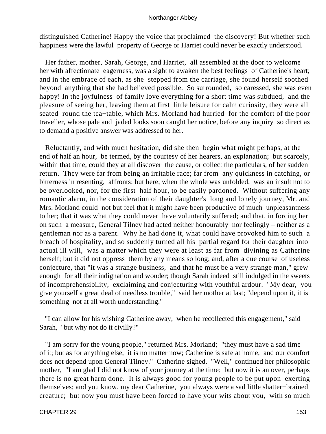distinguished Catherine! Happy the voice that proclaimed the discovery! But whether such happiness were the lawful property of George or Harriet could never be exactly understood.

 Her father, mother, Sarah, George, and Harriet, all assembled at the door to welcome her with affectionate eagerness, was a sight to awaken the best feelings of Catherine's heart; and in the embrace of each, as she stepped from the carriage, she found herself soothed beyond anything that she had believed possible. So surrounded, so caressed, she was even happy! In the joyfulness of family love everything for a short time was subdued, and the pleasure of seeing her, leaving them at first little leisure for calm curiosity, they were all seated round the tea−table, which Mrs. Morland had hurried for the comfort of the poor traveller, whose pale and jaded looks soon caught her notice, before any inquiry so direct as to demand a positive answer was addressed to her.

 Reluctantly, and with much hesitation, did she then begin what might perhaps, at the end of half an hour, be termed, by the courtesy of her hearers, an explanation; but scarcely, within that time, could they at all discover the cause, or collect the particulars, of her sudden return. They were far from being an irritable race; far from any quickness in catching, or bitterness in resenting, affronts: but here, when the whole was unfolded, was an insult not to be overlooked, nor, for the first half hour, to be easily pardoned. Without suffering any romantic alarm, in the consideration of their daughter's long and lonely journey, Mr. and Mrs. Morland could not but feel that it might have been productive of much unpleasantness to her; that it was what they could never have voluntarily suffered; and that, in forcing her on such a measure, General Tilney had acted neither honourably nor feelingly – neither as a gentleman nor as a parent. Why he had done it, what could have provoked him to such a breach of hospitality, and so suddenly turned all his partial regard for their daughter into actual ill will, was a matter which they were at least as far from divining as Catherine herself; but it did not oppress them by any means so long; and, after a due course of useless conjecture, that "it was a strange business, and that he must be a very strange man," grew enough for all their indignation and wonder; though Sarah indeed still indulged in the sweets of incomprehensibility, exclaiming and conjecturing with youthful ardour. "My dear, you give yourself a great deal of needless trouble," said her mother at last; "depend upon it, it is something not at all worth understanding."

 "I can allow for his wishing Catherine away, when he recollected this engagement," said Sarah, "but why not do it civilly?"

 "I am sorry for the young people," returned Mrs. Morland; "they must have a sad time of it; but as for anything else, it is no matter now; Catherine is safe at home, and our comfort does not depend upon General Tilney." Catherine sighed. "Well," continued her philosophic mother, "I am glad I did not know of your journey at the time; but now it is an over, perhaps there is no great harm done. It is always good for young people to be put upon exerting themselves; and you know, my dear Catherine, you always were a sad little shatter−brained creature; but now you must have been forced to have your wits about you, with so much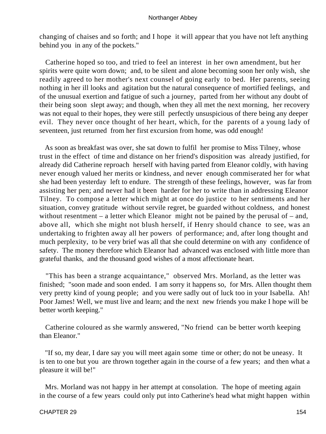changing of chaises and so forth; and I hope it will appear that you have not left anything behind you in any of the pockets."

 Catherine hoped so too, and tried to feel an interest in her own amendment, but her spirits were quite worn down; and, to be silent and alone becoming soon her only wish, she readily agreed to her mother's next counsel of going early to bed. Her parents, seeing nothing in her ill looks and agitation but the natural consequence of mortified feelings, and of the unusual exertion and fatigue of such a journey, parted from her without any doubt of their being soon slept away; and though, when they all met the next morning, her recovery was not equal to their hopes, they were still perfectly unsuspicious of there being any deeper evil. They never once thought of her heart, which, for the parents of a young lady of seventeen, just returned from her first excursion from home, was odd enough!

 As soon as breakfast was over, she sat down to fulfil her promise to Miss Tilney, whose trust in the effect of time and distance on her friend's disposition was already justified, for already did Catherine reproach herself with having parted from Eleanor coldly, with having never enough valued her merits or kindness, and never enough commiserated her for what she had been yesterday left to endure. The strength of these feelings, however, was far from assisting her pen; and never had it been harder for her to write than in addressing Eleanor Tilney. To compose a letter which might at once do justice to her sentiments and her situation, convey gratitude without servile regret, be guarded without coldness, and honest without resentment – a letter which Eleanor might not be pained by the perusal of – and, above all, which she might not blush herself, if Henry should chance to see, was an undertaking to frighten away all her powers of performance; and, after long thought and much perplexity, to be very brief was all that she could determine on with any confidence of safety. The money therefore which Eleanor had advanced was enclosed with little more than grateful thanks, and the thousand good wishes of a most affectionate heart.

 "This has been a strange acquaintance," observed Mrs. Morland, as the letter was finished; "soon made and soon ended. I am sorry it happens so, for Mrs. Allen thought them very pretty kind of young people; and you were sadly out of luck too in your Isabella. Ah! Poor James! Well, we must live and learn; and the next new friends you make I hope will be better worth keeping."

 Catherine coloured as she warmly answered, "No friend can be better worth keeping than Eleanor."

 "If so, my dear, I dare say you will meet again some time or other; do not be uneasy. It is ten to one but you are thrown together again in the course of a few years; and then what a pleasure it will be!"

 Mrs. Morland was not happy in her attempt at consolation. The hope of meeting again in the course of a few years could only put into Catherine's head what might happen within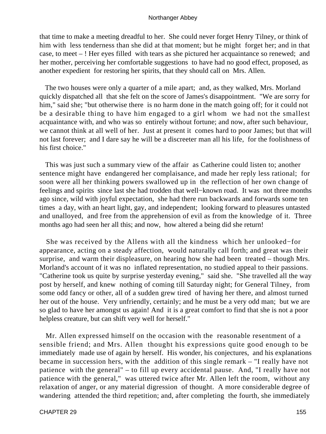that time to make a meeting dreadful to her. She could never forget Henry Tilney, or think of him with less tenderness than she did at that moment; but he might forget her; and in that case, to meet – ! Her eyes filled with tears as she pictured her acquaintance so renewed; and her mother, perceiving her comfortable suggestions to have had no good effect, proposed, as another expedient for restoring her spirits, that they should call on Mrs. Allen.

 The two houses were only a quarter of a mile apart; and, as they walked, Mrs. Morland quickly dispatched all that she felt on the score of James's disappointment. "We are sorry for him," said she; "but otherwise there is no harm done in the match going off; for it could not be a desirable thing to have him engaged to a girl whom we had not the smallest acquaintance with, and who was so entirely without fortune; and now, after such behaviour, we cannot think at all well of her. Just at present it comes hard to poor James; but that will not last forever; and I dare say he will be a discreeter man all his life, for the foolishness of his first choice."

 This was just such a summary view of the affair as Catherine could listen to; another sentence might have endangered her complaisance, and made her reply less rational; for soon were all her thinking powers swallowed up in the reflection of her own change of feelings and spirits since last she had trodden that well−known road. It was not three months ago since, wild with joyful expectation, she had there run backwards and forwards some ten times a day, with an heart light, gay, and independent; looking forward to pleasures untasted and unalloyed, and free from the apprehension of evil as from the knowledge of it. Three months ago had seen her all this; and now, how altered a being did she return!

 She was received by the Allens with all the kindness which her unlooked−for appearance, acting on a steady affection, would naturally call forth; and great was their surprise, and warm their displeasure, on hearing how she had been treated – though Mrs. Morland's account of it was no inflated representation, no studied appeal to their passions. "Catherine took us quite by surprise yesterday evening," said she. "She travelled all the way post by herself, and knew nothing of coming till Saturday night; for General Tilney, from some odd fancy or other, all of a sudden grew tired of having her there, and almost turned her out of the house. Very unfriendly, certainly; and he must be a very odd man; but we are so glad to have her amongst us again! And it is a great comfort to find that she is not a poor helpless creature, but can shift very well for herself."

 Mr. Allen expressed himself on the occasion with the reasonable resentment of a sensible friend; and Mrs. Allen thought his expressions quite good enough to be immediately made use of again by herself. His wonder, his conjectures, and his explanations became in succession hers, with the addition of this single remark – "I really have not patience with the general" – to fill up every accidental pause. And, "I really have not patience with the general," was uttered twice after Mr. Allen left the room, without any relaxation of anger, or any material digression of thought. A more considerable degree of wandering attended the third repetition; and, after completing the fourth, she immediately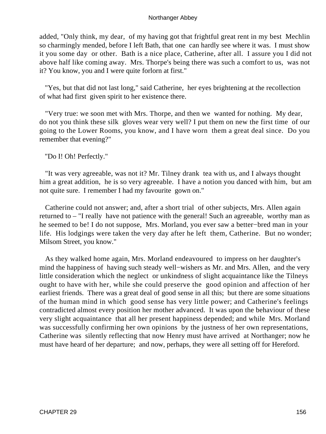added, "Only think, my dear, of my having got that frightful great rent in my best Mechlin so charmingly mended, before I left Bath, that one can hardly see where it was. I must show it you some day or other. Bath is a nice place, Catherine, after all. I assure you I did not above half like coming away. Mrs. Thorpe's being there was such a comfort to us, was not it? You know, you and I were quite forlorn at first."

 "Yes, but that did not last long," said Catherine, her eyes brightening at the recollection of what had first given spirit to her existence there.

 "Very true: we soon met with Mrs. Thorpe, and then we wanted for nothing. My dear, do not you think these silk gloves wear very well? I put them on new the first time of our going to the Lower Rooms, you know, and I have worn them a great deal since. Do you remember that evening?"

"Do I! Oh! Perfectly."

 "It was very agreeable, was not it? Mr. Tilney drank tea with us, and I always thought him a great addition, he is so very agreeable. I have a notion you danced with him, but am not quite sure. I remember I had my favourite gown on."

 Catherine could not answer; and, after a short trial of other subjects, Mrs. Allen again returned to – "I really have not patience with the general! Such an agreeable, worthy man as he seemed to be! I do not suppose, Mrs. Morland, you ever saw a better−bred man in your life. His lodgings were taken the very day after he left them, Catherine. But no wonder; Milsom Street, you know."

 As they walked home again, Mrs. Morland endeavoured to impress on her daughter's mind the happiness of having such steady well−wishers as Mr. and Mrs. Allen, and the very little consideration which the neglect or unkindness of slight acquaintance like the Tilneys ought to have with her, while she could preserve the good opinion and affection of her earliest friends. There was a great deal of good sense in all this; but there are some situations of the human mind in which good sense has very little power; and Catherine's feelings contradicted almost every position her mother advanced. It was upon the behaviour of these very slight acquaintance that all her present happiness depended; and while Mrs. Morland was successfully confirming her own opinions by the justness of her own representations, Catherine was silently reflecting that now Henry must have arrived at Northanger; now he must have heard of her departure; and now, perhaps, they were all setting off for Hereford.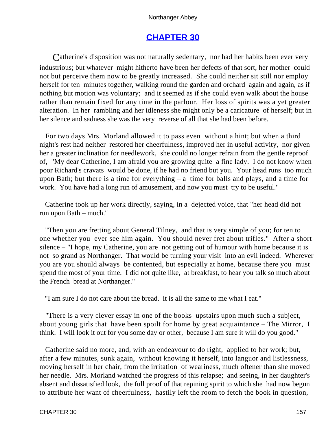# **[CHAPTER 30](#page-165-0)**

<span id="page-157-0"></span>Catherine's disposition was not naturally sedentary, nor had her habits been ever very industrious; but whatever might hitherto have been her defects of that sort, her mother could not but perceive them now to be greatly increased. She could neither sit still nor employ herself for ten minutes together, walking round the garden and orchard again and again, as if nothing but motion was voluntary; and it seemed as if she could even walk about the house rather than remain fixed for any time in the parlour. Her loss of spirits was a yet greater alteration. In her rambling and her idleness she might only be a caricature of herself; but in her silence and sadness she was the very reverse of all that she had been before.

 For two days Mrs. Morland allowed it to pass even without a hint; but when a third night's rest had neither restored her cheerfulness, improved her in useful activity, nor given her a greater inclination for needlework, she could no longer refrain from the gentle reproof of, "My dear Catherine, I am afraid you are growing quite a fine lady. I do not know when poor Richard's cravats would be done, if he had no friend but you. Your head runs too much upon Bath; but there is a time for everything – a time for balls and plays, and a time for work. You have had a long run of amusement, and now you must try to be useful."

 Catherine took up her work directly, saying, in a dejected voice, that "her head did not run upon Bath – much."

 "Then you are fretting about General Tilney, and that is very simple of you; for ten to one whether you ever see him again. You should never fret about trifles." After a short silence – "I hope, my Catherine, you are not getting out of humour with home because it is not so grand as Northanger. That would be turning your visit into an evil indeed. Wherever you are you should always be contented, but especially at home, because there you must spend the most of your time. I did not quite like, at breakfast, to hear you talk so much about the French bread at Northanger."

"I am sure I do not care about the bread. it is all the same to me what I eat."

 "There is a very clever essay in one of the books upstairs upon much such a subject, about young girls that have been spoilt for home by great acquaintance – The Mirror, I think. I will look it out for you some day or other, because I am sure it will do you good."

 Catherine said no more, and, with an endeavour to do right, applied to her work; but, after a few minutes, sunk again, without knowing it herself, into languor and listlessness, moving herself in her chair, from the irritation of weariness, much oftener than she moved her needle. Mrs. Morland watched the progress of this relapse; and seeing, in her daughter's absent and dissatisfied look, the full proof of that repining spirit to which she had now begun to attribute her want of cheerfulness, hastily left the room to fetch the book in question,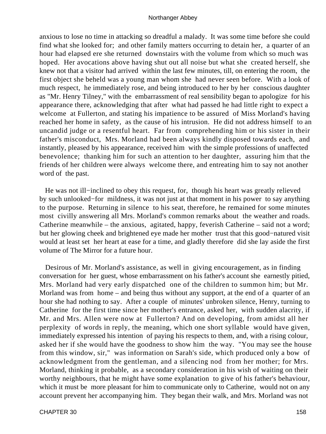anxious to lose no time in attacking so dreadful a malady. It was some time before she could find what she looked for; and other family matters occurring to detain her, a quarter of an hour had elapsed ere she returned downstairs with the volume from which so much was hoped. Her avocations above having shut out all noise but what she created herself, she knew not that a visitor had arrived within the last few minutes, till, on entering the room, the first object she beheld was a young man whom she had never seen before. With a look of much respect, he immediately rose, and being introduced to her by her conscious daughter as "Mr. Henry Tilney," with the embarrassment of real sensibility began to apologize for his appearance there, acknowledging that after what had passed he had little right to expect a welcome at Fullerton, and stating his impatience to be assured of Miss Morland's having reached her home in safety, as the cause of his intrusion. He did not address himself to an uncandid judge or a resentful heart. Far from comprehending him or his sister in their father's misconduct, Mrs. Morland had been always kindly disposed towards each, and instantly, pleased by his appearance, received him with the simple professions of unaffected benevolence; thanking him for such an attention to her daughter, assuring him that the friends of her children were always welcome there, and entreating him to say not another word of the past.

 He was not ill−inclined to obey this request, for, though his heart was greatly relieved by such unlooked−for mildness, it was not just at that moment in his power to say anything to the purpose. Returning in silence to his seat, therefore, he remained for some minutes most civilly answering all Mrs. Morland's common remarks about the weather and roads. Catherine meanwhile – the anxious, agitated, happy, feverish Catherine – said not a word; but her glowing cheek and brightened eye made her mother trust that this good−natured visit would at least set her heart at ease for a time, and gladly therefore did she lay aside the first volume of The Mirror for a future hour.

 Desirous of Mr. Morland's assistance, as well in giving encouragement, as in finding conversation for her guest, whose embarrassment on his father's account she earnestly pitied, Mrs. Morland had very early dispatched one of the children to summon him; but Mr. Morland was from home – and being thus without any support, at the end of a quarter of an hour she had nothing to say. After a couple of minutes' unbroken silence, Henry, turning to Catherine for the first time since her mother's entrance, asked her, with sudden alacrity, if Mr. and Mrs. Allen were now at Fullerton? And on developing, from amidst all her perplexity of words in reply, the meaning, which one short syllable would have given, immediately expressed his intention of paying his respects to them, and, with a rising colour, asked her if she would have the goodness to show him the way. "You may see the house from this window, sir," was information on Sarah's side, which produced only a bow of acknowledgment from the gentleman, and a silencing nod from her mother; for Mrs. Morland, thinking it probable, as a secondary consideration in his wish of waiting on their worthy neighbours, that he might have some explanation to give of his father's behaviour, which it must be more pleasant for him to communicate only to Catherine, would not on any account prevent her accompanying him. They began their walk, and Mrs. Morland was not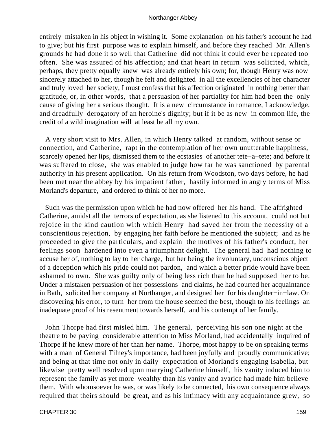entirely mistaken in his object in wishing it. Some explanation on his father's account he had to give; but his first purpose was to explain himself, and before they reached Mr. Allen's grounds he had done it so well that Catherine did not think it could ever be repeated too often. She was assured of his affection; and that heart in return was solicited, which, perhaps, they pretty equally knew was already entirely his own; for, though Henry was now sincerely attached to her, though he felt and delighted in all the excellencies of her character and truly loved her society, I must confess that his affection originated in nothing better than gratitude, or, in other words, that a persuasion of her partiality for him had been the only cause of giving her a serious thought. It is a new circumstance in romance, I acknowledge, and dreadfully derogatory of an heroine's dignity; but if it be as new in common life, the credit of a wild imagination will at least be all my own.

 A very short visit to Mrs. Allen, in which Henry talked at random, without sense or connection, and Catherine, rapt in the contemplation of her own unutterable happiness, scarcely opened her lips, dismissed them to the ecstasies of another tete−a−tete; and before it was suffered to close, she was enabled to judge how far he was sanctioned by parental authority in his present application. On his return from Woodston, two days before, he had been met near the abbey by his impatient father, hastily informed in angry terms of Miss Morland's departure, and ordered to think of her no more.

 Such was the permission upon which he had now offered her his hand. The affrighted Catherine, amidst all the terrors of expectation, as she listened to this account, could not but rejoice in the kind caution with which Henry had saved her from the necessity of a conscientious rejection, by engaging her faith before he mentioned the subject; and as he proceeded to give the particulars, and explain the motives of his father's conduct, her feelings soon hardened into even a triumphant delight. The general had had nothing to accuse her of, nothing to lay to her charge, but her being the involuntary, unconscious object of a deception which his pride could not pardon, and which a better pride would have been ashamed to own. She was guilty only of being less rich than he had supposed her to be. Under a mistaken persuasion of her possessions and claims, he had courted her acquaintance in Bath, solicited her company at Northanger, and designed her for his daughter−in−law. On discovering his error, to turn her from the house seemed the best, though to his feelings an inadequate proof of his resentment towards herself, and his contempt of her family.

 John Thorpe had first misled him. The general, perceiving his son one night at the theatre to be paying considerable attention to Miss Morland, had accidentally inquired of Thorpe if he knew more of her than her name. Thorpe, most happy to be on speaking terms with a man of General Tilney's importance, had been joyfully and proudly communicative; and being at that time not only in daily expectation of Morland's engaging Isabella, but likewise pretty well resolved upon marrying Catherine himself, his vanity induced him to represent the family as yet more wealthy than his vanity and avarice had made him believe them. With whomsoever he was, or was likely to be connected, his own consequence always required that theirs should be great, and as his intimacy with any acquaintance grew, so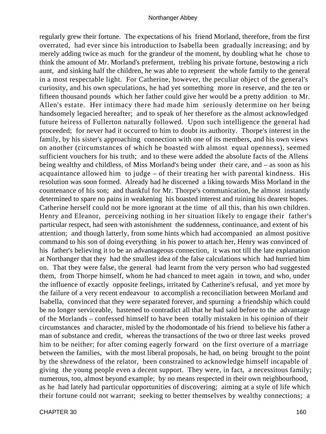regularly grew their fortune. The expectations of his friend Morland, therefore, from the first overrated, had ever since his introduction to Isabella been gradually increasing; and by merely adding twice as much for the grandeur of the moment, by doubling what he chose to think the amount of Mr. Morland's preferment, trebling his private fortune, bestowing a rich aunt, and sinking half the children, he was able to represent the whole family to the general in a most respectable light. For Catherine, however, the peculiar object of the general's curiosity, and his own speculations, he had yet something more in reserve, and the ten or fifteen thousand pounds which her father could give her would be a pretty addition to Mr. Allen's estate. Her intimacy there had made him seriously determine on her being handsomely legacied hereafter; and to speak of her therefore as the almost acknowledged future heiress of Fullerton naturally followed. Upon such intelligence the general had proceeded; for never had it occurred to him to doubt its authority. Thorpe's interest in the family, by his sister's approaching connection with one of its members, and his own views on another (circumstances of which he boasted with almost equal openness), seemed sufficient vouchers for his truth; and to these were added the absolute facts of the Allens being wealthy and childless, of Miss Morland's being under their care, and – as soon as his acquaintance allowed him to judge – of their treating her with parental kindness. His resolution was soon formed. Already had he discerned a liking towards Miss Morland in the countenance of his son; and thankful for Mr. Thorpe's communication, he almost instantly determined to spare no pains in weakening his boasted interest and ruining his dearest hopes. Catherine herself could not be more ignorant at the time of all this, than his own children. Henry and Eleanor, perceiving nothing in her situation likely to engage their father's particular respect, had seen with astonishment the suddenness, continuance, and extent of his attention; and though latterly, from some hints which had accompanied an almost positive command to his son of doing everything in his power to attach her, Henry was convinced of his father's believing it to be an advantageous connection, it was not till the late explanation at Northanger that they had the smallest idea of the false calculations which had hurried him on. That they were false, the general had learnt from the very person who had suggested them, from Thorpe himself, whom he had chanced to meet again in town, and who, under the influence of exactly opposite feelings, irritated by Catherine's refusal, and yet more by the failure of a very recent endeavour to accomplish a reconciliation between Morland and Isabella, convinced that they were separated forever, and spurning a friendship which could be no longer serviceable, hastened to contradict all that he had said before to the advantage of the Morlands – confessed himself to have been totally mistaken in his opinion of their circumstances and character, misled by the rhodomontade of his friend to believe his father a man of substance and credit, whereas the transactions of the two or three last weeks proved him to be neither; for after coming eagerly forward on the first overture of a marriage between the families, with the most liberal proposals, he had, on being brought to the point by the shrewdness of the relator, been constrained to acknowledge himself incapable of giving the young people even a decent support. They were, in fact, a necessitous family; numerous, too, almost beyond example; by no means respected in their own neighbourhood, as he had lately had particular opportunities of discovering; aiming at a style of life which their fortune could not warrant; seeking to better themselves by wealthy connections; a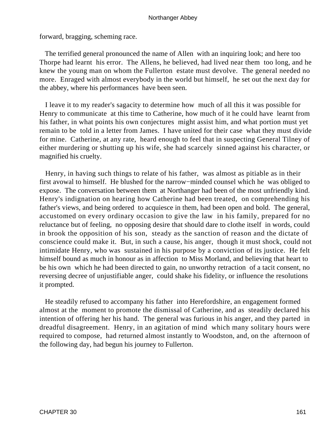forward, bragging, scheming race.

 The terrified general pronounced the name of Allen with an inquiring look; and here too Thorpe had learnt his error. The Allens, he believed, had lived near them too long, and he knew the young man on whom the Fullerton estate must devolve. The general needed no more. Enraged with almost everybody in the world but himself, he set out the next day for the abbey, where his performances have been seen.

 I leave it to my reader's sagacity to determine how much of all this it was possible for Henry to communicate at this time to Catherine, how much of it he could have learnt from his father, in what points his own conjectures might assist him, and what portion must yet remain to be told in a letter from James. I have united for their case what they must divide for mine. Catherine, at any rate, heard enough to feel that in suspecting General Tilney of either murdering or shutting up his wife, she had scarcely sinned against his character, or magnified his cruelty.

 Henry, in having such things to relate of his father, was almost as pitiable as in their first avowal to himself. He blushed for the narrow−minded counsel which he was obliged to expose. The conversation between them at Northanger had been of the most unfriendly kind. Henry's indignation on hearing how Catherine had been treated, on comprehending his father's views, and being ordered to acquiesce in them, had been open and bold. The general, accustomed on every ordinary occasion to give the law in his family, prepared for no reluctance but of feeling, no opposing desire that should dare to clothe itself in words, could in brook the opposition of his son, steady as the sanction of reason and the dictate of conscience could make it. But, in such a cause, his anger, though it must shock, could not intimidate Henry, who was sustained in his purpose by a conviction of its justice. He felt himself bound as much in honour as in affection to Miss Morland, and believing that heart to be his own which he had been directed to gain, no unworthy retraction of a tacit consent, no reversing decree of unjustifiable anger, could shake his fidelity, or influence the resolutions it prompted.

 He steadily refused to accompany his father into Herefordshire, an engagement formed almost at the moment to promote the dismissal of Catherine, and as steadily declared his intention of offering her his hand. The general was furious in his anger, and they parted in dreadful disagreement. Henry, in an agitation of mind which many solitary hours were required to compose, had returned almost instantly to Woodston, and, on the afternoon of the following day, had begun his journey to Fullerton.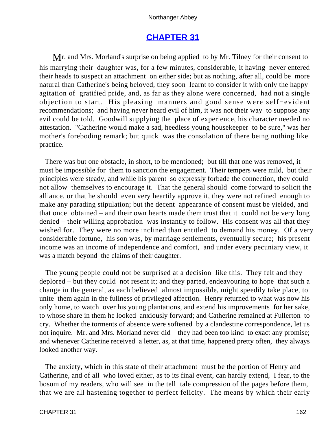# **[CHAPTER 31](#page-165-0)**

<span id="page-162-0"></span>Mr. and Mrs. Morland's surprise on being applied to by Mr. Tilney for their consent to his marrying their daughter was, for a few minutes, considerable, it having never entered their heads to suspect an attachment on either side; but as nothing, after all, could be more natural than Catherine's being beloved, they soon learnt to consider it with only the happy agitation of gratified pride, and, as far as they alone were concerned, had not a single objection to start. His pleasing manners and good sense were self−evident recommendations; and having never heard evil of him, it was not their way to suppose any evil could be told. Goodwill supplying the place of experience, his character needed no attestation. "Catherine would make a sad, heedless young housekeeper to be sure," was her mother's foreboding remark; but quick was the consolation of there being nothing like practice.

 There was but one obstacle, in short, to be mentioned; but till that one was removed, it must be impossible for them to sanction the engagement. Their tempers were mild, but their principles were steady, and while his parent so expressly forbade the connection, they could not allow themselves to encourage it. That the general should come forward to solicit the alliance, or that he should even very heartily approve it, they were not refined enough to make any parading stipulation; but the decent appearance of consent must be yielded, and that once obtained – and their own hearts made them trust that it could not be very long denied – their willing approbation was instantly to follow. His consent was all that they wished for. They were no more inclined than entitled to demand his money. Of a very considerable fortune, his son was, by marriage settlements, eventually secure; his present income was an income of independence and comfort, and under every pecuniary view, it was a match beyond the claims of their daughter.

 The young people could not be surprised at a decision like this. They felt and they deplored – but they could not resent it; and they parted, endeavouring to hope that such a change in the general, as each believed almost impossible, might speedily take place, to unite them again in the fullness of privileged affection. Henry returned to what was now his only home, to watch over his young plantations, and extend his improvements for her sake, to whose share in them he looked anxiously forward; and Catherine remained at Fullerton to cry. Whether the torments of absence were softened by a clandestine correspondence, let us not inquire. Mr. and Mrs. Morland never did – they had been too kind to exact any promise; and whenever Catherine received a letter, as, at that time, happened pretty often, they always looked another way.

 The anxiety, which in this state of their attachment must be the portion of Henry and Catherine, and of all who loved either, as to its final event, can hardly extend, I fear, to the bosom of my readers, who will see in the tell−tale compression of the pages before them, that we are all hastening together to perfect felicity. The means by which their early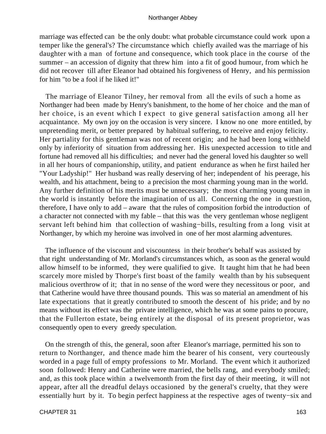marriage was effected can be the only doubt: what probable circumstance could work upon a temper like the general's? The circumstance which chiefly availed was the marriage of his daughter with a man of fortune and consequence, which took place in the course of the summer – an accession of dignity that threw him into a fit of good humour, from which he did not recover till after Eleanor had obtained his forgiveness of Henry, and his permission for him "to be a fool if he liked it!"

 The marriage of Eleanor Tilney, her removal from all the evils of such a home as Northanger had been made by Henry's banishment, to the home of her choice and the man of her choice, is an event which I expect to give general satisfaction among all her acquaintance. My own joy on the occasion is very sincere. I know no one more entitled, by unpretending merit, or better prepared by habitual suffering, to receive and enjoy felicity. Her partiality for this gentleman was not of recent origin; and he had been long withheld only by inferiority of situation from addressing her. His unexpected accession to title and fortune had removed all his difficulties; and never had the general loved his daughter so well in all her hours of companionship, utility, and patient endurance as when he first hailed her "Your Ladyship!" Her husband was really deserving of her; independent of his peerage, his wealth, and his attachment, being to a precision the most charming young man in the world. Any further definition of his merits must be unnecessary; the most charming young man in the world is instantly before the imagination of us all. Concerning the one in question, therefore, I have only to add – aware that the rules of composition forbid the introduction of a character not connected with my fable – that this was the very gentleman whose negligent servant left behind him that collection of washing−bills, resulting from a long visit at Northanger, by which my heroine was involved in one of her most alarming adventures.

 The influence of the viscount and viscountess in their brother's behalf was assisted by that right understanding of Mr. Morland's circumstances which, as soon as the general would allow himself to be informed, they were qualified to give. It taught him that he had been scarcely more misled by Thorpe's first boast of the family wealth than by his subsequent malicious overthrow of it; that in no sense of the word were they necessitous or poor, and that Catherine would have three thousand pounds. This was so material an amendment of his late expectations that it greatly contributed to smooth the descent of his pride; and by no means without its effect was the private intelligence, which he was at some pains to procure, that the Fullerton estate, being entirely at the disposal of its present proprietor, was consequently open to every greedy speculation.

 On the strength of this, the general, soon after Eleanor's marriage, permitted his son to return to Northanger, and thence made him the bearer of his consent, very courteously worded in a page full of empty professions to Mr. Morland. The event which it authorized soon followed: Henry and Catherine were married, the bells rang, and everybody smiled; and, as this took place within a twelvemonth from the first day of their meeting, it will not appear, after all the dreadful delays occasioned by the general's cruelty, that they were essentially hurt by it. To begin perfect happiness at the respective ages of twenty−six and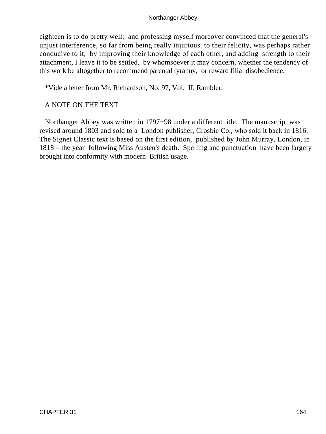eighteen is to do pretty well; and professing myself moreover convinced that the general's unjust interference, so far from being really injurious to their felicity, was perhaps rather conducive to it, by improving their knowledge of each other, and adding strength to their attachment, I leave it to be settled, by whomsoever it may concern, whether the tendency of this work be altogether to recommend parental tyranny, or reward filial disobedience.

\*Vide a letter from Mr. Richardson, No. 97, Vol. II, Rambler.

# A NOTE ON THE TEXT

 Northanger Abbey was written in 1797−98 under a different title. The manuscript was revised around 1803 and sold to a London publisher, Crosbie Co., who sold it back in 1816. The Signet Classic text is based on the first edition, published by John Murray, London, in 1818 – the year following Miss Austen's death. Spelling and punctuation have been largely brought into conformity with modern British usage.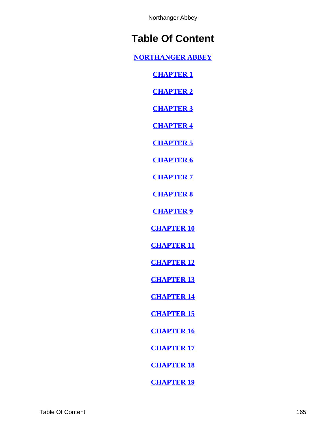# <span id="page-165-0"></span>**Table Of Content**

**[NORTHANGER ABBEY](#page-2-0)**

**[CHAPTER 1](#page-3-0)**

**[CHAPTER 2](#page-6-0)**

**[CHAPTER 3](#page-11-0)**

**[CHAPTER 4](#page-16-0)**

**[CHAPTER 5](#page-19-0)**

**[CHAPTER 6](#page-22-0)**

**[CHAPTER 7](#page-26-0)**

**[CHAPTER 8](#page-32-0)**

**[CHAPTER 9](#page-38-0)**

**[CHAPTER 10](#page-45-0)**

**[CHAPTER 11](#page-53-0)**

**[CHAPTER 12](#page-60-0)**

**[CHAPTER 13](#page-64-0)**

**[CHAPTER 14](#page-70-0)**

**[CHAPTER 15](#page-77-0)**

**[CHAPTER 16](#page-84-0)**

**[CHAPTER 17](#page-90-0)**

**[CHAPTER 18](#page-93-0)**

**[CHAPTER 19](#page-97-0)**